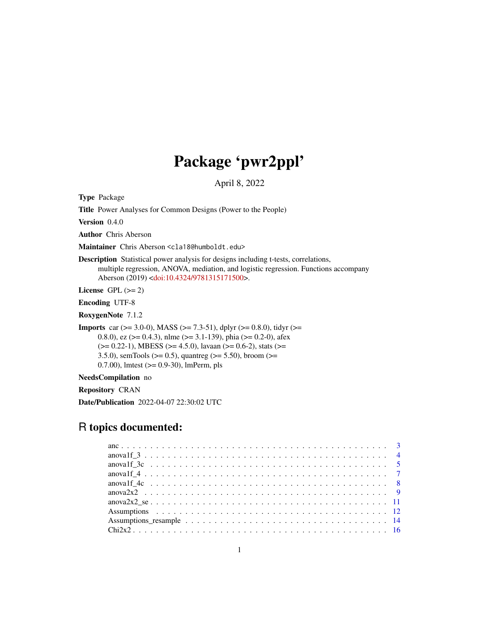# Package 'pwr2ppl'

April 8, 2022

Type Package

Title Power Analyses for Common Designs (Power to the People)

Version 0.4.0

Author Chris Aberson

Maintainer Chris Aberson <cla18@humboldt.edu>

Description Statistical power analysis for designs including t-tests, correlations, multiple regression, ANOVA, mediation, and logistic regression. Functions accompany Aberson (2019) [<doi:10.4324/9781315171500>](https://doi.org/10.4324/9781315171500).

License GPL  $(>= 2)$ 

Encoding UTF-8

RoxygenNote 7.1.2

**Imports** car ( $>= 3.0-0$ ), MASS ( $>= 7.3-51$ ), dplyr ( $>= 0.8.0$ ), tidyr ( $>=$ 0.8.0), ez ( $> = 0.4.3$ ), nlme ( $> = 3.1-139$ ), phia ( $> = 0.2-0$ ), afex  $(>= 0.22-1)$ , MBESS  $(>= 4.5.0)$ , lavaan  $(>= 0.6-2)$ , stats  $(>= 0.22-1)$ 3.5.0), semTools ( $>= 0.5$ ), quantreg ( $>= 5.50$ ), broom ( $>=$ 0.7.00), lmtest (>= 0.9-30), lmPerm, pls

NeedsCompilation no

Repository CRAN

Date/Publication 2022-04-07 22:30:02 UTC

# R topics documented: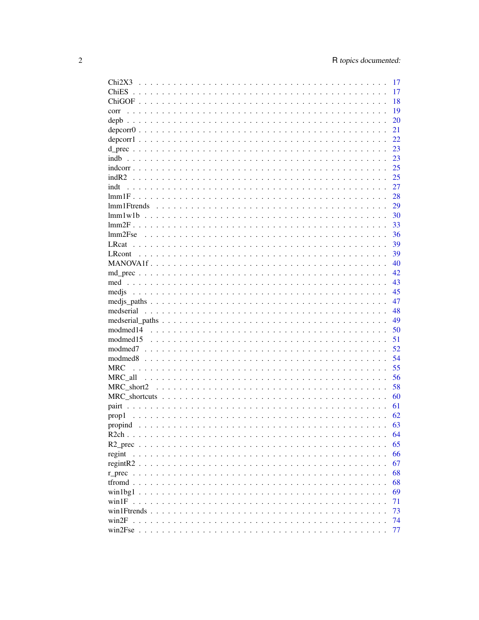| Chi2X3         | 17 |
|----------------|----|
|                | 17 |
|                | 18 |
| corr           | 19 |
| depb           | 20 |
|                | 21 |
|                | 22 |
|                | 23 |
| indh           | 23 |
|                | 25 |
|                | 25 |
| indt           | 27 |
|                | 28 |
|                | 29 |
|                | 30 |
|                | 33 |
| lmm2Fse        | 36 |
|                |    |
|                | 39 |
| <b>LR</b> cont | 39 |
|                | 40 |
|                | 42 |
|                | 43 |
|                | 45 |
|                | 47 |
|                | 48 |
|                | 49 |
|                | 50 |
| modmed15       | 51 |
|                | 52 |
|                | 54 |
| <b>MRC</b>     | 55 |
| MRC all        | 56 |
| MRC short2     | 58 |
|                | 60 |
|                | 61 |
| prop1          | 62 |
|                | 63 |
|                | 64 |
| $R2$ prec      | 65 |
| regint         | 66 |
|                | 67 |
|                | 68 |
|                | 68 |
|                | 69 |
|                | 71 |
|                | 73 |
|                | 74 |
|                | 77 |
|                |    |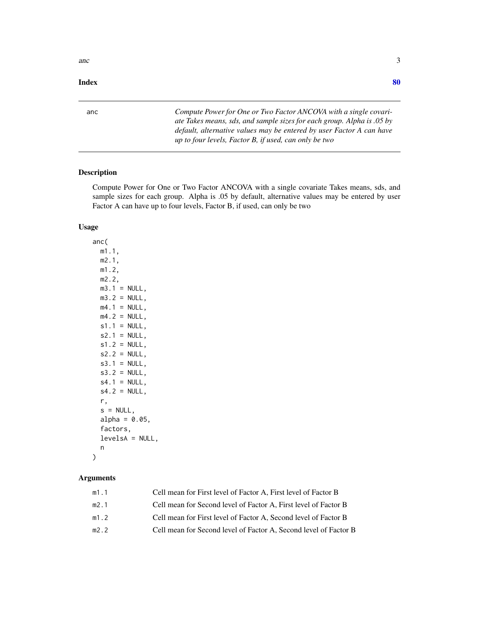#### <span id="page-2-0"></span> $\blacksquare$  Index  $\blacksquare$

anc *Compute Power for One or Two Factor ANCOVA with a single covariate Takes means, sds, and sample sizes for each group. Alpha is .05 by default, alternative values may be entered by user Factor A can have up to four levels, Factor B, if used, can only be two*

### Description

Compute Power for One or Two Factor ANCOVA with a single covariate Takes means, sds, and sample sizes for each group. Alpha is .05 by default, alternative values may be entered by user Factor A can have up to four levels, Factor B, if used, can only be two

#### Usage

anc( m1.1, m2.1, m1.2, m2.2,  $m3.1 = NULL,$  $m3.2$  = NULL,  $m4.1$  = NULL,  $m4.2$  = NULL,  $s1.1 = NULL,$  $s2.1 = NULL,$  $s1.2 = NULL,$  $s2.2 = NULL,$  $s3.1 = NULL$ ,  $s3.2 = NULL,$  $s4.1 = NULL,$  $s4.2 = NULL,$ r,  $s = NULL,$ alpha =  $0.05$ , factors, levelsA = NULL, n

### Arguments

)

| m1.1 | Cell mean for First level of Factor A, First level of Factor B   |
|------|------------------------------------------------------------------|
| m2.1 | Cell mean for Second level of Factor A, First level of Factor B  |
| m1.2 | Cell mean for First level of Factor A, Second level of Factor B  |
| m2.2 | Cell mean for Second level of Factor A. Second level of Factor B |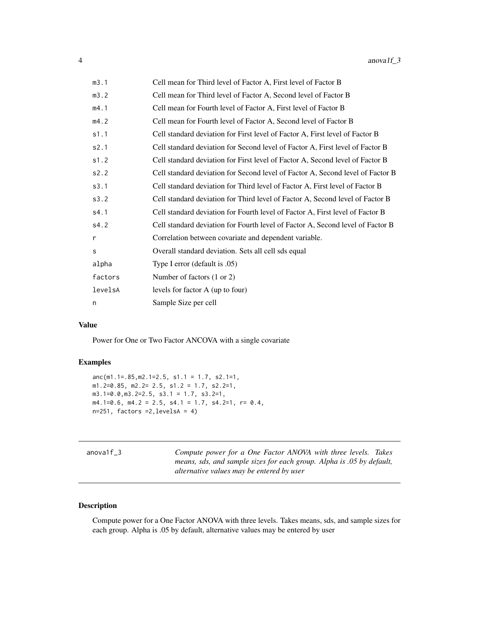<span id="page-3-0"></span>

| m3.1    | Cell mean for Third level of Factor A, First level of Factor B                 |
|---------|--------------------------------------------------------------------------------|
| m3.2    | Cell mean for Third level of Factor A, Second level of Factor B                |
| m4.1    | Cell mean for Fourth level of Factor A, First level of Factor B                |
| m4.2    | Cell mean for Fourth level of Factor A, Second level of Factor B               |
| s1.1    | Cell standard deviation for First level of Factor A, First level of Factor B   |
| s2.1    | Cell standard deviation for Second level of Factor A, First level of Factor B  |
| s1.2    | Cell standard deviation for First level of Factor A, Second level of Factor B  |
| s2.2    | Cell standard deviation for Second level of Factor A, Second level of Factor B |
| s3.1    | Cell standard deviation for Third level of Factor A, First level of Factor B   |
| s3.2    | Cell standard deviation for Third level of Factor A, Second level of Factor B  |
| s4.1    | Cell standard deviation for Fourth level of Factor A, First level of Factor B  |
| s4.2    | Cell standard deviation for Fourth level of Factor A, Second level of Factor B |
| r       | Correlation between covariate and dependent variable.                          |
| S       | Overall standard deviation. Sets all cell sds equal                            |
| alpha   | Type I error (default is .05)                                                  |
| factors | Number of factors (1 or 2)                                                     |
| levelsA | levels for factor A (up to four)                                               |
| n       | Sample Size per cell                                                           |

Power for One or Two Factor ANCOVA with a single covariate

### Examples

```
anc(m1.1=.85,m2.1=2.5, s1.1 = 1.7, s2.1=1,
m1.2=0.85, m2.2= 2.5, s1.2 = 1.7, s2.2=1,
m3.1=0.0,m3.2=2.5, s3.1 = 1.7, s3.2=1,
m4.1=0.6, m4.2 = 2.5, s4.1 = 1.7, s4.2=1, r = 0.4,
n=251, factors =2,levelsA = 4)
```

| anova1f 3 | Compute power for a One Factor ANOVA with three levels. Takes<br>means, sds, and sample sizes for each group. Alpha is .05 by default,<br>alternative values may be entered by user |
|-----------|-------------------------------------------------------------------------------------------------------------------------------------------------------------------------------------|
|           |                                                                                                                                                                                     |

### Description

Compute power for a One Factor ANOVA with three levels. Takes means, sds, and sample sizes for each group. Alpha is .05 by default, alternative values may be entered by user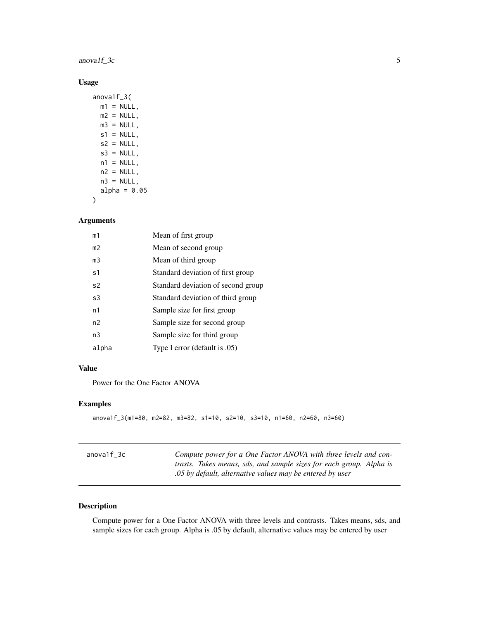### <span id="page-4-0"></span> $anovalf_3c$  5

### Usage

```
anova1f_3(
 m1 = NULL,m2 = NULL,m3 = NULL,s1 = NULL,s2 = NULL,s3 = NULL,n1 = NULL,n2 = NULL,n3 = NULL,alpha = 0.05
```
#### Arguments

)

| m1             | Mean of first group                |
|----------------|------------------------------------|
| m <sub>2</sub> | Mean of second group               |
| m <sub>3</sub> | Mean of third group                |
| s1             | Standard deviation of first group  |
| s <sub>2</sub> | Standard deviation of second group |
| s3             | Standard deviation of third group  |
| n1             | Sample size for first group        |
| n <sub>2</sub> | Sample size for second group       |
| n <sub>3</sub> | Sample size for third group        |
| alpha          | Type I error (default is .05)      |

#### Value

Power for the One Factor ANOVA

### Examples

```
anova1f_3(m1=80, m2=82, m3=82, s1=10, s2=10, s3=10, n1=60, n2=60, n3=60)
```

| anova1f 3c | Compute power for a One Factor ANOVA with three levels and con-     |
|------------|---------------------------------------------------------------------|
|            | trasts. Takes means, sds, and sample sizes for each group. Alpha is |
|            | .05 by default, alternative values may be entered by user           |

### Description

Compute power for a One Factor ANOVA with three levels and contrasts. Takes means, sds, and sample sizes for each group. Alpha is .05 by default, alternative values may be entered by user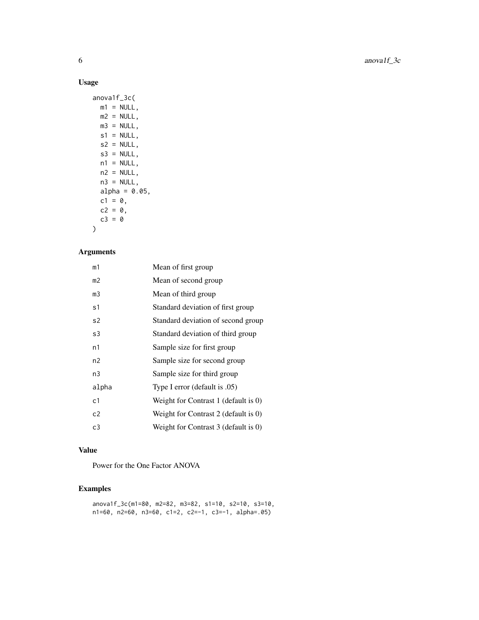### Usage

|            | anova1f_3c(   |                  |  |
|------------|---------------|------------------|--|
|            | $m1 = NULL$   |                  |  |
|            | $m2 = NULL,$  |                  |  |
|            | $m3 = NULL$ , |                  |  |
|            | $s1 = NULL$ , |                  |  |
|            | $s2 = NULL$ , |                  |  |
|            | $s3 = NULL,$  |                  |  |
|            | $n1 = NULL,$  |                  |  |
|            | $n2 = NULL,$  |                  |  |
|            | $n3 = NULL,$  |                  |  |
|            |               | $alpha = 0.05$ , |  |
| $c1 = 0$ . |               |                  |  |
| $c2 = 0$ , |               |                  |  |
| $c3 = 0$   |               |                  |  |
|            |               |                  |  |

# Arguments

| m1    | Mean of first group                  |
|-------|--------------------------------------|
| m2    | Mean of second group                 |
| m3    | Mean of third group                  |
| s1    | Standard deviation of first group    |
| s2    | Standard deviation of second group   |
| s3    | Standard deviation of third group    |
| n1    | Sample size for first group          |
| n2    | Sample size for second group         |
| n3    | Sample size for third group          |
| alpha | Type I error (default is .05)        |
| c1    | Weight for Contrast 1 (default is 0) |
| c2    | Weight for Contrast 2 (default is 0) |
| c3    | Weight for Contrast 3 (default is 0) |

#### Value

Power for the One Factor ANOVA

### Examples

```
anova1f_3c(m1=80, m2=82, m3=82, s1=10, s2=10, s3=10,
n1=60, n2=60, n3=60, c1=2, c2=-1, c3=-1, alpha=.05)
```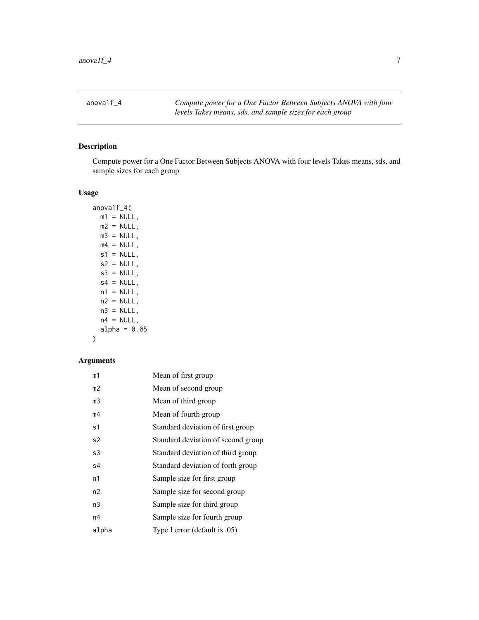<span id="page-6-0"></span>anova1f\_4 *Compute power for a One Factor Between Subjects ANOVA with four levels Takes means, sds, and sample sizes for each group*

### Description

Compute power for a One Factor Between Subjects ANOVA with four levels Takes means, sds, and sample sizes for each group

#### Usage

anova1f\_4(  $m1 = NULL,$  $m2 = NULL,$  $m3 = NULL,$  $m4 = NULL,$  $s1 = NULL,$  $s2 = NULL,$  $s3 = NULL,$  $s4 = NULL,$  $n1 = NULL,$  $n2 = NULL,$  $n3 = NULL,$  $n4 = NULL,$ alpha =  $0.05$ )

| m1    | Mean of first group                |
|-------|------------------------------------|
| m2    | Mean of second group               |
| mЗ    | Mean of third group                |
| m4    | Mean of fourth group               |
| s1    | Standard deviation of first group  |
| s2    | Standard deviation of second group |
| s3    | Standard deviation of third group  |
| s4    | Standard deviation of forth group  |
| n1    | Sample size for first group        |
| n2    | Sample size for second group       |
| n3    | Sample size for third group        |
| n4    | Sample size for fourth group       |
| alpha | Type I error (default is .05)      |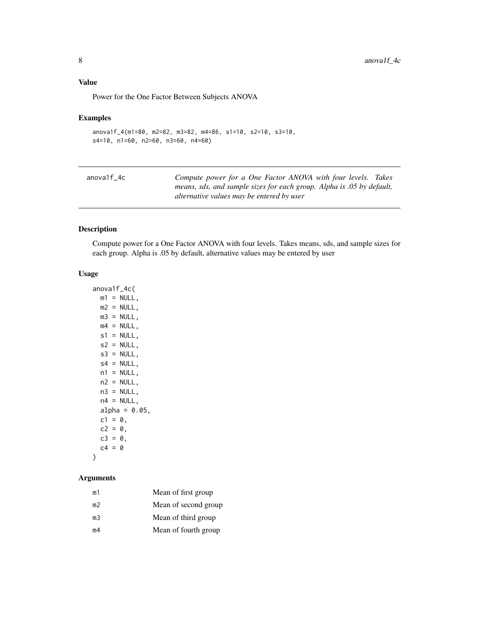<span id="page-7-0"></span>Power for the One Factor Between Subjects ANOVA

#### Examples

```
anova1f_4(m1=80, m2=82, m3=82, m4=86, s1=10, s2=10, s3=10,
s4=10, n1=60, n2=60, n3=60, n4=60)
```

| anova1f 4c | Compute power for a One Factor ANOVA with four levels. Takes          |
|------------|-----------------------------------------------------------------------|
|            | means, sds, and sample sizes for each group. Alpha is .05 by default, |
|            | alternative values may be entered by user                             |

### Description

Compute power for a One Factor ANOVA with four levels. Takes means, sds, and sample sizes for each group. Alpha is .05 by default, alternative values may be entered by user

#### Usage

```
anova1f_4c(
 m1 = NULL,m2 = NULL,m3 = NULL,m4 = NULL,s1 = NULL,s2 = NULL,s3 = NULL,s4 = NULL,n1 = NULL,n2 = NULL,n3 = NULL,n4 = NULL,alpha = 0.05,
 c1 = 0,
 c2 = 0,
 c3 = 0,
 c4 = 0\mathcal{L}
```

| Mean of first group  |
|----------------------|
| Mean of second group |
| Mean of third group  |
| Mean of fourth group |
|                      |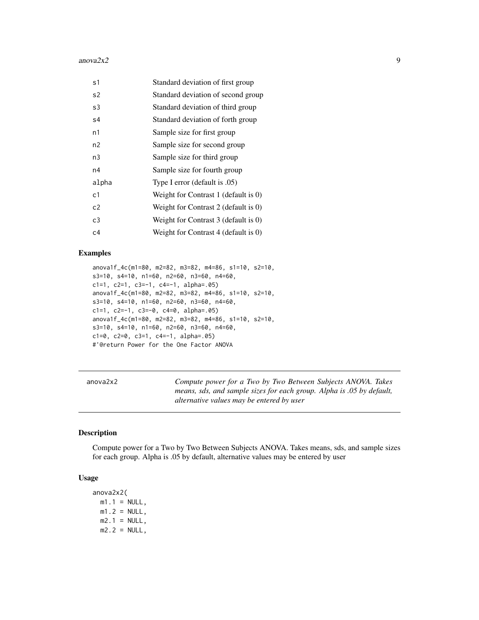#### <span id="page-8-0"></span>anova $2x2$  9

| s1             | Standard deviation of first group         |
|----------------|-------------------------------------------|
| s2             | Standard deviation of second group        |
| s3             | Standard deviation of third group         |
| s4             | Standard deviation of forth group         |
| n1             | Sample size for first group               |
| n <sub>2</sub> | Sample size for second group              |
| n3             | Sample size for third group               |
| n4             | Sample size for fourth group              |
| alpha          | Type I error (default is .05)             |
| c <sub>1</sub> | Weight for Contrast $1$ (default is $0$ ) |
| c2             | Weight for Contrast 2 (default is 0)      |
| c3             | Weight for Contrast 3 (default is 0)      |
| c4             | Weight for Contrast 4 (default is $0$ )   |

#### Examples

```
anova1f_4c(m1=80, m2=82, m3=82, m4=86, s1=10, s2=10,
s3=10, s4=10, n1=60, n2=60, n3=60, n4=60,
c1=1, c2=1, c3=-1, c4=-1, alpha=.05)
anova1f_4c(m1=80, m2=82, m3=82, m4=86, s1=10, s2=10,
s3=10, s4=10, n1=60, n2=60, n3=60, n4=60,
c1=1, c2=-1, c3=-0, c4=0, alpha=.05)
anova1f_4c(m1=80, m2=82, m3=82, m4=86, s1=10, s2=10,
s3=10, s4=10, n1=60, n2=60, n3=60, n4=60,
c1=0, c2=0, c3=1, c4=-1, alpha=.05)
#'@return Power for the One Factor ANOVA
```
anova2x2 *Compute power for a Two by Two Between Subjects ANOVA. Takes means, sds, and sample sizes for each group. Alpha is .05 by default, alternative values may be entered by user*

#### Description

Compute power for a Two by Two Between Subjects ANOVA. Takes means, sds, and sample sizes for each group. Alpha is .05 by default, alternative values may be entered by user

### Usage

anova2x2(  $m1.1$  = NULL,  $m1.2 = NULL,$  $m2.1 = NULL,$  $m2.2 = NULL,$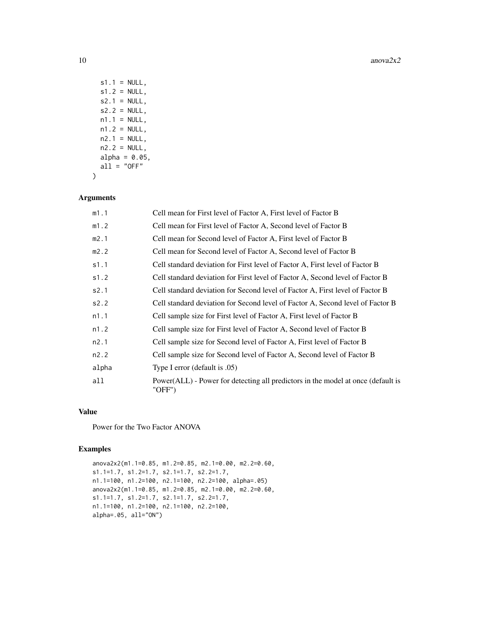$10$  anova $2x2$ 

 $s1.1 = NULL,$  $s1.2 = NULL$ ,  $s2.1 = NULL,$  $s2.2 = NULL,$  $n1.1 = NULL,$  $n1.2 = NULL,$  $n2.1 = NULL,$  $n2.2 = NULL,$ alpha =  $0.05$ ,  $all = "OFF"$  $\mathcal{L}$ 

### Arguments

| m1.1  | Cell mean for First level of Factor A, First level of Factor B                             |
|-------|--------------------------------------------------------------------------------------------|
| m1.2  | Cell mean for First level of Factor A, Second level of Factor B                            |
| m2.1  | Cell mean for Second level of Factor A, First level of Factor B                            |
| m2.2  | Cell mean for Second level of Factor A, Second level of Factor B                           |
| s1.1  | Cell standard deviation for First level of Factor A, First level of Factor B               |
| s1.2  | Cell standard deviation for First level of Factor A, Second level of Factor B              |
| s2.1  | Cell standard deviation for Second level of Factor A, First level of Factor B              |
| s2.2  | Cell standard deviation for Second level of Factor A, Second level of Factor B             |
| n1.1  | Cell sample size for First level of Factor A, First level of Factor B                      |
| n1.2  | Cell sample size for First level of Factor A, Second level of Factor B                     |
| n2.1  | Cell sample size for Second level of Factor A, First level of Factor B                     |
| n2.2  | Cell sample size for Second level of Factor A, Second level of Factor B                    |
| alpha | Type I error (default is .05)                                                              |
| all   | Power(ALL) - Power for detecting all predictors in the model at once (default is<br>"OFF") |

#### Value

Power for the Two Factor ANOVA

### Examples

anova2x2(m1.1=0.85, m1.2=0.85, m2.1=0.00, m2.2=0.60, s1.1=1.7, s1.2=1.7, s2.1=1.7, s2.2=1.7, n1.1=100, n1.2=100, n2.1=100, n2.2=100, alpha=.05) anova2x2(m1.1=0.85, m1.2=0.85, m2.1=0.00, m2.2=0.60, s1.1=1.7, s1.2=1.7, s2.1=1.7, s2.2=1.7, n1.1=100, n1.2=100, n2.1=100, n2.2=100, alpha=.05, all="ON")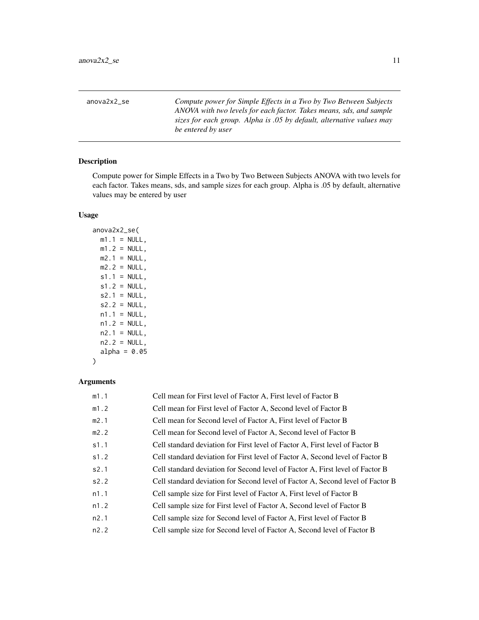<span id="page-10-0"></span>anova2x2\_se *Compute power for Simple Effects in a Two by Two Between Subjects ANOVA with two levels for each factor. Takes means, sds, and sample sizes for each group. Alpha is .05 by default, alternative values may be entered by user*

### Description

Compute power for Simple Effects in a Two by Two Between Subjects ANOVA with two levels for each factor. Takes means, sds, and sample sizes for each group. Alpha is .05 by default, alternative values may be entered by user

### Usage

anova2x2\_se(  $m1.1 = NULL,$  $m1.2 = NULL,$  $m2.1$  = NULL,  $m2.2 = NULL,$  $s1.1 = NULL$ ,  $s1.2 = NULL,$  $s2.1 = NULL,$  $s2.2 = NULL,$  $n1.1 = NULL,$  $n1.2 = NULL,$  $n2.1 = NULL,$  $n2.2 = NULL,$ alpha =  $0.05$ )

| m1.1 | Cell mean for First level of Factor A, First level of Factor B                 |
|------|--------------------------------------------------------------------------------|
| m1.2 | Cell mean for First level of Factor A, Second level of Factor B                |
| m2.1 | Cell mean for Second level of Factor A, First level of Factor B                |
| m2.2 | Cell mean for Second level of Factor A, Second level of Factor B               |
| s1.1 | Cell standard deviation for First level of Factor A, First level of Factor B   |
| s1.2 | Cell standard deviation for First level of Factor A, Second level of Factor B  |
| s2.1 | Cell standard deviation for Second level of Factor A, First level of Factor B  |
| s2.2 | Cell standard deviation for Second level of Factor A, Second level of Factor B |
| n1.1 | Cell sample size for First level of Factor A, First level of Factor B          |
| n1.2 | Cell sample size for First level of Factor A, Second level of Factor B         |
| n2.1 | Cell sample size for Second level of Factor A, First level of Factor B         |
| n2.2 | Cell sample size for Second level of Factor A, Second level of Factor B        |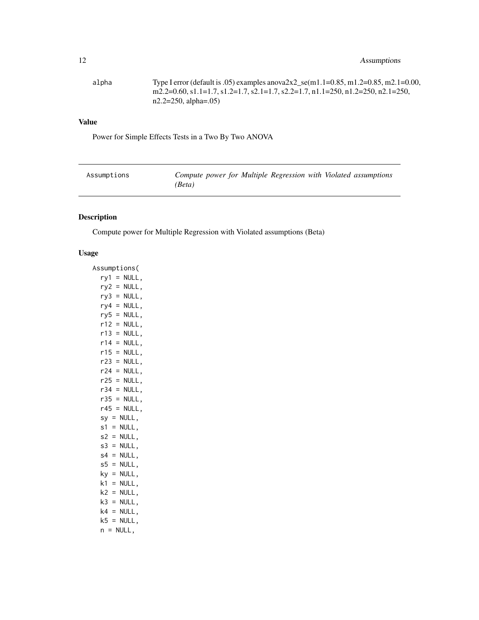<span id="page-11-0"></span>

| alpha | Type I error (default is .05) examples anova $2x2$ _se(m1.1=0.85, m1.2=0.85, m2.1=0.00, |
|-------|-----------------------------------------------------------------------------------------|
|       | m2.2=0.60, s1.1=1.7, s1.2=1.7, s2.1=1.7, s2.2=1.7, n1.1=250, n1.2=250, n2.1=250,        |
|       | $n2.2=250$ , alpha=.05)                                                                 |

Power for Simple Effects Tests in a Two By Two ANOVA

| Assumptions | Compute power for Multiple Regression with Violated assumptions |  |  |  |
|-------------|-----------------------------------------------------------------|--|--|--|
|             | (Beta)                                                          |  |  |  |

# Description

Compute power for Multiple Regression with Violated assumptions (Beta)

### Usage

| Assumptions(          |
|-----------------------|
| NULL,<br>ry1<br>$=$   |
| NULL,<br>ry2 =        |
| $ry3 =$<br>NULL,      |
| $ry4 =$<br>NULL,      |
| $ry5 =$<br>NULL,      |
| r12 l<br>NULL,<br>$=$ |
| NULL,<br>r13<br>$=$   |
| $r14 =$<br>NULL,      |
| r15<br>NULL,<br>$=$   |
| NULL,<br>r23 =        |
| r24 =<br>NULL,        |
| r25 =<br>NULL,        |
| r34 =<br>NULL,        |
| $r35 =$<br>NULL,      |
| $r45 =$<br>NULL,      |
| $sy = NULL,$          |
| s1<br>NULL,<br>$=$    |
| NULL,<br>$s2 =$       |
| NULL,<br>$s3 =$       |
| NULL,<br>$s4 =$       |
| $s5 =$<br>NULL,       |
| $ky =$<br>NULL,       |
| k1<br>NULL,<br>$=$    |
| k2 =<br>NULL,         |
| k3<br>NULL,<br>$=$    |
| k4<br>NULL,<br>$=$    |
| k5 =<br>NULL,         |
| $n = NULL,$           |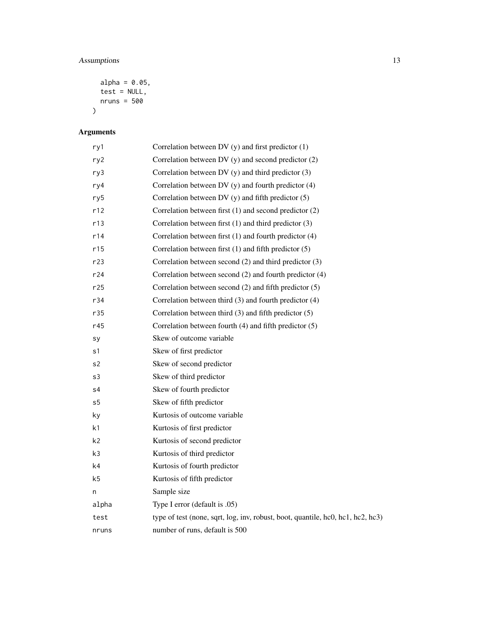### Assumptions 13

```
alpha = 0.05,
   test = NULL,nruns = 500\mathcal{L}
```

| ry1            | Correlation between DV $(y)$ and first predictor $(1)$                          |
|----------------|---------------------------------------------------------------------------------|
| ry2            | Correlation between DV $(y)$ and second predictor $(2)$                         |
| ry3            | Correlation between DV $(y)$ and third predictor $(3)$                          |
| ry4            | Correlation between DV $(y)$ and fourth predictor $(4)$                         |
| ry5            | Correlation between DV $(y)$ and fifth predictor $(5)$                          |
| r12            | Correlation between first $(1)$ and second predictor $(2)$                      |
| r13            | Correlation between first $(1)$ and third predictor $(3)$                       |
| r14            | Correlation between first (1) and fourth predictor (4)                          |
| r15            | Correlation between first $(1)$ and fifth predictor $(5)$                       |
| r23            | Correlation between second $(2)$ and third predictor $(3)$                      |
| r24            | Correlation between second (2) and fourth predictor (4)                         |
| r25            | Correlation between second $(2)$ and fifth predictor $(5)$                      |
| r34            | Correlation between third $(3)$ and fourth predictor $(4)$                      |
| r35            | Correlation between third $(3)$ and fifth predictor $(5)$                       |
| r45            | Correlation between fourth $(4)$ and fifth predictor $(5)$                      |
| sy             | Skew of outcome variable                                                        |
| s1             | Skew of first predictor                                                         |
| s2             | Skew of second predictor                                                        |
| s3             | Skew of third predictor                                                         |
| s4             | Skew of fourth predictor                                                        |
| s <sub>5</sub> | Skew of fifth predictor                                                         |
| ky             | Kurtosis of outcome variable                                                    |
| k1             | Kurtosis of first predictor                                                     |
| k2             | Kurtosis of second predictor                                                    |
| k3             | Kurtosis of third predictor                                                     |
| k4             | Kurtosis of fourth predictor                                                    |
| k5             | Kurtosis of fifth predictor                                                     |
| n              | Sample size                                                                     |
| alpha          | Type I error (default is .05)                                                   |
| test           | type of test (none, sqrt, log, inv, robust, boot, quantile, hc0, hc1, hc2, hc3) |
| nruns          | number of runs, default is 500                                                  |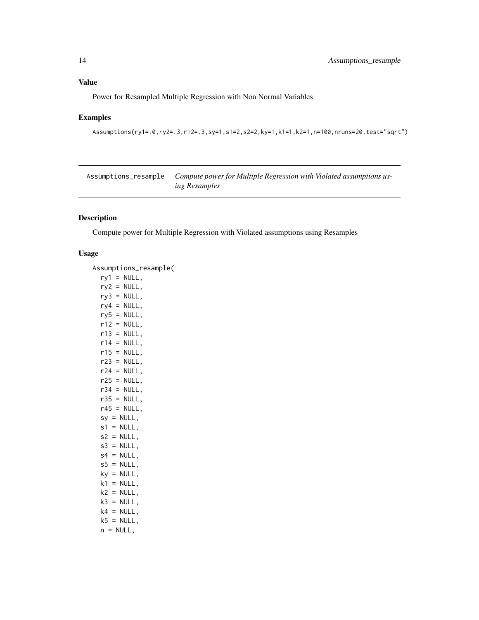<span id="page-13-0"></span>Power for Resampled Multiple Regression with Non Normal Variables

### Examples

```
Assumptions(ry1=.0,ry2=.3,r12=.3,sy=1,s1=2,s2=2,ky=1,k1=1,k2=1,n=100,nruns=20,test="sqrt")
```

| Assumptions_resample | Compute power for Multiple Regression with Violated assumptions us- |
|----------------------|---------------------------------------------------------------------|
|                      | <i>ing Resamples</i>                                                |

# Description

Compute power for Multiple Regression with Violated assumptions using Resamples

### Usage

| Assumptions_resample( |
|-----------------------|
| ry1 = NULL,           |
| ry2 = NULL,           |
| $ry3 = NULL,$         |
| $ry4 = NULL,$         |
| $ry5 = NULL,$         |
| $r12 = NULL,$         |
| $r13 = NULL,$         |
| $r14 = NULL,$         |
| $r15 = NULL,$         |
| $r23 = NULL,$         |
| $r24 = NULL,$         |
| $r25 = NULL,$         |
| $r34 = NULL,$         |
| $r35 = NULL,$         |
| $r45 = NULL,$         |
| $sy = NULL,$          |
| $s1 = NULL,$          |
| $s2 = NULL,$          |
| $s3 = NULL,$          |
| $s4 = NULL,$          |
| $s5 = NULL,$          |
| $ky = NULL,$          |
| $k1 = NULL,$          |
| $k2 = NULL,$          |
| $k3 = NULL,$          |
| $k4 = NULL,$          |
| $k5 = NULL,$          |
| $n = NULL,$           |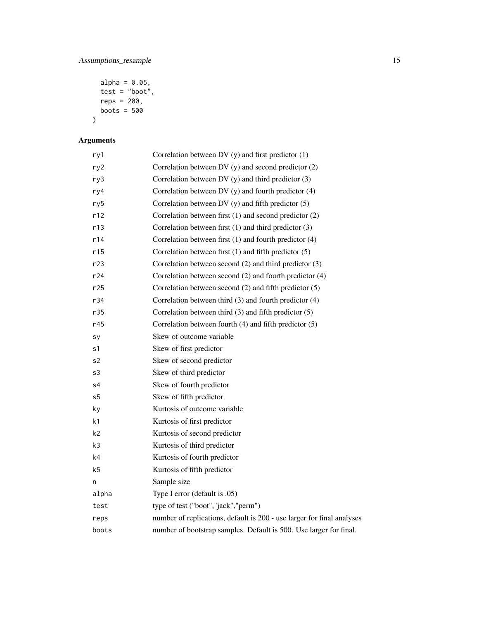```
alpha = 0.05,
  test = "boot",reps = 200,
  boots = 500
\mathcal{L}
```

| ry1            | Correlation between DV $(y)$ and first predictor $(1)$                 |
|----------------|------------------------------------------------------------------------|
| ry2            | Correlation between DV $(y)$ and second predictor $(2)$                |
| ry3            | Correlation between DV $(y)$ and third predictor $(3)$                 |
| ry4            | Correlation between DV $(y)$ and fourth predictor $(4)$                |
| ry5            | Correlation between DV $(y)$ and fifth predictor $(5)$                 |
| r12            | Correlation between first (1) and second predictor (2)                 |
| r13            | Correlation between first $(1)$ and third predictor $(3)$              |
| r14            | Correlation between first (1) and fourth predictor (4)                 |
| r15            | Correlation between first $(1)$ and fifth predictor $(5)$              |
| r23            | Correlation between second (2) and third predictor (3)                 |
| r24            | Correlation between second (2) and fourth predictor (4)                |
| r25            | Correlation between second $(2)$ and fifth predictor $(5)$             |
| r34            | Correlation between third $(3)$ and fourth predictor $(4)$             |
| r35            | Correlation between third $(3)$ and fifth predictor $(5)$              |
| r45            | Correlation between fourth $(4)$ and fifth predictor $(5)$             |
| sy             | Skew of outcome variable                                               |
| s1             | Skew of first predictor                                                |
| s2             | Skew of second predictor                                               |
| s3             | Skew of third predictor                                                |
| s4             | Skew of fourth predictor                                               |
| s5             | Skew of fifth predictor                                                |
| ky             | Kurtosis of outcome variable                                           |
| k1             | Kurtosis of first predictor                                            |
| k2             | Kurtosis of second predictor                                           |
| k3             | Kurtosis of third predictor                                            |
| k <sub>4</sub> | Kurtosis of fourth predictor                                           |
| k <sub>5</sub> | Kurtosis of fifth predictor                                            |
| n              | Sample size                                                            |
| alpha          | Type I error (default is .05)                                          |
| test           | type of test ("boot","jack","perm")                                    |
| reps           | number of replications, default is 200 - use larger for final analyses |
| boots          | number of bootstrap samples. Default is 500. Use larger for final.     |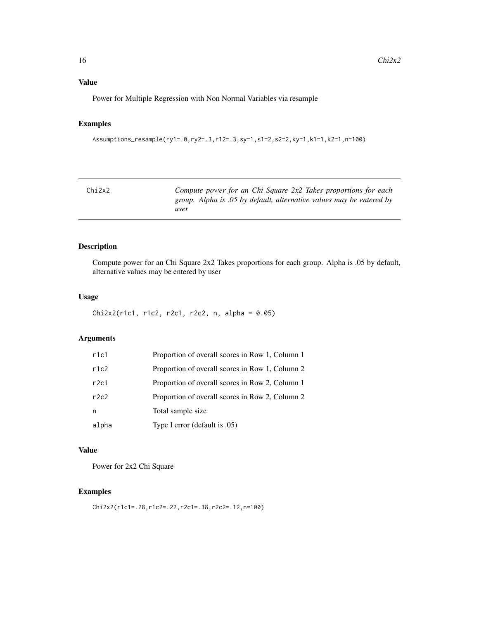<span id="page-15-0"></span>Power for Multiple Regression with Non Normal Variables via resample

### Examples

```
Assumptions_resample(ry1=.0,ry2=.3,r12=.3,sy=1,s1=2,s2=2,ky=1,k1=1,k2=1,n=100)
```

| Chi2x2 | Compute power for an Chi Square 2x2 Takes proportions for each       |
|--------|----------------------------------------------------------------------|
|        | group. Alpha is .05 by default, alternative values may be entered by |
|        | user                                                                 |

### Description

Compute power for an Chi Square 2x2 Takes proportions for each group. Alpha is .05 by default, alternative values may be entered by user

#### Usage

```
Chi2x2(r1c1, r1c2, r2c1, r2c2, n, alpha = 0.05)
```
#### Arguments

| r1c1  | Proportion of overall scores in Row 1, Column 1 |
|-------|-------------------------------------------------|
| r1c2  | Proportion of overall scores in Row 1, Column 2 |
| r2c1  | Proportion of overall scores in Row 2, Column 1 |
| r2c2  | Proportion of overall scores in Row 2, Column 2 |
| n     | Total sample size                               |
| alpha | Type I error (default is .05)                   |

### Value

Power for 2x2 Chi Square

#### Examples

```
Chi2x2(r1c1=.28,r1c2=.22,r2c1=.38,r2c2=.12,n=100)
```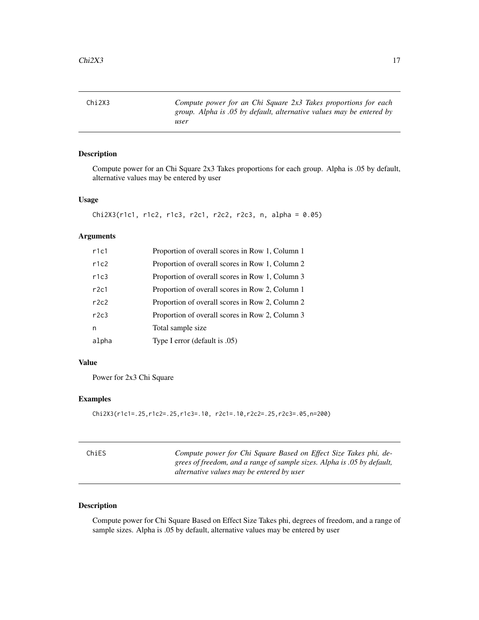<span id="page-16-0"></span>Chi2X3 *Compute power for an Chi Square 2x3 Takes proportions for each group. Alpha is .05 by default, alternative values may be entered by user*

### Description

Compute power for an Chi Square 2x3 Takes proportions for each group. Alpha is .05 by default, alternative values may be entered by user

#### Usage

```
Chi2X3(r1c1, r1c2, r1c3, r2c1, r2c2, r2c3, n, alpha = 0.05)
```
### Arguments

| r1c1  | Proportion of overall scores in Row 1, Column 1 |
|-------|-------------------------------------------------|
| r1c2  | Proportion of overall scores in Row 1, Column 2 |
| r1c3  | Proportion of overall scores in Row 1, Column 3 |
| r2c1  | Proportion of overall scores in Row 2, Column 1 |
| r2c2  | Proportion of overall scores in Row 2, Column 2 |
| r2c3  | Proportion of overall scores in Row 2, Column 3 |
| n     | Total sample size                               |
| alpha | Type I error (default is .05)                   |

#### Value

Power for 2x3 Chi Square

#### Examples

```
Chi2X3(r1c1=.25,r1c2=.25,r1c3=.10, r2c1=.10,r2c2=.25,r2c3=.05,n=200)
```

| ChiES | Compute power for Chi Square Based on Effect Size Takes phi, de-<br>grees of freedom, and a range of sample sizes. Alpha is 0.05 by default, |
|-------|----------------------------------------------------------------------------------------------------------------------------------------------|
|       | alternative values may be entered by user                                                                                                    |

#### Description

Compute power for Chi Square Based on Effect Size Takes phi, degrees of freedom, and a range of sample sizes. Alpha is .05 by default, alternative values may be entered by user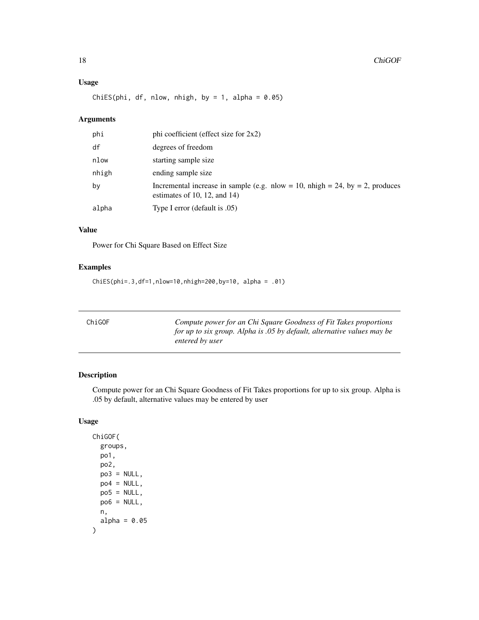### <span id="page-17-0"></span>Usage

ChiES(phi, df, nlow, nhigh, by = 1, alpha =  $0.05$ )

### Arguments

| phi   | phi coefficient (effect size for 2x2)                                                                        |
|-------|--------------------------------------------------------------------------------------------------------------|
| df    | degrees of freedom                                                                                           |
| nlow  | starting sample size                                                                                         |
| nhigh | ending sample size                                                                                           |
| by    | Incremental increase in sample (e.g. nlow = 10, nhigh = 24, by = 2, produces<br>estimates of 10, 12, and 14) |
| alpha | Type I error (default is .05)                                                                                |

#### Value

Power for Chi Square Based on Effect Size

### Examples

ChiES(phi=.3,df=1,nlow=10,nhigh=200,by=10, alpha = .01)

| ChiGOF | Compute power for an Chi Square Goodness of Fit Takes proportions<br>for up to six group. Alpha is .05 by default, alternative values may be<br>entered by user |
|--------|-----------------------------------------------------------------------------------------------------------------------------------------------------------------|
|        |                                                                                                                                                                 |

### Description

Compute power for an Chi Square Goodness of Fit Takes proportions for up to six group. Alpha is .05 by default, alternative values may be entered by user

### Usage

ChiGOF( groups, po1, po2,  $po3 = NULL,$  $po4 = NULL,$  $po5 = NULL,$  $po6 = NULL,$ n, alpha =  $0.05$  $\mathcal{E}$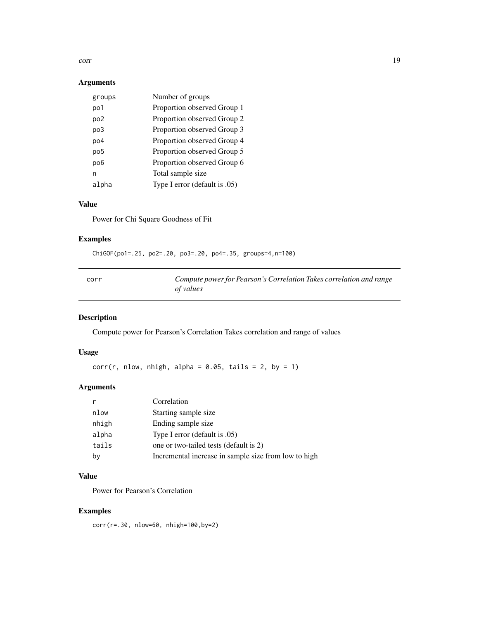#### <span id="page-18-0"></span>corr and the contract of the contract of the contract of the contract of the contract of the contract of the contract of the contract of the contract of the contract of the contract of the contract of the contract of the c

### Arguments

| groups          | Number of groups              |
|-----------------|-------------------------------|
| po1             | Proportion observed Group 1   |
| po <sub>2</sub> | Proportion observed Group 2   |
| po3             | Proportion observed Group 3   |
| po4             | Proportion observed Group 4   |
| po <sub>5</sub> | Proportion observed Group 5   |
| po <sub>6</sub> | Proportion observed Group 6   |
| n               | Total sample size             |
| alpha           | Type I error (default is .05) |

### Value

Power for Chi Square Goodness of Fit

### Examples

ChiGOF(po1=.25, po2=.20, po3=.20, po4=.35, groups=4,n=100)

| corr | Compute power for Pearson's Correlation Takes correlation and range |
|------|---------------------------------------------------------------------|
|      | of values                                                           |

### Description

Compute power for Pearson's Correlation Takes correlation and range of values

### Usage

 $corr(r, nlow, nhigh, alpha = 0.05, tails = 2, by = 1)$ 

### Arguments

|       | Correlation                                          |
|-------|------------------------------------------------------|
| nlow  | Starting sample size                                 |
| nhigh | Ending sample size                                   |
| alpha | Type I error (default is .05)                        |
| tails | one or two-tailed tests (default is 2)               |
| by    | Incremental increase in sample size from low to high |

### Value

Power for Pearson's Correlation

### Examples

corr(r=.30, nlow=60, nhigh=100,by=2)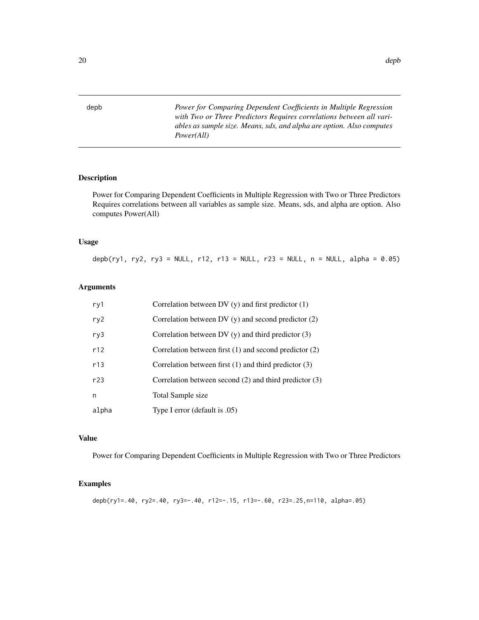<span id="page-19-0"></span>depb *Power for Comparing Dependent Coefficients in Multiple Regression with Two or Three Predictors Requires correlations between all variables as sample size. Means, sds, and alpha are option. Also computes Power(All)*

#### Description

Power for Comparing Dependent Coefficients in Multiple Regression with Two or Three Predictors Requires correlations between all variables as sample size. Means, sds, and alpha are option. Also computes Power(All)

#### Usage

depb(ry1, ry2, ry3 = NULL, r12, r13 = NULL, r23 = NULL, n = NULL, alpha =  $0.05$ )

#### Arguments

| ry1   | Correlation between DV $(y)$ and first predictor $(1)$     |
|-------|------------------------------------------------------------|
| ry2   | Correlation between DV $(y)$ and second predictor $(2)$    |
| ry3   | Correlation between DV $(y)$ and third predictor $(3)$     |
| r12   | Correlation between first $(1)$ and second predictor $(2)$ |
| r13   | Correlation between first $(1)$ and third predictor $(3)$  |
| r23   | Correlation between second $(2)$ and third predictor $(3)$ |
| n     | Total Sample size                                          |
| alpha | Type I error (default is .05)                              |

#### Value

Power for Comparing Dependent Coefficients in Multiple Regression with Two or Three Predictors

#### Examples

depb(ry1=.40, ry2=.40, ry3=-.40, r12=-.15, r13=-.60, r23=.25,n=110, alpha=.05)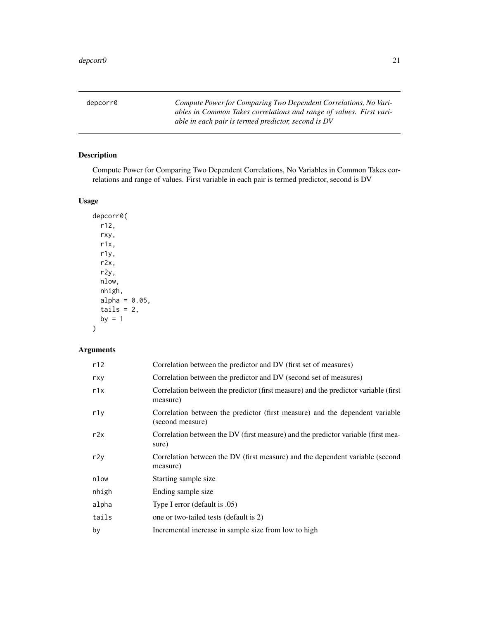<span id="page-20-0"></span>depcorr0 *Compute Power for Comparing Two Dependent Correlations, No Variables in Common Takes correlations and range of values. First variable in each pair is termed predictor, second is DV*

### Description

Compute Power for Comparing Two Dependent Correlations, No Variables in Common Takes correlations and range of values. First variable in each pair is termed predictor, second is DV

### Usage

depcorr0( r12, rxy, r1x, r1y, r2x, r2y, nlow, nhigh,  $alpha = 0.05$ , tails =  $2$ , by  $= 1$ 

### Arguments

)

| r12   | Correlation between the predictor and DV (first set of measures)                                 |
|-------|--------------------------------------------------------------------------------------------------|
| rxy   | Correlation between the predictor and DV (second set of measures)                                |
| r1x   | Correlation between the predictor (first measure) and the predictor variable (first<br>measure)  |
| r1y   | Correlation between the predictor (first measure) and the dependent variable<br>(second measure) |
| r2x   | Correlation between the DV (first measure) and the predictor variable (first mea-<br>sure)       |
| r2y   | Correlation between the DV (first measure) and the dependent variable (second<br>measure)        |
| nlow  | Starting sample size                                                                             |
| nhigh | Ending sample size                                                                               |
| alpha | Type I error (default is .05)                                                                    |
| tails | one or two-tailed tests (default is 2)                                                           |
| by    | Incremental increase in sample size from low to high                                             |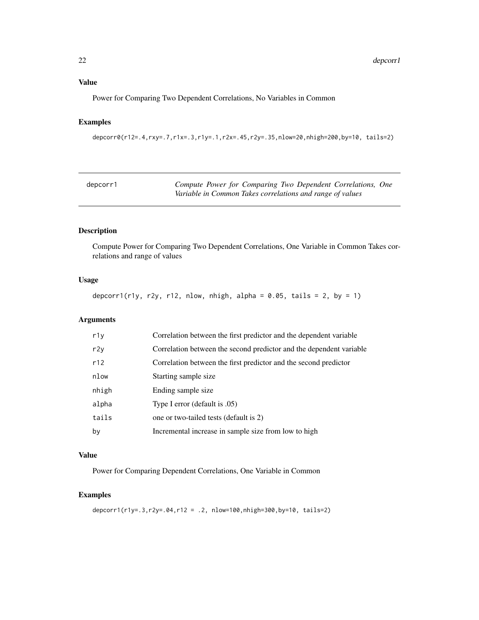<span id="page-21-0"></span>Power for Comparing Two Dependent Correlations, No Variables in Common

### Examples

```
depcorr0(r12=.4,rxy=.7,r1x=.3,r1y=.1,r2x=.45,r2y=.35,nlow=20,nhigh=200,by=10, tails=2)
```

| depcorr1 | Compute Power for Comparing Two Dependent Correlations, One |
|----------|-------------------------------------------------------------|
|          | Variable in Common Takes correlations and range of values   |

### Description

Compute Power for Comparing Two Dependent Correlations, One Variable in Common Takes correlations and range of values

### Usage

depcorr1(r1y, r2y, r12, nlow, nhigh, alpha =  $0.05$ , tails = 2, by = 1)

### Arguments

| r1y   | Correlation between the first predictor and the dependent variable  |
|-------|---------------------------------------------------------------------|
| r2y   | Correlation between the second predictor and the dependent variable |
| r12   | Correlation between the first predictor and the second predictor    |
| nlow  | Starting sample size                                                |
| nhigh | Ending sample size                                                  |
| alpha | Type I error (default is .05)                                       |
| tails | one or two-tailed tests (default is 2)                              |
| bγ    | Incremental increase in sample size from low to high                |

### Value

Power for Comparing Dependent Correlations, One Variable in Common

### Examples

depcorr1(r1y=.3,r2y=.04,r12 = .2, nlow=100,nhigh=300,by=10, tails=2)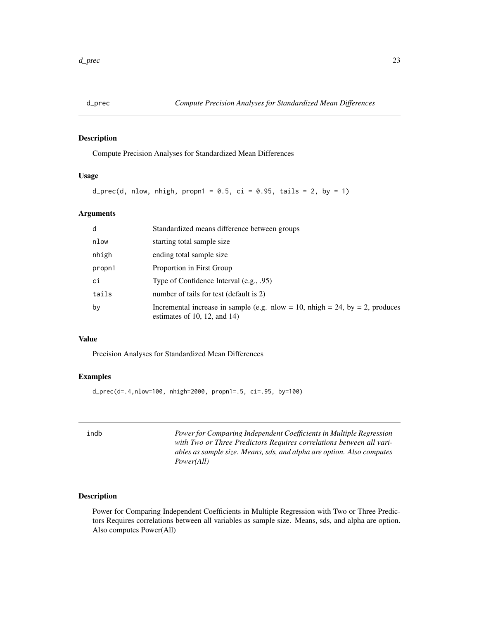<span id="page-22-0"></span>

### Description

Compute Precision Analyses for Standardized Mean Differences

### Usage

```
d_prec(d, nlow, nhigh, propn1 = 0.5, ci = 0.95, tails = 2, by = 1)
```
### Arguments

| d      | Standardized means difference between groups                                                                 |
|--------|--------------------------------------------------------------------------------------------------------------|
| nlow   | starting total sample size                                                                                   |
| nhigh  | ending total sample size                                                                                     |
| propn1 | Proportion in First Group                                                                                    |
| ci     | Type of Confidence Interval (e.g., .95)                                                                      |
| tails  | number of tails for test (default is 2)                                                                      |
| by     | Incremental increase in sample (e.g. nlow = 10, nhigh = 24, by = 2, produces<br>estimates of 10, 12, and 14) |

#### Value

Precision Analyses for Standardized Mean Differences

### Examples

d\_prec(d=.4,nlow=100, nhigh=2000, propn1=.5, ci=.95, by=100)

| indb | Power for Comparing Independent Coefficients in Multiple Regression<br>with Two or Three Predictors Requires correlations between all vari-<br>ables as sample size. Means, sds, and alpha are option. Also computes |
|------|----------------------------------------------------------------------------------------------------------------------------------------------------------------------------------------------------------------------|
|      | <i>Power(All)</i>                                                                                                                                                                                                    |

### Description

Power for Comparing Independent Coefficients in Multiple Regression with Two or Three Predictors Requires correlations between all variables as sample size. Means, sds, and alpha are option. Also computes Power(All)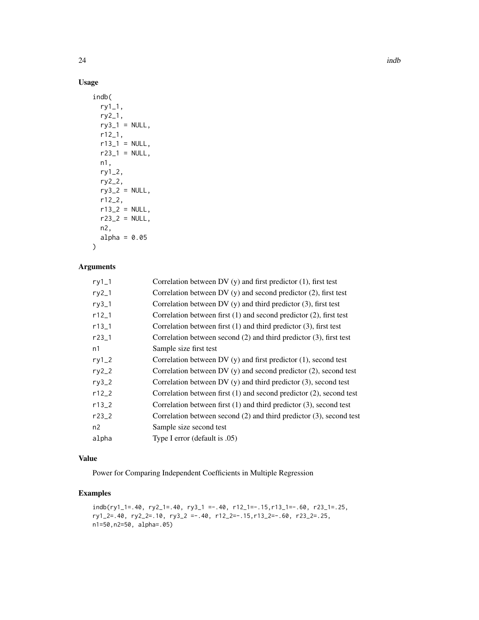### Usage

```
indb(
 ry1_1,
 ry2_1,
 ry3_1 = NULL,r12_1,
 r13_1 = NULL,r23_1 = NULL,n1,
 ry1_2,
 ry2_2,
 ry3_2 = NULL,r12_2,
 r13_2 = NULL,r23_2 = NULL,n2,
 alpha = 0.05\mathcal{L}
```
### Arguments

| $ry1_1$    | Correlation between DV $(y)$ and first predictor $(1)$ , first test      |
|------------|--------------------------------------------------------------------------|
| $ry2_1$    | Correlation between DV $(y)$ and second predictor $(2)$ , first test     |
| $ry3_1$    | Correlation between DV $(y)$ and third predictor $(3)$ , first test      |
| $r12_1$    | Correlation between first $(1)$ and second predictor $(2)$ , first test  |
| $r13_1$    | Correlation between first $(1)$ and third predictor $(3)$ , first test   |
| $r23 - 1$  | Correlation between second $(2)$ and third predictor $(3)$ , first test  |
| n1         | Sample size first test                                                   |
| $ry1_2$    | Correlation between DV $(y)$ and first predictor $(1)$ , second test     |
| $ry2_2$    | Correlation between DV $(y)$ and second predictor $(2)$ , second test    |
| $ry3_2$    | Correlation between DV $(y)$ and third predictor $(3)$ , second test     |
| $r12_2$    | Correlation between first $(1)$ and second predictor $(2)$ , second test |
| $r13_{-}2$ | Correlation between first $(1)$ and third predictor $(3)$ , second test  |
| $r23_{-}2$ | Correlation between second (2) and third predictor (3), second test      |
| n2         | Sample size second test                                                  |
| alpha      | Type I error (default is .05)                                            |
|            |                                                                          |

### Value

Power for Comparing Independent Coefficients in Multiple Regression

### Examples

```
indb(ry1_1=.40, ry2_1=.40, ry3_1 =-.40, r12_1=-.15,r13_1=-.60, r23_1=.25,
ry1_2=.40, ry2_2=.10, ry3_2 =-.40, r12_2=-.15,r13_2=-.60, r23_2=.25,
n1=50,n2=50, alpha=.05)
```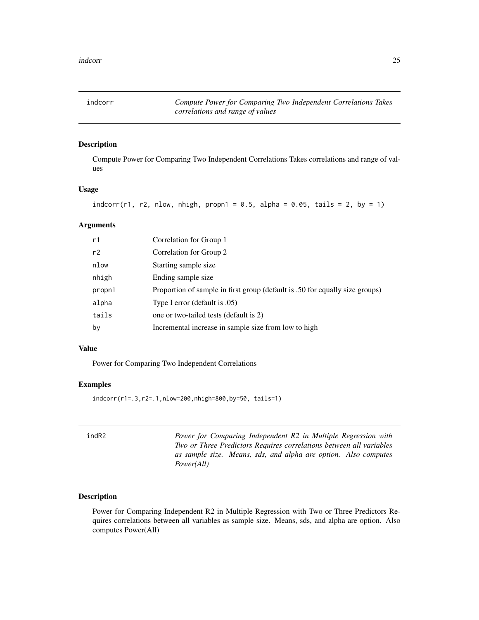<span id="page-24-0"></span>indcorr *Compute Power for Comparing Two Independent Correlations Takes correlations and range of values*

#### Description

Compute Power for Comparing Two Independent Correlations Takes correlations and range of values

### Usage

```
indcorr(r1, r2, nlow, nhigh, propn1 = 0.5, alpha = 0.05, tails = 2, by = 1)
```
#### Arguments

| r1     | Correlation for Group 1                                                      |
|--------|------------------------------------------------------------------------------|
| r2     | Correlation for Group 2                                                      |
| nlow   | Starting sample size                                                         |
| nhigh  | Ending sample size                                                           |
| propn1 | Proportion of sample in first group (default is .50 for equally size groups) |
| alpha  | Type I error (default is .05)                                                |
| tails  | one or two-tailed tests (default is 2)                                       |
| by     | Incremental increase in sample size from low to high                         |

#### Value

Power for Comparing Two Independent Correlations

#### Examples

indcorr(r1=.3,r2=.1,nlow=200,nhigh=800,by=50, tails=1)

| indR2 | Power for Comparing Independent R2 in Multiple Regression with<br>Two or Three Predictors Requires correlations between all variables<br>as sample size. Means, sds, and alpha are option. Also computes<br><i>Power(All)</i> |
|-------|-------------------------------------------------------------------------------------------------------------------------------------------------------------------------------------------------------------------------------|
|       |                                                                                                                                                                                                                               |

### Description

Power for Comparing Independent R2 in Multiple Regression with Two or Three Predictors Requires correlations between all variables as sample size. Means, sds, and alpha are option. Also computes Power(All)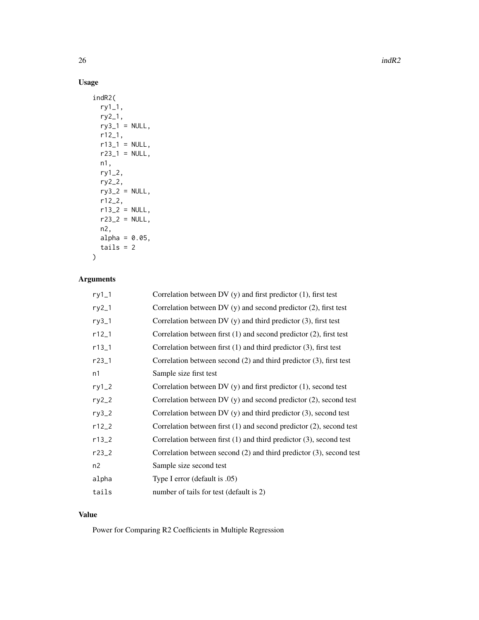### Usage

```
indR2(
 ry1_1,
 ry2_1,
 ry3_1 = NULL,r12_1,
 r13_1 = NULL,r23_1 = NULL,n1,
 ry1_2,
 ry2_2,
 ry3_2 = NULL,r12_2,
 r13_2 = NULL,r23_2 = NULL,n2,
 alpha = 0.05,
  tails = 2\mathcal{L}
```
### Arguments

| $ry1_1$ | Correlation between DV $(y)$ and first predictor $(1)$ , first test      |
|---------|--------------------------------------------------------------------------|
| $ry2_1$ | Correlation between $DV(y)$ and second predictor $(2)$ , first test      |
| $ry3_1$ | Correlation between DV $(y)$ and third predictor $(3)$ , first test      |
| $r12_1$ | Correlation between first $(1)$ and second predictor $(2)$ , first test  |
| $r13_1$ | Correlation between first $(1)$ and third predictor $(3)$ , first test   |
| $r23-1$ | Correlation between second (2) and third predictor (3), first test       |
| n1      | Sample size first test                                                   |
| $ry1_2$ | Correlation between DV $(y)$ and first predictor $(1)$ , second test     |
| $ry2_2$ | Correlation between DV $(y)$ and second predictor $(2)$ , second test    |
| $ry3_2$ | Correlation between DV $(y)$ and third predictor $(3)$ , second test     |
| $r12_2$ | Correlation between first $(1)$ and second predictor $(2)$ , second test |
| $r13_2$ | Correlation between first $(1)$ and third predictor $(3)$ , second test  |
| $r23-2$ | Correlation between second $(2)$ and third predictor $(3)$ , second test |
| n2      | Sample size second test                                                  |
| alpha   | Type I error (default is .05)                                            |
| tails   | number of tails for test (default is 2)                                  |

#### Value

Power for Comparing R2 Coefficients in Multiple Regression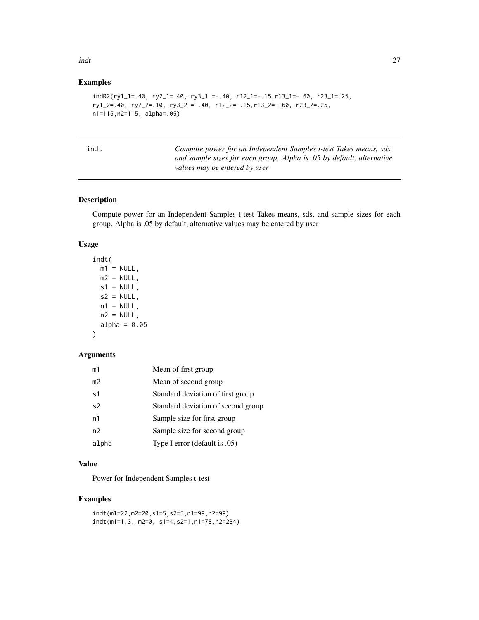#### <span id="page-26-0"></span>indt 27

### Examples

```
indR2(ry1_1=.40, ry2_1=.40, ry3_1 =-.40, r12_1=-.15,r13_1=-.60, r23_1=.25,
ry1_2=.40, ry2_2=.10, ry3_2 =-.40, r12_2=-.15,r13_2=-.60, r23_2=.25,
n1=115,n2=115, alpha=.05)
```

t *Compute power for an Independent Samples t-test Takes means, sds, and sample sizes for each group. Alpha is .05 by default, alternative values may be entered by user*

#### Description

Compute power for an Independent Samples t-test Takes means, sds, and sample sizes for each group. Alpha is .05 by default, alternative values may be entered by user

### Usage

```
indt(
 m1 = NULL,m2 = NULL,s1 = NULL,s2 = NULL,n1 = NULL,n2 = NULL,alpha = 0.05
```

```
)
```
#### Arguments

| m1             | Mean of first group                |
|----------------|------------------------------------|
| m <sub>2</sub> | Mean of second group               |
| s1             | Standard deviation of first group  |
| s <sub>2</sub> | Standard deviation of second group |
| n1             | Sample size for first group        |
| n2             | Sample size for second group       |
| alpha          | Type I error (default is .05)      |

#### Value

Power for Independent Samples t-test

#### Examples

```
indt(m1=22,m2=20,s1=5,s2=5,n1=99,n2=99)
indt(m1=1.3, m2=0, s1=4,s2=1,n1=78,n2=234)
```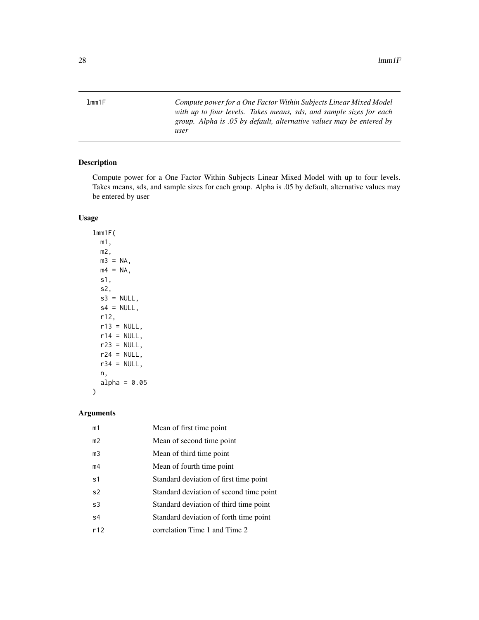<span id="page-27-0"></span>lmm1F *Compute power for a One Factor Within Subjects Linear Mixed Model with up to four levels. Takes means, sds, and sample sizes for each group. Alpha is .05 by default, alternative values may be entered by user*

### Description

Compute power for a One Factor Within Subjects Linear Mixed Model with up to four levels. Takes means, sds, and sample sizes for each group. Alpha is .05 by default, alternative values may be entered by user

### Usage

lmm1F( m1, m2,  $m3 = NA$ ,  $m4 = NA$ , s1, s2,  $s3 = NULL,$  $s4 = NULL,$ r12,  $r13 = NULL,$  $r14 = NULL,$  $r23 = NULL,$  $r24 = NULL,$  $r34 = NULL,$ n, alpha =  $0.05$ 

### Arguments

)

| m1             | Mean of first time point                |
|----------------|-----------------------------------------|
| m <sub>2</sub> | Mean of second time point               |
| m <sub>3</sub> | Mean of third time point                |
| m4             | Mean of fourth time point               |
| s <sub>1</sub> | Standard deviation of first time point  |
| s <sub>2</sub> | Standard deviation of second time point |
| s3             | Standard deviation of third time point  |
| s <sub>4</sub> | Standard deviation of forth time point  |
| r12            | correlation Time 1 and Time 2           |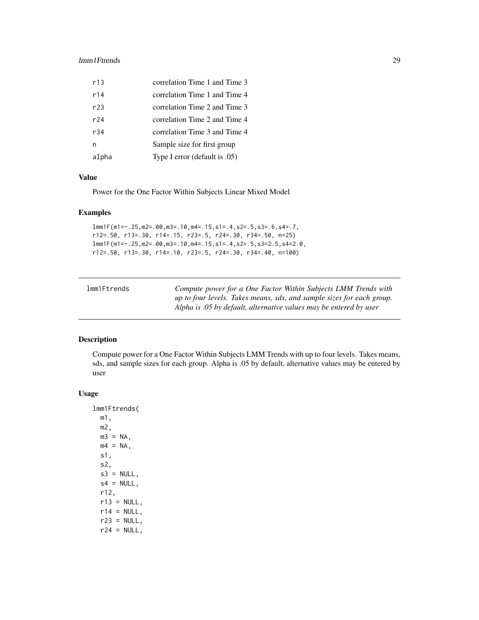#### <span id="page-28-0"></span>lmm1Ftrends 29

| r13    | correlation Time 1 and Time 3 |
|--------|-------------------------------|
| r14    | correlation Time 1 and Time 4 |
| r23    | correlation Time 2 and Time 3 |
| $r$ 24 | correlation Time 2 and Time 4 |
| r34    | correlation Time 3 and Time 4 |
| n      | Sample size for first group   |
| alpha  | Type I error (default is .05) |

### Value

Power for the One Factor Within Subjects Linear Mixed Model

#### Examples

lmm1F(m1=-.25,m2=.00,m3=.10,m4=.15,s1=.4,s2=.5,s3=.6,s4=.7, r12=.50, r13=.30, r14=.15, r23=.5, r24=.30, r34=.50, n=25) lmm1F(m1=-.25,m2=.00,m3=.10,m4=.15,s1=.4,s2=.5,s3=2.5,s4=2.0, r12=.50, r13=.30, r14=.10, r23=.5, r24=.30, r34=.40, n=100)

| lmm1Ftrends | Compute power for a One Factor Within Subjects LMM Trends with        |
|-------------|-----------------------------------------------------------------------|
|             | up to four levels. Takes means, sds, and sample sizes for each group. |
|             | Alpha is .05 by default, alternative values may be entered by user    |

### Description

Compute power for a One Factor Within Subjects LMM Trends with up to four levels. Takes means, sds, and sample sizes for each group. Alpha is .05 by default, alternative values may be entered by user

#### Usage

lmm1Ftrends(

m1, m2,  $m3 = NA$ ,  $m4 = NA$ , s1, s2,  $s3 = NULL,$  $s4 = NULL,$ r12,  $r13 = NULL,$  $r14 = NULL,$  $r23 = NULL,$  $r24 = NULL,$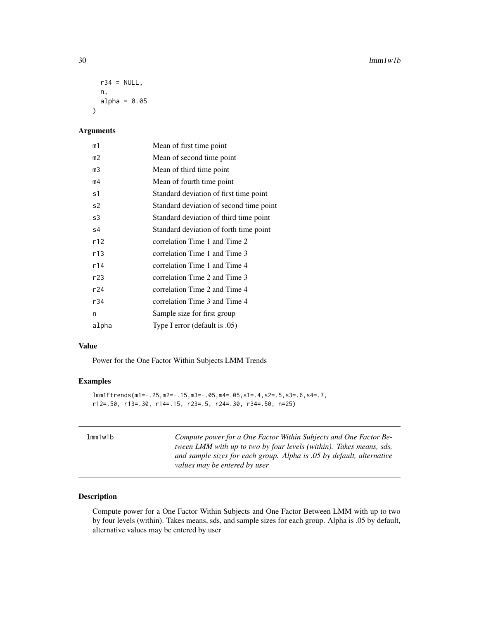```
r34 = NULL,n,
  alpha = 0.05\lambda
```
### Arguments

| m1    | Mean of first time point                |
|-------|-----------------------------------------|
| m2    | Mean of second time point               |
| m3    | Mean of third time point                |
| m4    | Mean of fourth time point               |
| s1    | Standard deviation of first time point  |
| s2    | Standard deviation of second time point |
| s3    | Standard deviation of third time point  |
| s4    | Standard deviation of forth time point  |
| r12   | correlation Time 1 and Time 2           |
| r13   | correlation Time 1 and Time 3           |
| r14   | correlation Time 1 and Time 4           |
| r23   | correlation Time 2 and Time 3           |
| r24   | correlation Time 2 and Time 4           |
| r34   | correlation Time 3 and Time 4           |
| n     | Sample size for first group             |
| alpha | Type I error (default is .05)           |

#### Value

Power for the One Factor Within Subjects LMM Trends

### Examples

```
lmm1Ftrends(m1=-.25,m2=-.15,m3=-.05,m4=.05,s1=.4,s2=.5,s3=.6,s4=.7,
r12=.50, r13=.30, r14=.15, r23=.5, r24=.30, r34=.50, n=25)
```

| lmm1w1b | Compute power for a One Factor Within Subjects and One Factor Be-<br>tween LMM with up to two by four levels (within). Takes means, sds,<br>and sample sizes for each group. Alpha is .05 by default, alternative |
|---------|-------------------------------------------------------------------------------------------------------------------------------------------------------------------------------------------------------------------|
|         | values may be entered by user                                                                                                                                                                                     |

### Description

Compute power for a One Factor Within Subjects and One Factor Between LMM with up to two by four levels (within). Takes means, sds, and sample sizes for each group. Alpha is .05 by default, alternative values may be entered by user

<span id="page-29-0"></span>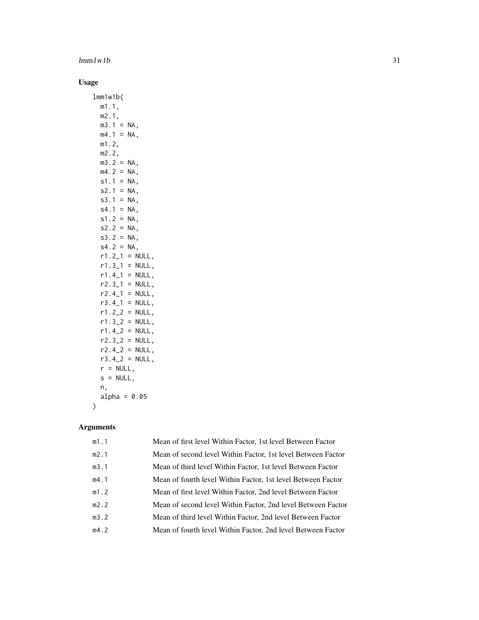## $lmm1w1b$  31

# Usage

|   | lmm1w1b(         |                   |
|---|------------------|-------------------|
|   | m1.1,            |                   |
|   | m2.1,            |                   |
|   | $m3.1 =$         | NA.               |
|   | m4.1<br>$=$      | NA,               |
|   | m1.2             |                   |
|   | m2.2,            |                   |
|   | m3.2<br>$=$      | NA,               |
|   | m4.2<br>$=$      | NA,               |
|   | $s1.1 =$         | NA.               |
|   | s2.1<br>$\equiv$ | NA.               |
|   | s3.1<br>$\equiv$ | NA,               |
|   | s4.1<br>$=$      | NA,               |
|   | $s1.2 =$         | NA,               |
|   | $s2.2 =$         | NA,               |
|   | $s3.2 =$         | NA,               |
|   | $s4.2 =$         | NA,               |
|   | $r1.2_1$         | $=$<br>NULL,      |
|   | $r1.3 - 1$       | NULL,<br>$=$      |
|   | $r1.4_1$         | NULL,<br>$=$      |
|   | r2.3_1           | $=$<br>NULL,      |
|   | $r2.4 - 1$       | NULL,<br>$=$      |
|   | $r3.4-1$         |                   |
|   | $r1.2_2$         | NULL,<br>$\equiv$ |
|   |                  | NULL,<br>$=$      |
|   | r1.3_2           | NULL,<br>$\equiv$ |
|   | $r1.4_2$         | NULL,<br>$\equiv$ |
|   | r2.3_2           | NULL,<br>$=$      |
|   | $r2.4_2$         | NULL,<br>$=$      |
|   | $r3.4_2$         | NULL,<br>$=$      |
|   | $r = NULL,$      |                   |
|   | $s = NULL,$      |                   |
|   | n,               |                   |
|   | alpha =          | 0.05              |
| ∋ |                  |                   |

| m1.1 | Mean of first level Within Factor, 1st level Between Factor  |
|------|--------------------------------------------------------------|
| m2.1 | Mean of second level Within Factor, 1st level Between Factor |
| m3.1 | Mean of third level Within Factor, 1st level Between Factor  |
| m4.1 | Mean of fourth level Within Factor, 1st level Between Factor |
| m1.2 | Mean of first level Within Factor, 2nd level Between Factor  |
| m2.2 | Mean of second level Within Factor, 2nd level Between Factor |
| m3.2 | Mean of third level Within Factor, 2nd level Between Factor  |
| m4.2 | Mean of fourth level Within Factor, 2nd level Between Factor |
|      |                                                              |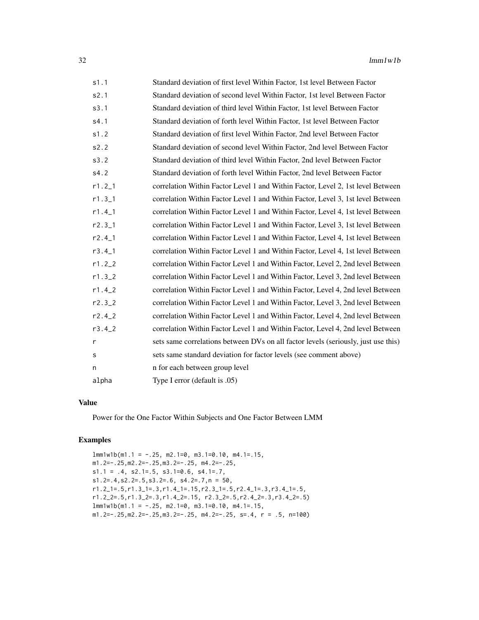| s1.1        | Standard deviation of first level Within Factor, 1st level Between Factor          |
|-------------|------------------------------------------------------------------------------------|
| s2.1        | Standard deviation of second level Within Factor, 1st level Between Factor         |
| s3.1        | Standard deviation of third level Within Factor, 1st level Between Factor          |
| s4.1        | Standard deviation of forth level Within Factor, 1st level Between Factor          |
| s1.2        | Standard deviation of first level Within Factor, 2nd level Between Factor          |
| s2.2        | Standard deviation of second level Within Factor, 2nd level Between Factor         |
| s3.2        | Standard deviation of third level Within Factor, 2nd level Between Factor          |
| s4.2        | Standard deviation of forth level Within Factor, 2nd level Between Factor          |
| $r1.2 - 1$  | correlation Within Factor Level 1 and Within Factor, Level 2, 1st level Between    |
| $r1.3_1$    | correlation Within Factor Level 1 and Within Factor, Level 3, 1st level Between    |
| $r1.4_1$    | correlation Within Factor Level 1 and Within Factor, Level 4, 1st level Between    |
| $r2.3-1$    | correlation Within Factor Level 1 and Within Factor, Level 3, 1st level Between    |
| $r2.4-1$    | correlation Within Factor Level 1 and Within Factor, Level 4, 1st level Between    |
| $r3.4\_1$   | correlation Within Factor Level 1 and Within Factor, Level 4, 1st level Between    |
| $r1.2_{-2}$ | correlation Within Factor Level 1 and Within Factor, Level 2, 2nd level Between    |
| $r1.3 - 2$  | correlation Within Factor Level 1 and Within Factor, Level 3, 2nd level Between    |
| $r1.4_2$    | correlation Within Factor Level 1 and Within Factor, Level 4, 2nd level Between    |
| r2.32       | correlation Within Factor Level 1 and Within Factor, Level 3, 2nd level Between    |
| $r2.4_2$    | correlation Within Factor Level 1 and Within Factor, Level 4, 2nd level Between    |
| $r3.4-2$    | correlation Within Factor Level 1 and Within Factor, Level 4, 2nd level Between    |
| r           | sets same correlations between DVs on all factor levels (seriously, just use this) |
| s           | sets same standard deviation for factor levels (see comment above)                 |
| n           | n for each between group level                                                     |
| alpha       | Type I error (default is .05)                                                      |

Power for the One Factor Within Subjects and One Factor Between LMM

#### Examples

```
lmm1w1b(m1.1 = -.25, m2.1=0, m3.1=0.10, m4.1=.15,m1.2=-.25,m2.2=-.25,m3.2=-.25, m4.2=-.25,
s1.1 = .4, s2.1 = .5, s3.1 = 0.6, s4.1 = .7,
s1.2=.4,s2.2=.5,s3.2=.6, s4.2=.7,n = 50,
r1.2_1=.5,r1.3_1=.3,r1.4_1=.15,r2.3_1=.5,r2.4_1=.3,r3.4_1=.5,
r1.2_2=.5,r1.3_2=.3,r1.4_2=.15, r2.3_2=.5,r2.4_2=.3,r3.4_2=.5)
lmm1w1b(m1.1 = -.25, m2.1=0, m3.1=0.10, m4.1=.15,m1.2=-.25, m2.2=-.25, m3.2=-.25, m4.2=-.25, s=.4, r = .5, n=100)
```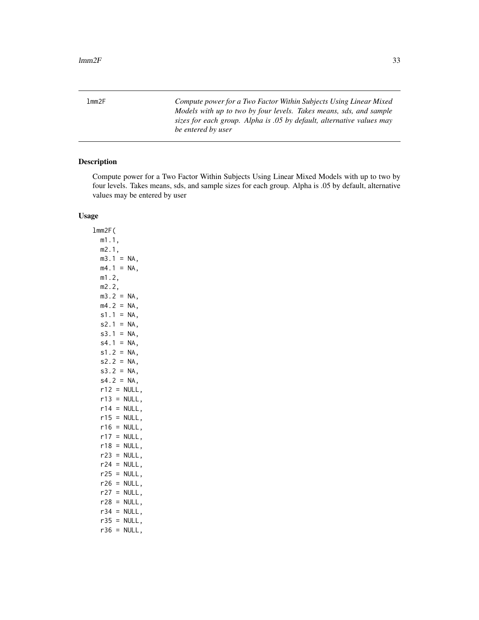<span id="page-32-0"></span>lmm2F *Compute power for a Two Factor Within Subjects Using Linear Mixed Models with up to two by four levels. Takes means, sds, and sample sizes for each group. Alpha is .05 by default, alternative values may be entered by user*

### Description

Compute power for a Two Factor Within Subjects Using Linear Mixed Models with up to two by four levels. Takes means, sds, and sample sizes for each group. Alpha is .05 by default, alternative values may be entered by user

#### Usage

lmm2F( m1.1, m2.1,  $m3.1 = NA$ ,  $mA.1 = NA$ , m1.2, m2.2,  $m3.2 = NA$ ,  $mA.2 = NA,$  $s1.1 = NA$ ,  $s2.1 = NA$ ,  $s3.1 = NA$ ,  $s4.1 = NA$ ,  $s1.2 = NA$ ,  $s2.2 = NA$ ,  $s3.2 = NA$ ,  $s4.2 = NA$ ,  $r12 = NULL,$  $r13 = NULL,$  $r14 = NULL,$  $r15 = NULL,$  $r16 = NULL,$  $r17 = NULL,$  $r18 = NULL,$  $r23 = NULL,$  $r24 = NULL,$  $r25 = NULL,$  $r26$  = NULL,  $r27 = NULL,$  $r28 = NULL$ ,  $r34 = NULL,$  $r35 = NULL,$  $r36 = NULL,$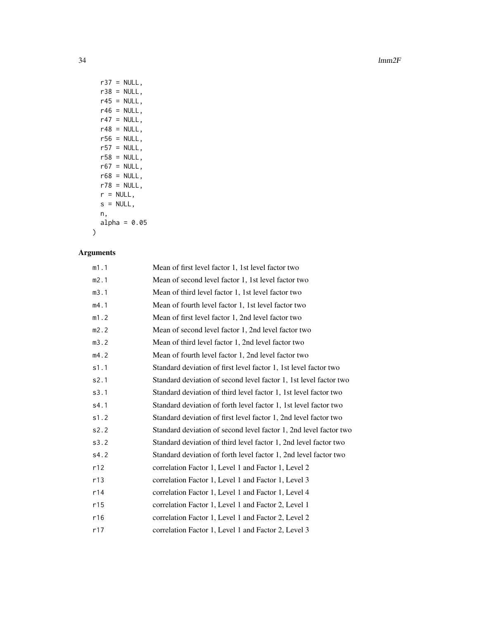34 lmm2F

| NULL.<br>r37<br>$=$ |
|---------------------|
| r38 =<br>NULL,      |
| r45 =<br>NULL.      |
| r46 =<br>NULL.      |
| r47 =<br>NULL.      |
| r48 =<br>NULL.      |
| r56 =<br>NULL,      |
| $r57 =$<br>NULL.    |
| r58 =<br>NULL.      |
| r67 =<br>NULL,      |
| $r68 = NULL,$       |
| $r78 = NULL,$       |
| $r = NULL,$         |
| s = NULL.           |
| n,                  |
| alpha = $0.05$      |
|                     |

| m1.1 | Mean of first level factor 1, 1st level factor two                |
|------|-------------------------------------------------------------------|
| m2.1 | Mean of second level factor 1, 1st level factor two               |
| m3.1 | Mean of third level factor 1, 1st level factor two                |
| m4.1 | Mean of fourth level factor 1, 1st level factor two               |
| m1.2 | Mean of first level factor 1, 2nd level factor two                |
| m2.2 | Mean of second level factor 1, 2nd level factor two               |
| m3.2 | Mean of third level factor 1, 2nd level factor two                |
| m4.2 | Mean of fourth level factor 1, 2nd level factor two               |
| s1.1 | Standard deviation of first level factor 1, 1st level factor two  |
| s2.1 | Standard deviation of second level factor 1, 1st level factor two |
| s3.1 | Standard deviation of third level factor 1, 1st level factor two  |
| s4.1 | Standard deviation of forth level factor 1, 1st level factor two  |
| s1.2 | Standard deviation of first level factor 1, 2nd level factor two  |
| s2.2 | Standard deviation of second level factor 1, 2nd level factor two |
| s3.2 | Standard deviation of third level factor 1, 2nd level factor two  |
| s4.2 | Standard deviation of forth level factor 1, 2nd level factor two  |
| r12  | correlation Factor 1, Level 1 and Factor 1, Level 2               |
| r13  | correlation Factor 1, Level 1 and Factor 1, Level 3               |
| r14  | correlation Factor 1, Level 1 and Factor 1, Level 4               |
| r15  | correlation Factor 1, Level 1 and Factor 2, Level 1               |
| r16  | correlation Factor 1, Level 1 and Factor 2, Level 2               |
| r17  | correlation Factor 1, Level 1 and Factor 2, Level 3               |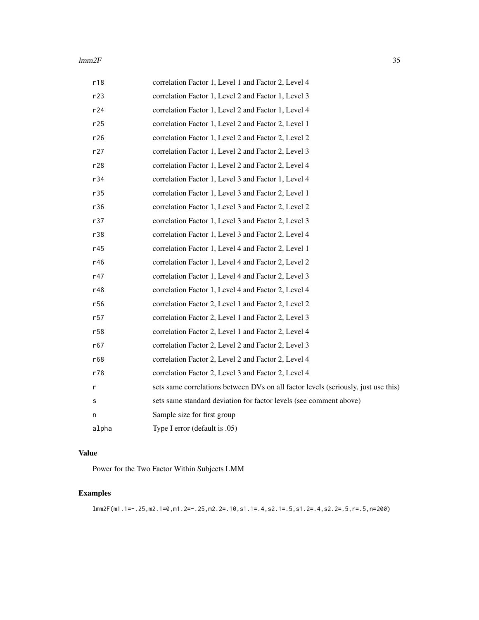#### $lmm2F$  35

| r18             | correlation Factor 1, Level 1 and Factor 2, Level 4                                |
|-----------------|------------------------------------------------------------------------------------|
| r23             | correlation Factor 1, Level 2 and Factor 1, Level 3                                |
| r24             | correlation Factor 1, Level 2 and Factor 1, Level 4                                |
| r25             | correlation Factor 1, Level 2 and Factor 2, Level 1                                |
| r26             | correlation Factor 1, Level 2 and Factor 2, Level 2                                |
| r27             | correlation Factor 1, Level 2 and Factor 2, Level 3                                |
| r28             | correlation Factor 1, Level 2 and Factor 2, Level 4                                |
| r34             | correlation Factor 1, Level 3 and Factor 1, Level 4                                |
| r35             | correlation Factor 1, Level 3 and Factor 2, Level 1                                |
| r36             | correlation Factor 1, Level 3 and Factor 2, Level 2                                |
| r37             | correlation Factor 1, Level 3 and Factor 2, Level 3                                |
| r38             | correlation Factor 1, Level 3 and Factor 2, Level 4                                |
| r45             | correlation Factor 1, Level 4 and Factor 2, Level 1                                |
| r46             | correlation Factor 1, Level 4 and Factor 2, Level 2                                |
| r47             | correlation Factor 1, Level 4 and Factor 2, Level 3                                |
| r48             | correlation Factor 1, Level 4 and Factor 2, Level 4                                |
| r56             | correlation Factor 2, Level 1 and Factor 2, Level 2                                |
| r57             | correlation Factor 2, Level 1 and Factor 2, Level 3                                |
| r <sub>58</sub> | correlation Factor 2, Level 1 and Factor 2, Level 4                                |
| r67             | correlation Factor 2, Level 2 and Factor 2, Level 3                                |
| r68             | correlation Factor 2, Level 2 and Factor 2, Level 4                                |
| r78             | correlation Factor 2, Level 3 and Factor 2, Level 4                                |
| r               | sets same correlations between DVs on all factor levels (seriously, just use this) |
| s               | sets same standard deviation for factor levels (see comment above)                 |
| n               | Sample size for first group                                                        |
| alpha           | Type I error (default is .05)                                                      |

### Value

Power for the Two Factor Within Subjects LMM

# Examples

lmm2F(m1.1=-.25,m2.1=0,m1.2=-.25,m2.2=.10,s1.1=.4,s2.1=.5,s1.2=.4,s2.2=.5,r=.5,n=200)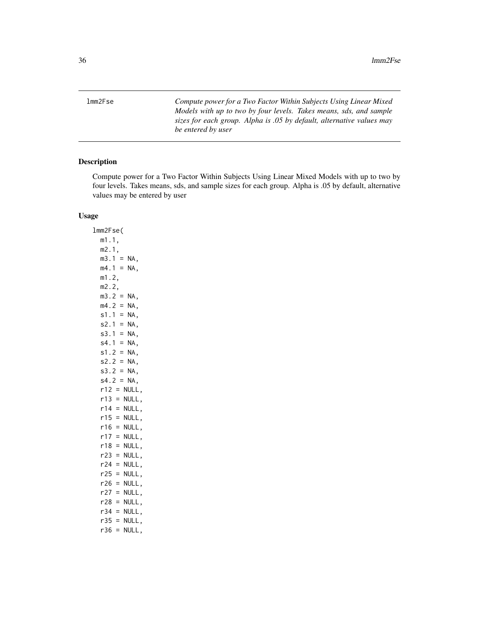<span id="page-35-0"></span>lmm2Fse *Compute power for a Two Factor Within Subjects Using Linear Mixed Models with up to two by four levels. Takes means, sds, and sample sizes for each group. Alpha is .05 by default, alternative values may be entered by user*

### Description

Compute power for a Two Factor Within Subjects Using Linear Mixed Models with up to two by four levels. Takes means, sds, and sample sizes for each group. Alpha is .05 by default, alternative values may be entered by user

#### Usage

lmm2Fse( m1.1, m2.1,  $m3.1 = NA$ ,  $mA.1 = NA$ , m1.2, m2.2,  $m3.2 = NA$ ,  $mA.2 = NA,$  $s1.1 = NA$ ,  $s2.1 = NA$ ,  $s3.1 = NA$ ,  $s4.1 = NA$ ,  $s1.2 = NA$ ,  $s2.2 = NA$ ,  $s3.2 = NA$ ,  $s4.2 = NA$ ,  $r12 = NULL,$  $r13 = NULL,$  $r14 = NULL,$  $r15 = NULL,$  $r16 = NULL,$  $r17 = NULL,$  $r18 = NULL,$  $r23 = NULL,$  $r24 = NULL,$  $r25 = NULL,$  $r26$  = NULL,  $r27 = NULL,$  $r28 = NULL$ ,  $r34 = NULL,$  $r35 = NULL,$  $r36 = NULL,$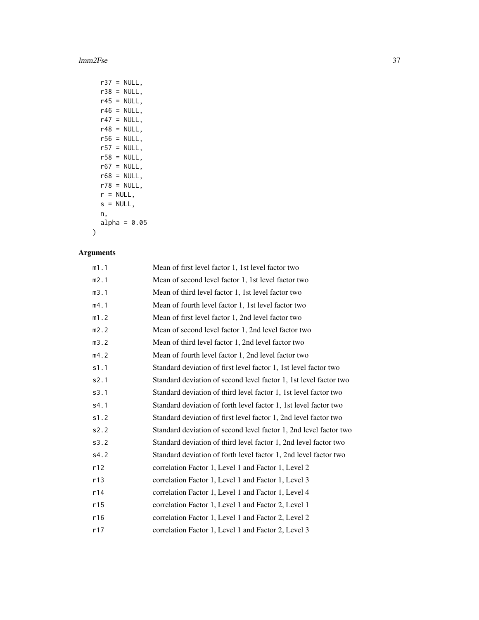#### lmm2Fse 37

| r37        | NULL.<br>Ξ   |
|------------|--------------|
| r38        | NULL,<br>$=$ |
| r45 i      | NULL.<br>$=$ |
| r46 =      | NULL.        |
| r47<br>$=$ | NULL.        |
| r48 =      | NULL.        |
| r56 =      | NULL.        |
| r57 =      | NULL.        |
| r58 =      | NULL.        |
| r67        | $=$<br>NULL. |
| r68 =      | NULL.        |
| r78 =      | NULL.        |
| $r =$      | NULL,        |
| $S =$      | NULL.        |
| n,         |              |
|            | alpha = 0.05 |
|            |              |

# Arguments

| m1.1 | Mean of first level factor 1, 1st level factor two                |
|------|-------------------------------------------------------------------|
| m2.1 | Mean of second level factor 1, 1st level factor two               |
| m3.1 | Mean of third level factor 1, 1st level factor two                |
| m4.1 | Mean of fourth level factor 1, 1st level factor two               |
| m1.2 | Mean of first level factor 1, 2nd level factor two                |
| m2.2 | Mean of second level factor 1, 2nd level factor two               |
| m3.2 | Mean of third level factor 1, 2nd level factor two                |
| m4.2 | Mean of fourth level factor 1, 2nd level factor two               |
| s1.1 | Standard deviation of first level factor 1, 1st level factor two  |
| s2.1 | Standard deviation of second level factor 1, 1st level factor two |
| s3.1 | Standard deviation of third level factor 1, 1st level factor two  |
| s4.1 | Standard deviation of forth level factor 1, 1st level factor two  |
| s1.2 | Standard deviation of first level factor 1, 2nd level factor two  |
| s2.2 | Standard deviation of second level factor 1, 2nd level factor two |
| s3.2 | Standard deviation of third level factor 1, 2nd level factor two  |
| s4.2 | Standard deviation of forth level factor 1, 2nd level factor two  |
| r12  | correlation Factor 1, Level 1 and Factor 1, Level 2               |
| r13  | correlation Factor 1, Level 1 and Factor 1, Level 3               |
| r14  | correlation Factor 1, Level 1 and Factor 1, Level 4               |
| r15  | correlation Factor 1, Level 1 and Factor 2, Level 1               |
| r16  | correlation Factor 1, Level 1 and Factor 2, Level 2               |
| r17  | correlation Factor 1, Level 1 and Factor 2, Level 3               |
|      |                                                                   |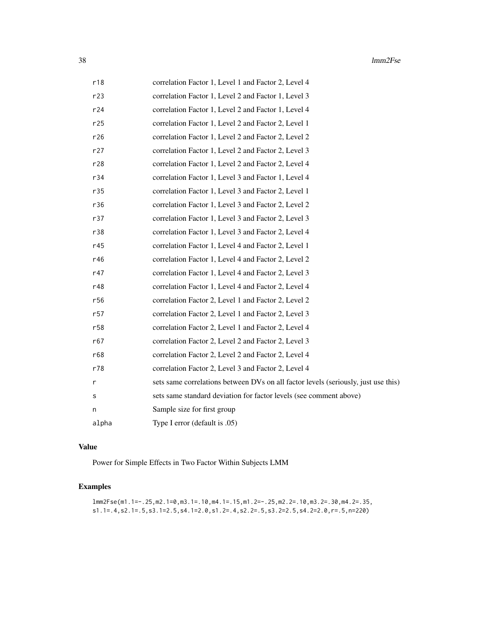| r18   | correlation Factor 1, Level 1 and Factor 2, Level 4                                |
|-------|------------------------------------------------------------------------------------|
| r23   | correlation Factor 1, Level 2 and Factor 1, Level 3                                |
| r24   | correlation Factor 1, Level 2 and Factor 1, Level 4                                |
| r25   | correlation Factor 1, Level 2 and Factor 2, Level 1                                |
| r26   | correlation Factor 1, Level 2 and Factor 2, Level 2                                |
| r27   | correlation Factor 1, Level 2 and Factor 2, Level 3                                |
| r28   | correlation Factor 1, Level 2 and Factor 2, Level 4                                |
| r34   | correlation Factor 1, Level 3 and Factor 1, Level 4                                |
| r35   | correlation Factor 1, Level 3 and Factor 2, Level 1                                |
| r36   | correlation Factor 1, Level 3 and Factor 2, Level 2                                |
| r37   | correlation Factor 1, Level 3 and Factor 2, Level 3                                |
| r38   | correlation Factor 1, Level 3 and Factor 2, Level 4                                |
| r45   | correlation Factor 1, Level 4 and Factor 2, Level 1                                |
| r46   | correlation Factor 1, Level 4 and Factor 2, Level 2                                |
| r47   | correlation Factor 1, Level 4 and Factor 2, Level 3                                |
| r48   | correlation Factor 1, Level 4 and Factor 2, Level 4                                |
| r56   | correlation Factor 2, Level 1 and Factor 2, Level 2                                |
| r57   | correlation Factor 2, Level 1 and Factor 2, Level 3                                |
| r58   | correlation Factor 2, Level 1 and Factor 2, Level 4                                |
| r67   | correlation Factor 2, Level 2 and Factor 2, Level 3                                |
| r68   | correlation Factor 2, Level 2 and Factor 2, Level 4                                |
| r78   | correlation Factor 2, Level 3 and Factor 2, Level 4                                |
| r     | sets same correlations between DVs on all factor levels (seriously, just use this) |
| s     | sets same standard deviation for factor levels (see comment above)                 |
| n     | Sample size for first group                                                        |
| alpha | Type I error (default is .05)                                                      |

#### Value

Power for Simple Effects in Two Factor Within Subjects LMM

# Examples

```
lmm2Fse(m1.1=-.25,m2.1=0,m3.1=.10,m4.1=.15,m1.2=-.25,m2.2=.10,m3.2=.30,m4.2=.35,
s1.1=.4,s2.1=.5,s3.1=2.5,s4.1=2.0,s1.2=.4,s2.2=.5,s3.2=2.5,s4.2=2.0,r=.5,n=220)
```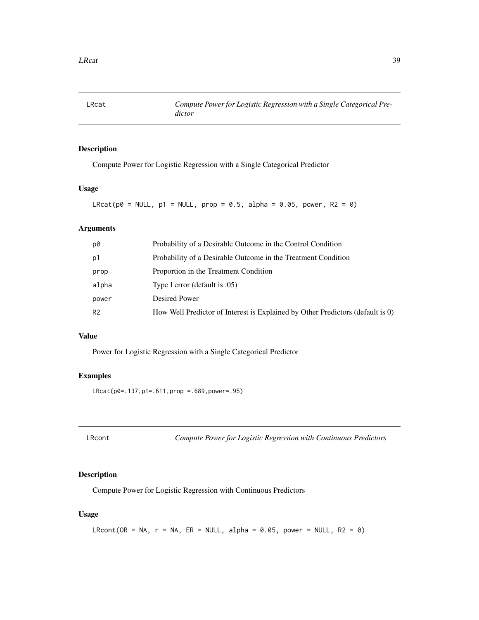## Description

Compute Power for Logistic Regression with a Single Categorical Predictor

## Usage

LRcat(p $\theta$  = NULL, p1 = NULL, prop =  $\theta$ .5, alpha =  $\theta$ . $\theta$ 5, power, R2 =  $\theta$ )

## Arguments

| p0             | Probability of a Desirable Outcome in the Control Condition                    |
|----------------|--------------------------------------------------------------------------------|
| p1             | Probability of a Desirable Outcome in the Treatment Condition                  |
| prop           | Proportion in the Treatment Condition                                          |
| alpha          | Type I error (default is .05)                                                  |
| power          | Desired Power                                                                  |
| R <sub>2</sub> | How Well Predictor of Interest is Explained by Other Predictors (default is 0) |
|                |                                                                                |

# Value

Power for Logistic Regression with a Single Categorical Predictor

## Examples

LRcat(p0=.137,p1=.611,prop =.689,power=.95)

LRcont *Compute Power for Logistic Regression with Continuous Predictors*

## Description

Compute Power for Logistic Regression with Continuous Predictors

## Usage

```
LRcont(OR = NA, r = NA, ER = NULL, alpha = 0.05, power = NULL, R2 = 0)
```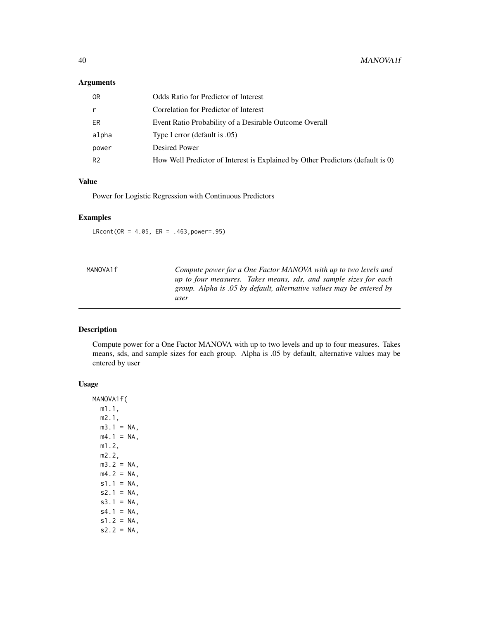## Arguments

| 0R             | Odds Ratio for Predictor of Interest                                           |
|----------------|--------------------------------------------------------------------------------|
| r              | Correlation for Predictor of Interest                                          |
| ER             | Event Ratio Probability of a Desirable Outcome Overall                         |
| alpha          | Type I error (default is .05)                                                  |
| power          | Desired Power                                                                  |
| R <sub>2</sub> | How Well Predictor of Interest is Explained by Other Predictors (default is 0) |

# Value

Power for Logistic Regression with Continuous Predictors

## Examples

 $LRcont(OR = 4.05, ER = .463, power = .95)$ 

| MANOVA1f | Compute power for a One Factor MANOVA with up to two levels and      |  |
|----------|----------------------------------------------------------------------|--|
|          | up to four measures. Takes means, sds, and sample sizes for each     |  |
|          | group. Alpha is .05 by default, alternative values may be entered by |  |
|          | user                                                                 |  |

## Description

Compute power for a One Factor MANOVA with up to two levels and up to four measures. Takes means, sds, and sample sizes for each group. Alpha is .05 by default, alternative values may be entered by user

#### Usage

MANOVA1f( m1.1, m2.1,  $m3.1 = NA$ ,  $m4.1$  = NA, m1.2, m2.2,  $m3.2 = NA$ ,  $mA.2 = NA,$  $s1.1 = NA$ ,  $s2.1 = NA$ ,  $s3.1 = NA$ ,  $s4.1 = NA$ ,  $s1.2 = NA$ ,  $s2.2 = NA$ ,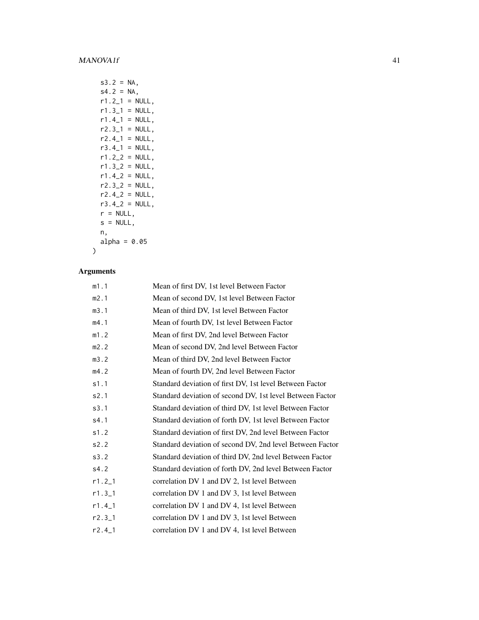| s3.2 =       | ΝA,              |
|--------------|------------------|
| $s4.2 =$     | ΝA,              |
|              | $r1.2_1 = NULL,$ |
|              | $r1.3_1 = NULL,$ |
|              | $r1.4$ = NULL,   |
|              | $r2.3_1 = NULL,$ |
| r2.4 1       | NULL,<br>$=$     |
| r3.4 1       | NULL,<br>$=$     |
| r1.2 2       | NULL,<br>$=$     |
| r1.3 2       | NULL,<br>$=$     |
| $r1.42 =$    | NULL,            |
|              | $r2.32 = NULL,$  |
|              | $r2.42 = NULL,$  |
|              | r3.4_2 = NULL,   |
| $r = NULL,$  |                  |
| $s = NULL,$  |                  |
| n,           |                  |
| alpha = 0.05 |                  |
|              |                  |

# Arguments

| m1.1     | Mean of first DV, 1st level Between Factor                |
|----------|-----------------------------------------------------------|
| m2.1     | Mean of second DV, 1st level Between Factor               |
| m3.1     | Mean of third DV, 1st level Between Factor                |
| m4.1     | Mean of fourth DV, 1st level Between Factor               |
| m1.2     | Mean of first DV, 2nd level Between Factor                |
| m2.2     | Mean of second DV, 2nd level Between Factor               |
| m3.2     | Mean of third DV, 2nd level Between Factor                |
| m4.2     | Mean of fourth DV, 2nd level Between Factor               |
| s1.1     | Standard deviation of first DV, 1st level Between Factor  |
| s2.1     | Standard deviation of second DV, 1st level Between Factor |
| s3.1     | Standard deviation of third DV, 1st level Between Factor  |
| s4.1     | Standard deviation of forth DV, 1st level Between Factor  |
| s1.2     | Standard deviation of first DV, 2nd level Between Factor  |
| s2.2     | Standard deviation of second DV, 2nd level Between Factor |
| s3.2     | Standard deviation of third DV, 2nd level Between Factor  |
| s4.2     | Standard deviation of forth DV, 2nd level Between Factor  |
| $r1.2_1$ | correlation DV 1 and DV 2, 1st level Between              |
| $r1.3-1$ | correlation DV 1 and DV 3, 1st level Between              |
| $r1.4_1$ | correlation DV 1 and DV 4, 1st level Between              |
| $r2.3-1$ | correlation DV 1 and DV 3, 1st level Between              |
| $r2.4-1$ | correlation DV 1 and DV 4, 1st level Between              |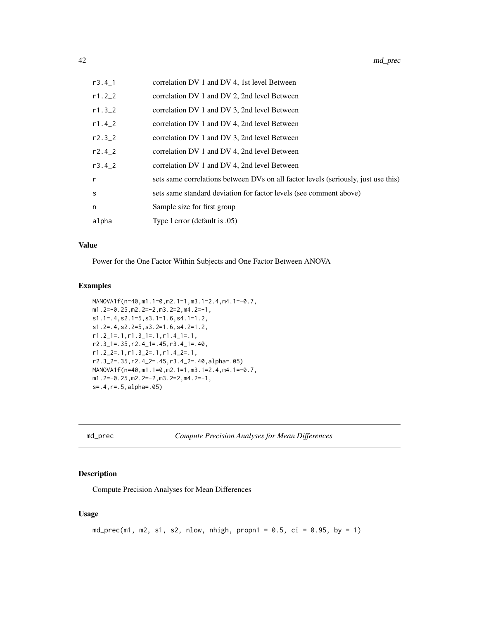| $r3.4-1$   | correlation DV 1 and DV 4, 1st level Between                                       |
|------------|------------------------------------------------------------------------------------|
| $r1.2 - 2$ | correlation DV 1 and DV 2, 2nd level Between                                       |
| $r1.3 - 2$ | correlation DV 1 and DV 3, 2nd level Between                                       |
| $r1.4 - 2$ | correlation DV 1 and DV 4, 2nd level Between                                       |
| $r2.3 - 2$ | correlation DV 1 and DV 3, 2nd level Between                                       |
| $r2.4 - 2$ | correlation DV 1 and DV 4, 2nd level Between                                       |
| r3.42      | correlation DV 1 and DV 4, 2nd level Between                                       |
| r          | sets same correlations between DVs on all factor levels (seriously, just use this) |
| s          | sets same standard deviation for factor levels (see comment above)                 |
| n          | Sample size for first group                                                        |
| alpha      | Type I error (default is .05)                                                      |

## Value

Power for the One Factor Within Subjects and One Factor Between ANOVA

#### Examples

```
MANOVA1f(n=40,m1.1=0,m2.1=1,m3.1=2.4,m4.1=-0.7,
m1.2=-0.25,m2.2=-2,m3.2=2,m4.2=-1,
s1.1=.4,s2.1=5,s3.1=1.6,s4.1=1.2,
s1.2=.4,s2.2=5,s3.2=1.6,s4.2=1.2,
r1.2_1=.1,r1.3_1=.1,r1.4_1=.1,
r2.3_1=.35,r2.4_1=.45,r3.4_1=.40,
r1.2_2=.1,r1.3_2=.1,r1.4_2=.1,
r2.3_2=.35,r2.4_2=.45,r3.4_2=.40,alpha=.05)
MANOVA1f(n=40,m1.1=0,m2.1=1,m3.1=2.4,m4.1=-0.7,
m1.2=-0.25,m2.2=-2,m3.2=2,m4.2=-1,
s=.4,r=.5,alpha=.05)
```

```
md_prec Compute Precision Analyses for Mean Differences
```
## Description

Compute Precision Analyses for Mean Differences

#### Usage

```
md_prec(m1, m2, s1, s2, nlow, nhigh, propn1 = 0.5, ci = 0.95, by = 1)
```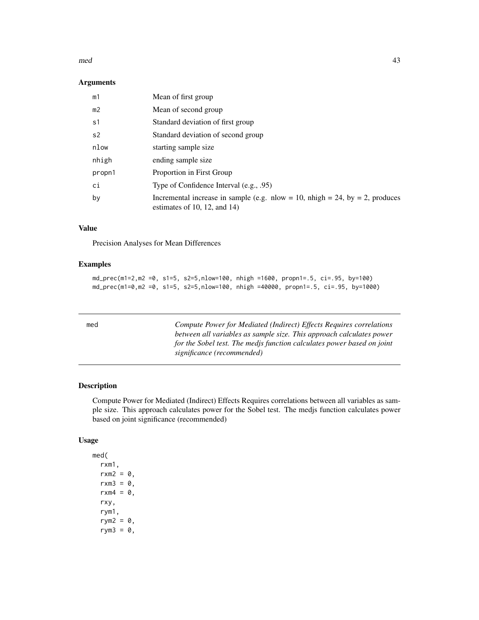#### $\mathbf{mod}$  and  $\mathbf{43}$

## Arguments

| m1             | Mean of first group                                                                                          |
|----------------|--------------------------------------------------------------------------------------------------------------|
| m <sub>2</sub> | Mean of second group                                                                                         |
| s1             | Standard deviation of first group                                                                            |
| s <sub>2</sub> | Standard deviation of second group                                                                           |
| nlow           | starting sample size                                                                                         |
| nhigh          | ending sample size                                                                                           |
| propn1         | Proportion in First Group                                                                                    |
| ci             | Type of Confidence Interval (e.g., .95)                                                                      |
| by             | Incremental increase in sample (e.g. nlow = 10, nhigh = 24, by = 2, produces<br>estimates of 10, 12, and 14) |

# Value

Precision Analyses for Mean Differences

## Examples

```
md_prec(m1=2,m2 =0, s1=5, s2=5,nlow=100, nhigh =1600, propn1=.5, ci=.95, by=100)
md_prec(m1=0,m2 =0, s1=5, s2=5,nlow=100, nhigh =40000, propn1=.5, ci=.95, by=1000)
```

| Compute Power for Mediated (Indirect) Effects Requires correlations    |
|------------------------------------------------------------------------|
| between all variables as sample size. This approach calculates power   |
| for the Sobel test. The medis function calculates power based on joint |
| significance (recommended)                                             |
|                                                                        |

## Description

Compute Power for Mediated (Indirect) Effects Requires correlations between all variables as sample size. This approach calculates power for the Sobel test. The medjs function calculates power based on joint significance (recommended)

## Usage

med( rxm1,  $rxm2 = 0$ ,  $rxm3 = 0$ ,  $rxm4 = 0$ , rxy, rym1, rym2 =  $\theta$ , rym $3 = 0$ ,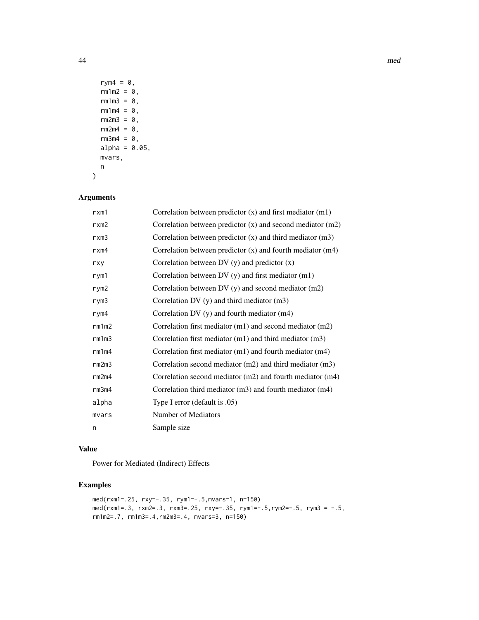```
rym4 = 0,
  rm1m2 = 0,
  rm1m3 = 0,
  rm1m4 = 0,
  rm2m3 = 0,
  rm2m4 = 0,
  rm3m4 = 0,
  alpha = 0.05,
  mvars,
  n
\mathcal{L}
```
## Arguments

| rxm1              | Correlation between predictor $(x)$ and first mediator $(m1)$  |
|-------------------|----------------------------------------------------------------|
| rxm2              | Correlation between predictor $(x)$ and second mediator $(m2)$ |
| rxm3              | Correlation between predictor $(x)$ and third mediator $(m3)$  |
| rxm4              | Correlation between predictor $(x)$ and fourth mediator $(m4)$ |
| rxy               | Correlation between DV $(y)$ and predictor $(x)$               |
| rym1              | Correlation between DV $(y)$ and first mediator $(m1)$         |
| rym2              | Correlation between DV $(y)$ and second mediator $(m2)$        |
| rym3              | Correlation DV $(y)$ and third mediator $(m3)$                 |
| rym4              | Correlation DV (y) and fourth mediator (m4)                    |
| rm1m2             | Correlation first mediator (m1) and second mediator (m2)       |
| rm1m3             | Correlation first mediator $(m1)$ and third mediator $(m3)$    |
| rm1 <sub>m4</sub> | Correlation first mediator $(m1)$ and fourth mediator $(m4)$   |
| rm2m3             | Correlation second mediator $(m2)$ and third mediator $(m3)$   |
| rm2m4             | Correlation second mediator (m2) and fourth mediator (m4)      |
| rm3m4             | Correlation third mediator $(m3)$ and fourth mediator $(m4)$   |
| alpha             | Type I error (default is .05)                                  |
| mvars             | Number of Mediators                                            |
| n                 | Sample size                                                    |

#### Value

Power for Mediated (Indirect) Effects

# Examples

```
med(rxm1=.25, rxy=-.35, rym1=-.5,mvars=1, n=150)
med(rxm1=.3, rxm2=.3, rxm3=.25, rxy=-.35, rym1=-.5,rym2=-.5, rym3 = -.5,
rm1m2=.7, rm1m3=.4,rm2m3=.4, mvars=3, n=150)
```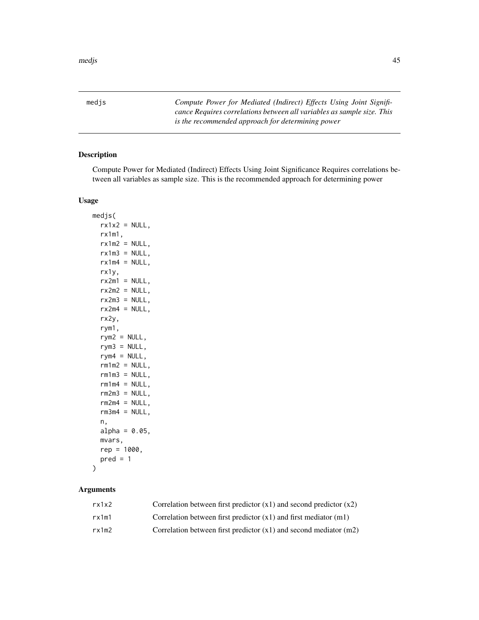medjs *Compute Power for Mediated (Indirect) Effects Using Joint Significance Requires correlations between all variables as sample size. This is the recommended approach for determining power*

## Description

Compute Power for Mediated (Indirect) Effects Using Joint Significance Requires correlations between all variables as sample size. This is the recommended approach for determining power

#### Usage

medjs(  $rx1x2 = NULL,$ rx1m1,  $rx1m2 = NULL,$  $rx1m3 = NULL,$  $rx1m4 = NULL,$ rx1y,  $rx2m1 = NULL,$  $rx2m2 = NULL,$  $rx2m3 = NULL,$  $rx2m4 = NULL,$ rx2y, rym1,  $rym2 = NULL,$  $rym3 = NULL,$  $rym4 = NULL,$  $rm1m2 = NULL,$  $rm1m3 = NULL,$  $rm1m4 = NULL$ ,  $rm2m3 = NULL,$  $rm2m4 = NULL,$  $rm3m4 = NULL,$ n,  $alpha = 0.05$ , mvars,  $rep = 1000,$  $pred = 1$ 

## Arguments

)

| rx1x2 | Correlation between first predictor $(x1)$ and second predictor $(x2)$ |
|-------|------------------------------------------------------------------------|
| rx1m1 | Correlation between first predictor $(x1)$ and first mediator $(m1)$   |
| rx1m2 | Correlation between first predictor $(x1)$ and second mediator $(m2)$  |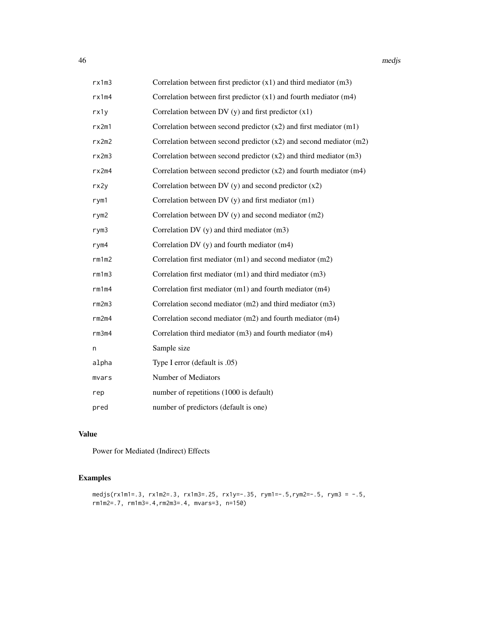| rx1m3             | Correlation between first predictor $(x1)$ and third mediator $(m3)$   |
|-------------------|------------------------------------------------------------------------|
| rx1m4             | Correlation between first predictor $(x1)$ and fourth mediator $(m4)$  |
| rx1y              | Correlation between DV $(y)$ and first predictor $(x1)$                |
| rx2m1             | Correlation between second predictor $(x2)$ and first mediator $(m1)$  |
| rx2m2             | Correlation between second predictor $(x2)$ and second mediator $(m2)$ |
| rx2m3             | Correlation between second predictor $(x2)$ and third mediator $(m3)$  |
| rx2m4             | Correlation between second predictor $(x2)$ and fourth mediator $(m4)$ |
| rx2y              | Correlation between DV $(y)$ and second predictor $(x2)$               |
| rym1              | Correlation between DV $(y)$ and first mediator $(m1)$                 |
| rym2              | Correlation between DV $(y)$ and second mediator $(m2)$                |
| rym3              | Correlation DV (y) and third mediator (m3)                             |
| rym4              | Correlation DV (y) and fourth mediator (m4)                            |
| rm1m2             | Correlation first mediator (m1) and second mediator (m2)               |
| rm1m3             | Correlation first mediator (m1) and third mediator (m3)                |
| rm1 <sub>m4</sub> | Correlation first mediator (m1) and fourth mediator (m4)               |
| rm2m3             | Correlation second mediator $(m2)$ and third mediator $(m3)$           |
| rm2m4             | Correlation second mediator (m2) and fourth mediator (m4)              |
| rm3m4             | Correlation third mediator (m3) and fourth mediator (m4)               |
| n                 | Sample size                                                            |
| alpha             | Type I error (default is .05)                                          |
| mvars             | Number of Mediators                                                    |
| rep               | number of repetitions (1000 is default)                                |
| pred              | number of predictors (default is one)                                  |

#### Value

Power for Mediated (Indirect) Effects

# Examples

```
medjs(rx1m1=.3, rx1m2=.3, rx1m3=.25, rx1y=-.35, rym1=-.5,rym2=-.5, rym3 = -.5,
rm1m2=.7, rm1m3=.4,rm2m3=.4, mvars=3, n=150)
```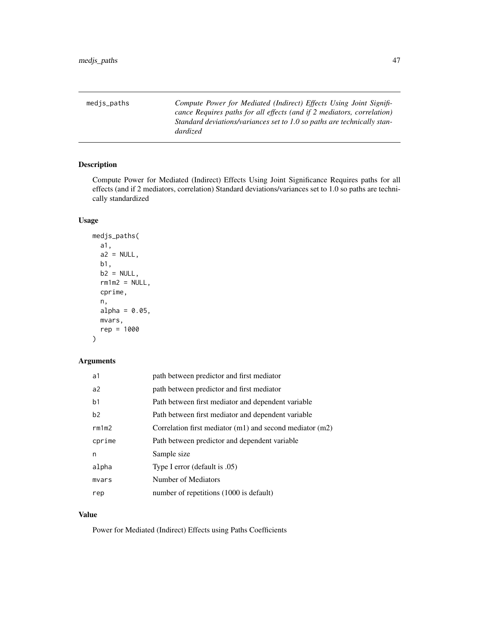medjs\_paths *Compute Power for Mediated (Indirect) Effects Using Joint Significance Requires paths for all effects (and if 2 mediators, correlation) Standard deviations/variances set to 1.0 so paths are technically standardized*

## Description

Compute Power for Mediated (Indirect) Effects Using Joint Significance Requires paths for all effects (and if 2 mediators, correlation) Standard deviations/variances set to 1.0 so paths are technically standardized

#### Usage

```
medjs_paths(
  a1,
  a2 = NULL,b1,
 b2 = NULL,rm1m2 = NULL,cprime,
  n,
  alpha = 0.05,
 mvars,
  rep = 1000
)
```
## Arguments

| a1             | path between predictor and first mediator                    |
|----------------|--------------------------------------------------------------|
| a2             | path between predictor and first mediator                    |
| b <sub>1</sub> | Path between first mediator and dependent variable           |
| b2             | Path between first mediator and dependent variable           |
| rm1m2          | Correlation first mediator $(m1)$ and second mediator $(m2)$ |
| cprime         | Path between predictor and dependent variable                |
| n              | Sample size                                                  |
| alpha          | Type I error (default is .05)                                |
| mvars          | Number of Mediators                                          |
| rep            | number of repetitions (1000 is default)                      |

#### Value

Power for Mediated (Indirect) Effects using Paths Coefficients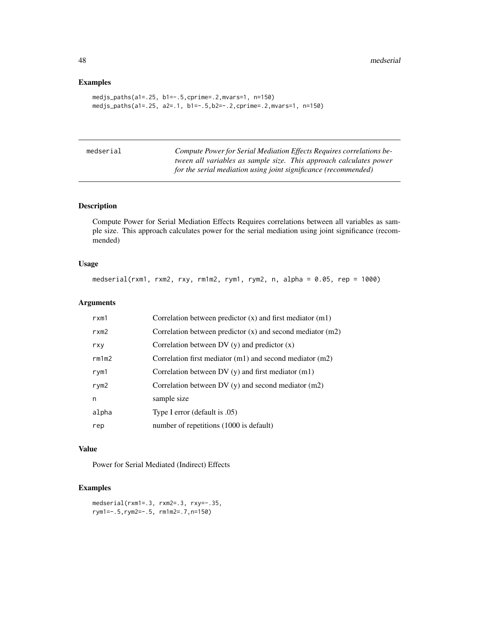## Examples

```
medjs_paths(a1=.25, b1=-.5,cprime=.2,mvars=1, n=150)
medjs_paths(a1=.25, a2=.1, b1=-.5,b2=-.2,cprime=.2,mvars=1, n=150)
```

| medserial | Compute Power for Serial Mediation Effects Requires correlations be- |
|-----------|----------------------------------------------------------------------|
|           | tween all variables as sample size. This approach calculates power   |
|           | for the serial mediation using joint significance (recommended)      |

## Description

Compute Power for Serial Mediation Effects Requires correlations between all variables as sample size. This approach calculates power for the serial mediation using joint significance (recommended)

## Usage

medserial(rxm1, rxm2, rxy, rm1m2, rym1, rym2, n, alpha = 0.05, rep = 1000)

## Arguments

| rxm1             | Correlation between predictor $(x)$ and first mediator $(m1)$  |
|------------------|----------------------------------------------------------------|
| rxm2             | Correlation between predictor $(x)$ and second mediator $(m2)$ |
| rxy              | Correlation between DV $(y)$ and predictor $(x)$               |
| rm1m2            | Correlation first mediator (m1) and second mediator (m2)       |
| rym1             | Correlation between $DV(y)$ and first mediator $(m1)$          |
| rym <sub>2</sub> | Correlation between DV $(y)$ and second mediator $(m2)$        |
| n                | sample size                                                    |
| alpha            | Type I error (default is .05)                                  |
| rep              | number of repetitions (1000 is default)                        |

#### Value

Power for Serial Mediated (Indirect) Effects

## Examples

```
medserial(rxm1=.3, rxm2=.3, rxy=-.35,
rym1=-.5,rym2=-.5, rm1m2=.7,n=150)
```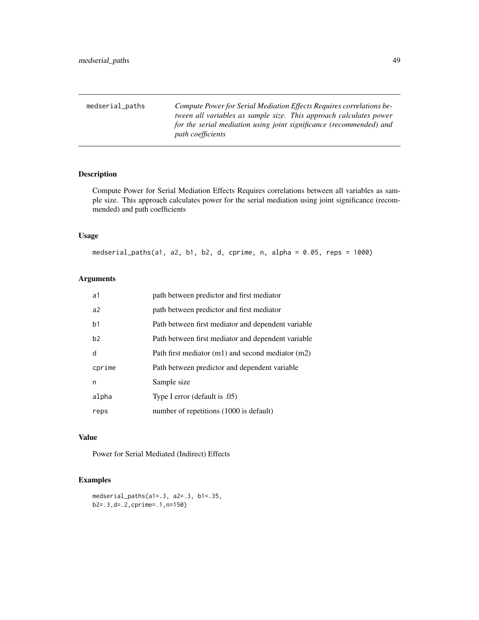medserial\_paths *Compute Power for Serial Mediation Effects Requires correlations between all variables as sample size. This approach calculates power for the serial mediation using joint significance (recommended) and path coefficients*

## Description

Compute Power for Serial Mediation Effects Requires correlations between all variables as sample size. This approach calculates power for the serial mediation using joint significance (recommended) and path coefficients

#### Usage

medserial\_paths(a1, a2, b1, b2, d, cprime, n, alpha = 0.05, reps = 1000)

#### Arguments

| a1             | path between predictor and first mediator             |
|----------------|-------------------------------------------------------|
| a <sup>2</sup> | path between predictor and first mediator             |
| b <sub>1</sub> | Path between first mediator and dependent variable    |
| b2             | Path between first mediator and dependent variable    |
| d              | Path first mediator $(m1)$ and second mediator $(m2)$ |
| cprime         | Path between predictor and dependent variable         |
| n              | Sample size                                           |
| alpha          | Type I error (default is .05)                         |
| reps           | number of repetitions (1000 is default)               |

## Value

Power for Serial Mediated (Indirect) Effects

## Examples

```
medserial_paths(a1=.3, a2=.3, b1=.35,
b2=.3,d=.2,cprime=.1,n=150)
```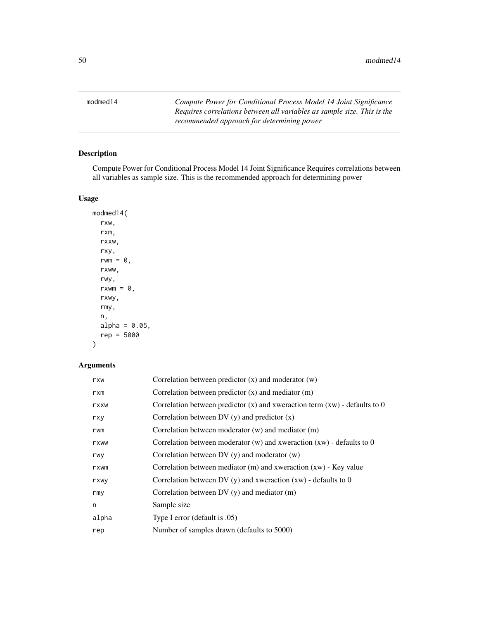modmed14 *Compute Power for Conditional Process Model 14 Joint Significance Requires correlations between all variables as sample size. This is the recommended approach for determining power*

## Description

Compute Power for Conditional Process Model 14 Joint Significance Requires correlations between all variables as sample size. This is the recommended approach for determining power

## Usage

modmed14( rxw, rxm, rxxw, rxy, rwm =  $\theta$ , rxww, rwy,  $rxwm = 0$ , rxwy, rmy, n, alpha =  $0.05$ , rep = 5000 )

## Arguments

| rxw   | Correlation between predictor $(x)$ and moderator $(w)$                        |
|-------|--------------------------------------------------------------------------------|
| rxm   | Correlation between predictor $(x)$ and mediator $(m)$                         |
| rxxw  | Correlation between predictor $(x)$ and xweraction term $(xw)$ - defaults to 0 |
| rxy   | Correlation between DV $(y)$ and predictor $(x)$                               |
| rwm   | Correlation between moderator $(w)$ and mediator $(m)$                         |
| rxww  | Correlation between moderator $(w)$ and xweraction $(xw)$ - defaults to 0      |
| rwy   | Correlation between $DV(y)$ and moderator $(w)$                                |
| rxwm  | Correlation between mediator $(m)$ and xweraction $(xw)$ - Key value           |
| rxwy  | Correlation between DV $(y)$ and xweraction $(xw)$ - defaults to 0             |
| rmy   | Correlation between DV $(y)$ and mediator $(m)$                                |
| n     | Sample size                                                                    |
| alpha | Type I error (default is .05)                                                  |
| rep   | Number of samples drawn (defaults to 5000)                                     |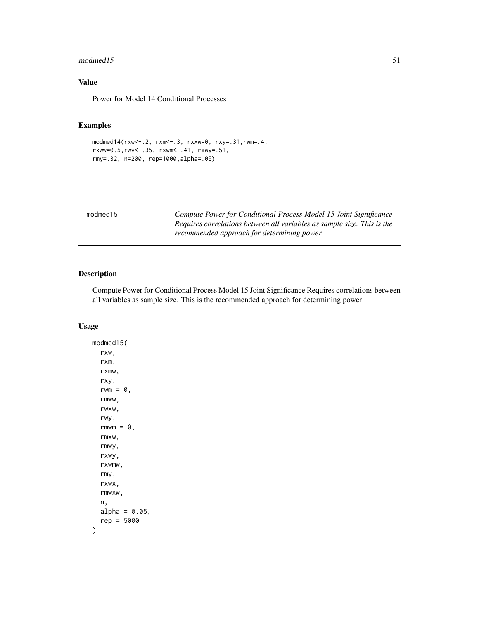#### $modmed15$  51

## Value

Power for Model 14 Conditional Processes

# Examples

```
modmed14(rxw<-.2, rxm<-.3, rxxw=0, rxy=.31,rwm=.4,
rxww=0.5,rwy<-.35, rxwm<-.41, rxwy=.51,
rmy=.32, n=200, rep=1000,alpha=.05)
```

| Compute Power for Conditional Process Model 15 Joint Significance       |
|-------------------------------------------------------------------------|
| Requires correlations between all variables as sample size. This is the |
| recommended approach for determining power                              |
|                                                                         |

## Description

Compute Power for Conditional Process Model 15 Joint Significance Requires correlations between all variables as sample size. This is the recommended approach for determining power

#### Usage

modmed15( rxw, rxm, rxmw, rxy, rwm =  $\theta$ , rmww, rwxw, rwy, rmwm =  $\theta$ , rmxw, rmwy, rxwy, rxwmw, rmy, rxwx, rmwxw, n,  $alpha = 0.05$ , rep = 5000 )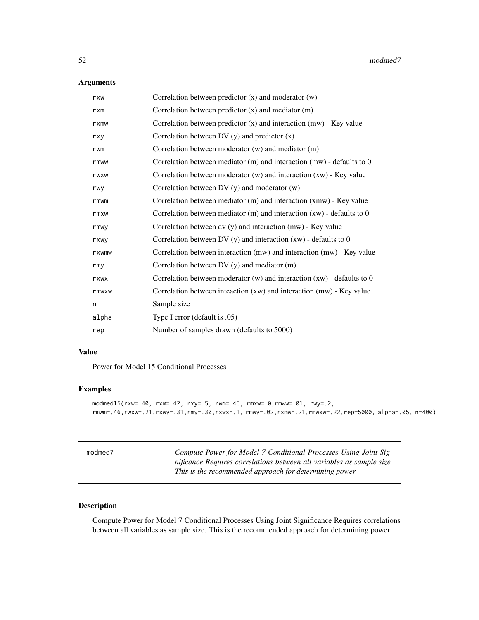## Arguments

| rxw   | Correlation between predictor $(x)$ and moderator $(w)$                    |
|-------|----------------------------------------------------------------------------|
| rxm   | Correlation between predictor $(x)$ and mediator $(m)$                     |
| rxmw  | Correlation between predictor $(x)$ and interaction $(mw)$ - Key value     |
| rxy   | Correlation between DV $(y)$ and predictor $(x)$                           |
| rwm   | Correlation between moderator (w) and mediator (m)                         |
| rmww  | Correlation between mediator $(m)$ and interaction $(mw)$ - defaults to 0  |
| rwxw  | Correlation between moderator $(w)$ and interaction $(xw)$ - Key value     |
| rwy   | Correlation between DV (y) and moderator (w)                               |
| rmwm  | Correlation between mediator (m) and interaction (xmw) - Key value         |
| rmxw  | Correlation between mediator $(m)$ and interaction $(xw)$ - defaults to 0  |
| rmwy  | Correlation between dv (y) and interaction (mw) - Key value                |
| rxwy  | Correlation between DV (y) and interaction $(xw)$ - defaults to 0          |
| rxwmw | Correlation between interaction (mw) and interaction (mw) - Key value      |
| rmy   | Correlation between $DV(y)$ and mediator $(m)$                             |
| rxwx  | Correlation between moderator $(w)$ and interaction $(xw)$ - defaults to 0 |
| rmwxw | Correlation between inteaction $(xw)$ and interaction $(mw)$ - Key value   |
| n     | Sample size                                                                |
| alpha | Type I error (default is $.05$ )                                           |
| rep   | Number of samples drawn (defaults to 5000)                                 |

## Value

Power for Model 15 Conditional Processes

## Examples

```
modmed15(rxw=.40, rxm=.42, rxy=.5, rwm=.45, rmxw=.0,rmww=.01, rwy=.2,
rmwm=.46,rwxw=.21,rxwy=.31,rmy=.30,rxwx=.1, rmwy=.02,rxmw=.21,rmwxw=.22,rep=5000, alpha=.05, n=400)
```

| modmed7 | Compute Power for Model 7 Conditional Processes Using Joint Sig-<br>nificance Requires correlations between all variables as sample size.<br>This is the recommended approach for determining power |
|---------|-----------------------------------------------------------------------------------------------------------------------------------------------------------------------------------------------------|
|         |                                                                                                                                                                                                     |

## Description

Compute Power for Model 7 Conditional Processes Using Joint Significance Requires correlations between all variables as sample size. This is the recommended approach for determining power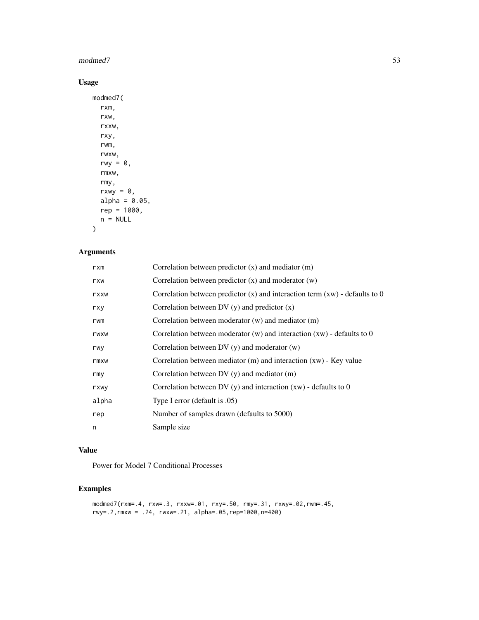#### modmed7 53

# Usage

```
modmed7(
  rxm,
  rxw,
  rxxw,
  rxy,
  rwm,
  rwxw,
  rwy = 0,
  rmxw,
  rmy,
  rxwy = 0,
  alpha = 0.05,
  rep = 1000,n = NULL\mathcal{L}
```
## Arguments

| rxm   | Correlation between predictor $(x)$ and mediator $(m)$                          |
|-------|---------------------------------------------------------------------------------|
| rxw   | Correlation between predictor $(x)$ and moderator $(w)$                         |
| rxxw  | Correlation between predictor $(x)$ and interaction term $(xw)$ - defaults to 0 |
| rxy   | Correlation between DV $(y)$ and predictor $(x)$                                |
| rwm   | Correlation between moderator $(w)$ and mediator $(m)$                          |
| rwxw  | Correlation between moderator $(w)$ and interaction $(xw)$ - defaults to 0      |
| rwy   | Correlation between $DV(y)$ and moderator $(w)$                                 |
| rmxw  | Correlation between mediator $(m)$ and interaction $(xw)$ - Key value           |
| rmy   | Correlation between $DV(y)$ and mediator $(m)$                                  |
| rxwy  | Correlation between DV (y) and interaction $(xw)$ - defaults to 0               |
| alpha | Type I error (default is .05)                                                   |
| rep   | Number of samples drawn (defaults to 5000)                                      |
| n     | Sample size                                                                     |

## Value

Power for Model 7 Conditional Processes

# Examples

```
modmed7(rxm=.4, rxw=.3, rxxw=.01, rxy=.50, rmy=.31, rxwy=.02,rwm=.45,
rwy=.2,rmxw = .24, rwxw=.21, alpha=.05,rep=1000,n=400)
```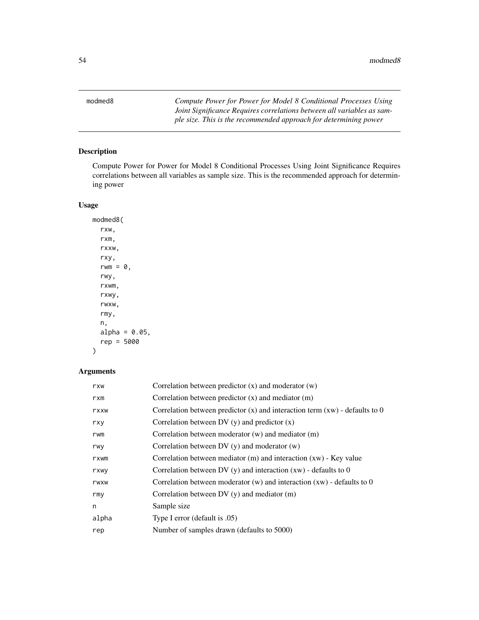modmed8 *Compute Power for Power for Model 8 Conditional Processes Using Joint Significance Requires correlations between all variables as sample size. This is the recommended approach for determining power*

## Description

Compute Power for Power for Model 8 Conditional Processes Using Joint Significance Requires correlations between all variables as sample size. This is the recommended approach for determining power

## Usage

modmed8( rxw, rxm, rxxw, rxy, rwm =  $\theta$ , rwy, rxwm, rxwy, rwxw, rmy, n, alpha =  $0.05$ , rep = 5000 )

## Arguments

| rxw   | Correlation between predictor $(x)$ and moderator $(w)$                         |
|-------|---------------------------------------------------------------------------------|
| rxm   | Correlation between predictor $(x)$ and mediator $(m)$                          |
| rxxw  | Correlation between predictor $(x)$ and interaction term $(xw)$ - defaults to 0 |
| rxy   | Correlation between DV $(y)$ and predictor $(x)$                                |
| rwm   | Correlation between moderator $(w)$ and mediator $(m)$                          |
| rwy   | Correlation between $DV(y)$ and moderator $(w)$                                 |
| rxwm  | Correlation between mediator $(m)$ and interaction $(xw)$ - Key value           |
| rxwy  | Correlation between DV $(y)$ and interaction $(xw)$ - defaults to 0             |
| rwxw  | Correlation between moderator $(w)$ and interaction $(xw)$ - defaults to 0      |
| rmy   | Correlation between $DV(y)$ and mediator $(m)$                                  |
| n     | Sample size                                                                     |
| alpha | Type I error (default is .05)                                                   |
| rep   | Number of samples drawn (defaults to 5000)                                      |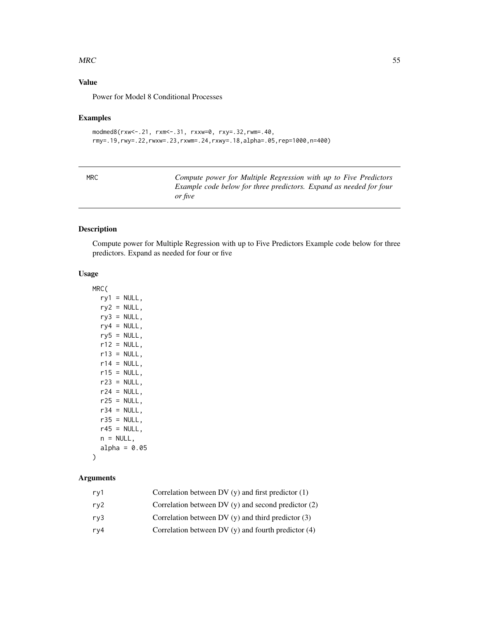#### $MRC$  55

## Value

Power for Model 8 Conditional Processes

#### Examples

```
modmed8(rxw<-.21, rxm<-.31, rxxw=0, rxy=.32,rwm=.40,
rmy=.19,rwy=.22,rwxw=.23,rxwm=.24,rxwy=.18,alpha=.05,rep=1000,n=400)
```

Compute power for Multiple Regression with up to Five Predictors *Example code below for three predictors. Expand as needed for four or five*

## Description

Compute power for Multiple Regression with up to Five Predictors Example code below for three predictors. Expand as needed for four or five

#### Usage

MRC(  $ry1 = NULL,$  $ry2 = NULL,$  $ry3 = NULL,$  $ry4 = NULL,$  $ry5 = NULL,$  $r12 = NULL,$  $r13 = NULL$ ,  $r14 = NULL,$  $r15 = NULL,$  $r23 = NULL,$  $r24 = NULL,$  $r25 = NULL,$  $r34 = NULL,$  $r35 = NULL,$  $r45 = NULL,$  $n = NULL,$ alpha =  $0.05$ 

# )

# Arguments

| rv1 | Correlation between DV $(y)$ and first predictor $(1)$  |
|-----|---------------------------------------------------------|
| rv2 | Correlation between DV $(v)$ and second predictor $(2)$ |
| rv3 | Correlation between DV $(v)$ and third predictor $(3)$  |
| rv4 | Correlation between DV $(y)$ and fourth predictor $(4)$ |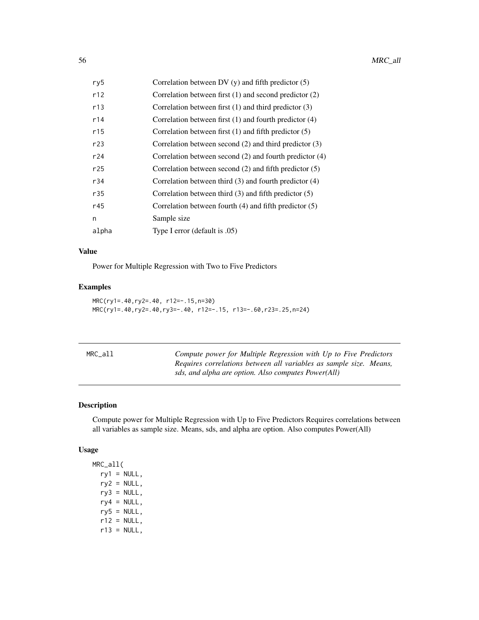| ry5   | Correlation between DV $(y)$ and fifth predictor $(5)$      |
|-------|-------------------------------------------------------------|
| r12   | Correlation between first $(1)$ and second predictor $(2)$  |
| r13   | Correlation between first $(1)$ and third predictor $(3)$   |
| r14   | Correlation between first $(1)$ and fourth predictor $(4)$  |
| r15   | Correlation between first $(1)$ and fifth predictor $(5)$   |
| r23   | Correlation between second $(2)$ and third predictor $(3)$  |
| r24   | Correlation between second $(2)$ and fourth predictor $(4)$ |
| r25   | Correlation between second $(2)$ and fifth predictor $(5)$  |
| r34   | Correlation between third $(3)$ and fourth predictor $(4)$  |
| r35   | Correlation between third $(3)$ and fifth predictor $(5)$   |
| r45   | Correlation between fourth $(4)$ and fifth predictor $(5)$  |
| n     | Sample size                                                 |
| alpha | Type I error (default is .05)                               |

## Value

Power for Multiple Regression with Two to Five Predictors

# Examples

MRC(ry1=.40,ry2=.40, r12=-.15,n=30) MRC(ry1=.40,ry2=.40,ry3=-.40, r12=-.15, r13=-.60,r23=.25,n=24)

| MRC_all | Compute power for Multiple Regression with Up to Five Predictors<br>Requires correlations between all variables as sample size. Means,<br>sds, and alpha are option. Also computes Power(All) |
|---------|-----------------------------------------------------------------------------------------------------------------------------------------------------------------------------------------------|
|         |                                                                                                                                                                                               |

# Description

Compute power for Multiple Regression with Up to Five Predictors Requires correlations between all variables as sample size. Means, sds, and alpha are option. Also computes Power(All)

## Usage

MRC\_all(  $ry1 = NULL,$  $ry2 = NULL,$  $ry3 = NULL,$  $ry4 = NULL,$  $ry5 = NULL,$  $r12 = NULL,$  $r13 = NULL,$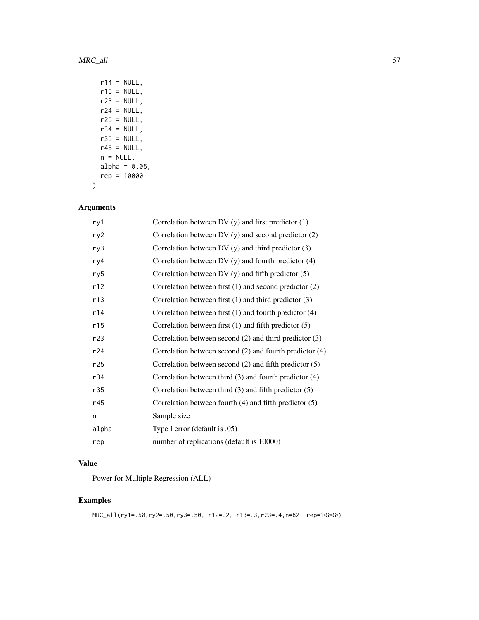```
r14 = NULL,r15 = NULL,r23 = NULL,r24 = NULL,r25 = NULL,r34 = NULL,r35 = NULL,r45 = NULL,n = NULL,alpha = 0.05,
rep = 10000
```
# Arguments

 $\mathcal{L}$ 

| ry1   | Correlation between DV $(y)$ and first predictor $(1)$      |
|-------|-------------------------------------------------------------|
| ry2   | Correlation between DV $(y)$ and second predictor $(2)$     |
| ry3   | Correlation between DV $(y)$ and third predictor $(3)$      |
| ry4   | Correlation between DV $(y)$ and fourth predictor $(4)$     |
| ry5   | Correlation between DV $(y)$ and fifth predictor $(5)$      |
| r12   | Correlation between first $(1)$ and second predictor $(2)$  |
| r13   | Correlation between first $(1)$ and third predictor $(3)$   |
| r14   | Correlation between first (1) and fourth predictor (4)      |
| r15   | Correlation between first $(1)$ and fifth predictor $(5)$   |
| r23   | Correlation between second $(2)$ and third predictor $(3)$  |
| r24   | Correlation between second $(2)$ and fourth predictor $(4)$ |
| r25   | Correlation between second $(2)$ and fifth predictor $(5)$  |
| r34   | Correlation between third $(3)$ and fourth predictor $(4)$  |
| r35   | Correlation between third $(3)$ and fifth predictor $(5)$   |
| r45   | Correlation between fourth $(4)$ and fifth predictor $(5)$  |
| n     | Sample size                                                 |
| alpha | Type I error (default is $.05$ )                            |
| rep   | number of replications (default is 10000)                   |

## Value

Power for Multiple Regression (ALL)

# Examples

```
MRC_all(ry1=.50,ry2=.50,ry3=.50, r12=.2, r13=.3,r23=.4,n=82, rep=10000)
```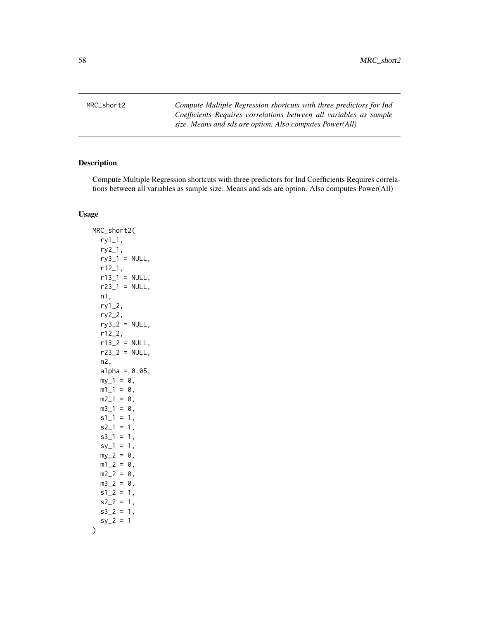MRC\_short2 *Compute Multiple Regression shortcuts with three predictors for Ind Coefficients Requires correlations between all variables as sample size. Means and sds are option. Also computes Power(All)*

## Description

Compute Multiple Regression shortcuts with three predictors for Ind Coefficients Requires correlations between all variables as sample size. Means and sds are option. Also computes Power(All)

#### Usage

MRC\_short2( ry1\_1, ry2\_1,  $ry3_1 = NULL,$ r12\_1,  $r13_1 = NULL,$  $r23_1 = NULL,$ n1, ry1\_2, ry2\_2,  $ry3_2 = NULL,$ r12\_2,  $r13_2 = NULL,$  $r23_2 = NULL,$ n2, alpha =  $0.05$ ,  $my_1 = 0$ ,  $m1_1 = 0$ ,  $m2_1 = 0$ ,  $m3_1 = 0,$  $s1_1 = 1$ ,  $s2_1 = 1$ ,  $s3_1 = 1$ ,  $sy_1 = 1$ ,  $my_2 = 0$ ,  $m1_2 = 0$ ,  $m2_2 = 0$ ,  $m3_2 = 0$ ,  $s1_{-2} = 1$ ,  $s2_2 = 1$ ,  $s3_2 = 1$ ,  $sy_2 = 1$ )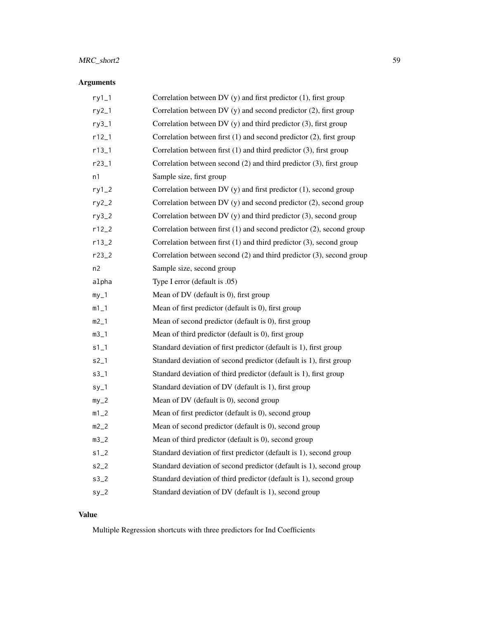# MRC\_short2 59

# Arguments

| $ry1_1$           | Correlation between DV (y) and first predictor (1), first group          |
|-------------------|--------------------------------------------------------------------------|
| $ry2_1$           | Correlation between DV (y) and second predictor (2), first group         |
| ry3_1             | Correlation between DV (y) and third predictor (3), first group          |
| $r12_1$           | Correlation between first (1) and second predictor (2), first group      |
| $r13_1$           | Correlation between first $(1)$ and third predictor $(3)$ , first group  |
| r23_1             | Correlation between second (2) and third predictor (3), first group      |
| n1                | Sample size, first group                                                 |
| $ry1_2$           | Correlation between DV (y) and first predictor (1), second group         |
| $ry2_2$           | Correlation between DV (y) and second predictor (2), second group        |
| $ry3_2$           | Correlation between DV (y) and third predictor (3), second group         |
| $r12_2$           | Correlation between first (1) and second predictor (2), second group     |
| $r13_2$           | Correlation between first $(1)$ and third predictor $(3)$ , second group |
| $r23_2$           | Correlation between second (2) and third predictor (3), second group     |
| n <sub>2</sub>    | Sample size, second group                                                |
| alpha             | Type I error (default is .05)                                            |
| $my_1$            | Mean of DV (default is 0), first group                                   |
| $m1$ <sup>1</sup> | Mean of first predictor (default is 0), first group                      |
| $m2$ _1           | Mean of second predictor (default is 0), first group                     |
| $m3$ <sup>1</sup> | Mean of third predictor (default is 0), first group                      |
| $s1_1$            | Standard deviation of first predictor (default is 1), first group        |
| $s2_1$            | Standard deviation of second predictor (default is 1), first group       |
| $s3$ <sup>1</sup> | Standard deviation of third predictor (default is 1), first group        |
| $sy_1$            | Standard deviation of DV (default is 1), first group                     |
| $my_2$            | Mean of DV (default is 0), second group                                  |
| $m1_2$            | Mean of first predictor (default is 0), second group                     |
| $m2_2$            | Mean of second predictor (default is 0), second group                    |
| $m3_2$            | Mean of third predictor (default is 0), second group                     |
| $s1_2$            | Standard deviation of first predictor (default is 1), second group       |
| $s2_2$            | Standard deviation of second predictor (default is 1), second group      |
| $s3_2$            | Standard deviation of third predictor (default is 1), second group       |
| $sy_2$            | Standard deviation of DV (default is 1), second group                    |

# Value

Multiple Regression shortcuts with three predictors for Ind Coefficients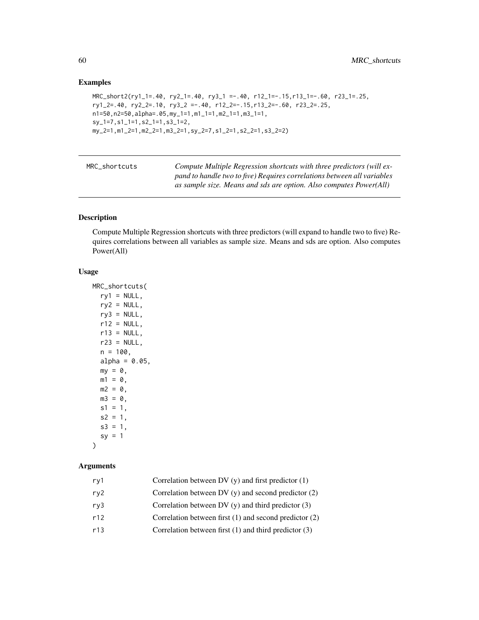## Examples

```
MRC_short2(ry1_1=.40, ry2_1=.40, ry3_1 =-.40, r12_1=-.15,r13_1=-.60, r23_1=.25,
ry1_2=.40, ry2_2=.10, ry3_2 =-.40, r12_2=-.15,r13_2=-.60, r23_2=.25,
n1=50,n2=50,alpha=.05,my_1=1,m1_1=1,m2_1=1,m3_1=1,
sy_1=7,s1_1=1,s2_1=1,s3_1=2,
my_2=1,m1_2=1,m2_2=1,m3_2=1,sy_2=7,s1_2=1,s2_2=1,s3_2=2)
```

| MRC shortcuts | Compute Multiple Regression shortcuts with three predictors (will ex-   |
|---------------|-------------------------------------------------------------------------|
|               | pand to handle two to five) Requires correlations between all variables |
|               | as sample size. Means and sds are option. Also computes Power(All)      |

## Description

Compute Multiple Regression shortcuts with three predictors (will expand to handle two to five) Requires correlations between all variables as sample size. Means and sds are option. Also computes Power(All)

## Usage

```
MRC_shortcuts(
 ry1 = NULL,ry2 = NULL,ry3 = NULL,r12 = NULL,r13 = NULL,r23 = NULL,n = 100,
 alpha = 0.05,
 my = 0,m1 = 0,
 m2 = 0,
 m3 = 0,
 s1 = 1,
 s2 = 1,
 s3 = 1,sy = 1)
```
## Arguments

| rv1 | Correlation between DV $(y)$ and first predictor $(1)$     |
|-----|------------------------------------------------------------|
| rv2 | Correlation between DV $(v)$ and second predictor $(2)$    |
| rv3 | Correlation between DV $(y)$ and third predictor $(3)$     |
| r12 | Correlation between first $(1)$ and second predictor $(2)$ |
| r13 | Correlation between first $(1)$ and third predictor $(3)$  |
|     |                                                            |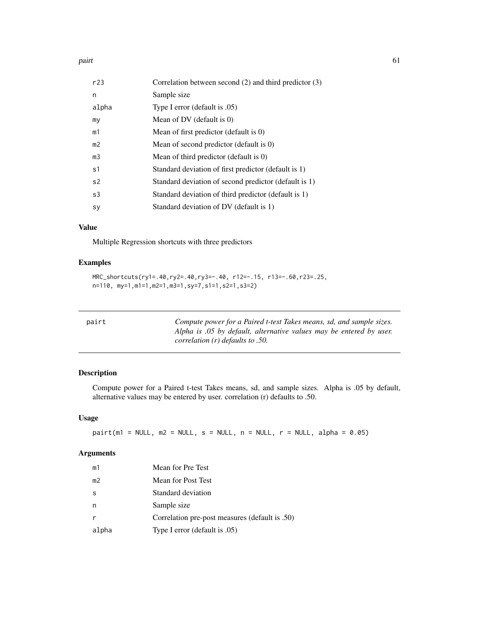| r23            | Correlation between second $(2)$ and third predictor $(3)$ |
|----------------|------------------------------------------------------------|
| n              | Sample size                                                |
| alpha          | Type I error (default is .05)                              |
| my             | Mean of DV (default is 0)                                  |
| m1             | Mean of first predictor (default is 0)                     |
| m <sub>2</sub> | Mean of second predictor (default is 0)                    |
| m <sub>3</sub> | Mean of third predictor (default is 0)                     |
| s1             | Standard deviation of first predictor (default is 1)       |
| s <sub>2</sub> | Standard deviation of second predictor (default is 1)      |
| s3             | Standard deviation of third predictor (default is 1)       |
| <b>S</b> y     | Standard deviation of DV (default is 1)                    |

## Value

Multiple Regression shortcuts with three predictors

## Examples

```
MRC_shortcuts(ry1=.40,ry2=.40,ry3=-.40, r12=-.15, r13=-.60,r23=.25,
n=110, my=1,m1=1,m2=1,m3=1,sy=7,s1=1,s2=1,s3=2)
```

| pairt | Compute power for a Paired t-test Takes means, sd, and sample sizes. |
|-------|----------------------------------------------------------------------|
|       | Alpha is .05 by default, alternative values may be entered by user.  |
|       | correlation $(r)$ defaults to .50.                                   |

## Description

Compute power for a Paired t-test Takes means, sd, and sample sizes. Alpha is .05 by default, alternative values may be entered by user. correlation (r) defaults to .50.

## Usage

 $pairt(m1 = NULL, m2 = NULL, s = NULL, n = NULL, r = NULL, alpha = 0.05)$ 

## Arguments

| m1             | Mean for Pre Test                              |
|----------------|------------------------------------------------|
| m <sub>2</sub> | Mean for Post Test                             |
| -S             | Standard deviation                             |
| n              | Sample size                                    |
|                | Correlation pre-post measures (default is .50) |
| alpha          | Type I error (default is .05)                  |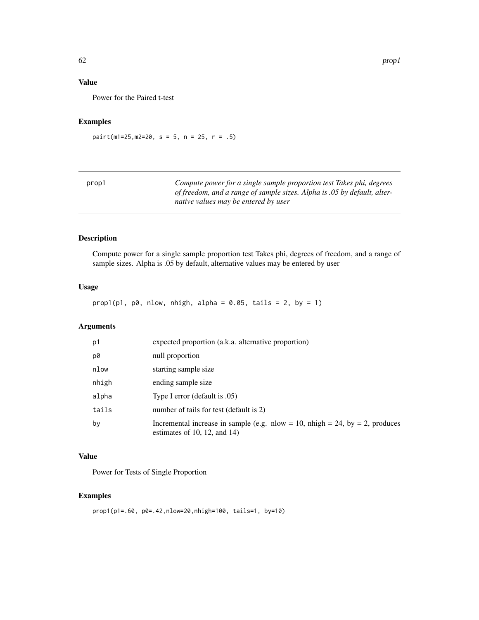## Value

Power for the Paired t-test

# Examples

pairt(m1=25,m2=20, s = 5, n = 25, r = .5)

| prop1 | Compute power for a single sample proportion test Takes phi, degrees     |
|-------|--------------------------------------------------------------------------|
|       | of freedom, and a range of sample sizes. Alpha is .05 by default, alter- |
|       | native values may be entered by user                                     |

## Description

Compute power for a single sample proportion test Takes phi, degrees of freedom, and a range of sample sizes. Alpha is .05 by default, alternative values may be entered by user

#### Usage

 $prop1(p1, p0, nlow, nhigh, alpha = 0.05, tails = 2, by = 1)$ 

#### Arguments

| p1    | expected proportion (a.k.a. alternative proportion)                                                          |
|-------|--------------------------------------------------------------------------------------------------------------|
| p0    | null proportion                                                                                              |
| nlow  | starting sample size                                                                                         |
| nhigh | ending sample size                                                                                           |
| alpha | Type I error (default is .05)                                                                                |
| tails | number of tails for test (default is 2)                                                                      |
| by    | Incremental increase in sample (e.g. nlow = 10, nhigh = 24, by = 2, produces<br>estimates of 10, 12, and 14) |

## Value

Power for Tests of Single Proportion

## Examples

prop1(p1=.60, p0=.42,nlow=20,nhigh=100, tails=1, by=10)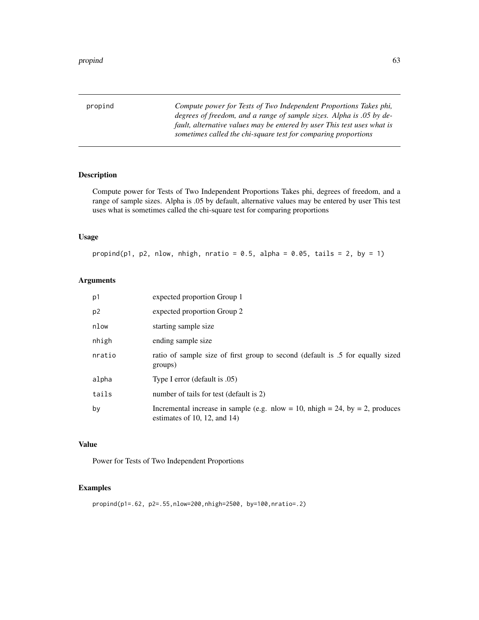propind *Compute power for Tests of Two Independent Proportions Takes phi, degrees of freedom, and a range of sample sizes. Alpha is .05 by default, alternative values may be entered by user This test uses what is sometimes called the chi-square test for comparing proportions*

## Description

Compute power for Tests of Two Independent Proportions Takes phi, degrees of freedom, and a range of sample sizes. Alpha is .05 by default, alternative values may be entered by user This test uses what is sometimes called the chi-square test for comparing proportions

## Usage

propind(p1, p2, nlow, nhigh, nratio =  $0.5$ , alpha =  $0.05$ , tails = 2, by = 1)

## Arguments

| p1             | expected proportion Group 1                                                                                  |
|----------------|--------------------------------------------------------------------------------------------------------------|
| p <sub>2</sub> | expected proportion Group 2                                                                                  |
| nlow           | starting sample size                                                                                         |
| nhigh          | ending sample size                                                                                           |
| nratio         | ratio of sample size of first group to second (default is .5 for equally sized<br>groups)                    |
| alpha          | Type I error (default is .05)                                                                                |
| tails          | number of tails for test (default is 2)                                                                      |
| by             | Incremental increase in sample (e.g. nlow = 10, nhigh = 24, by = 2, produces<br>estimates of 10, 12, and 14) |

## Value

Power for Tests of Two Independent Proportions

# Examples

propind(p1=.62, p2=.55,nlow=200,nhigh=2500, by=100,nratio=.2)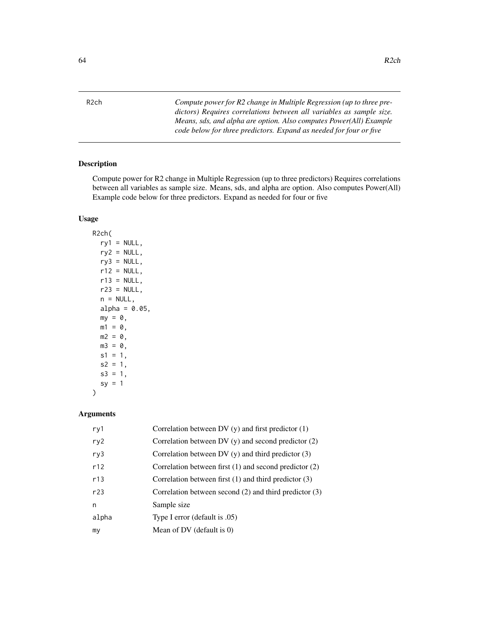R2ch *Compute power for R2 change in Multiple Regression (up to three predictors) Requires correlations between all variables as sample size. Means, sds, and alpha are option. Also computes Power(All) Example code below for three predictors. Expand as needed for four or five*

## Description

Compute power for R2 change in Multiple Regression (up to three predictors) Requires correlations between all variables as sample size. Means, sds, and alpha are option. Also computes Power(All) Example code below for three predictors. Expand as needed for four or five

## Usage

R2ch(  $ry1 = NULL,$  $ry2 = NULL,$  $ry3 = NULL,$  $r12 = NULL,$  $r13 = NULL,$  $r23 = NULL,$  $n = NULL,$ alpha =  $0.05$ ,  $my = 0$ ,  $m1 = 0$ ,  $m2 = 0$ ,  $m3 = 0,$  $s1 = 1$ ,  $s2 = 1$ ,  $s3 = 1$ ,  $sy = 1$ 

## Arguments

 $\lambda$ 

| ry1   | Correlation between DV $(y)$ and first predictor $(1)$     |
|-------|------------------------------------------------------------|
| ry2   | Correlation between DV $(y)$ and second predictor $(2)$    |
| ry3   | Correlation between DV $(y)$ and third predictor $(3)$     |
| r12   | Correlation between first $(1)$ and second predictor $(2)$ |
| r13   | Correlation between first $(1)$ and third predictor $(3)$  |
| r23   | Correlation between second $(2)$ and third predictor $(3)$ |
| n     | Sample size                                                |
| alpha | Type I error (default is .05)                              |
| my    | Mean of DV (default is $0$ )                               |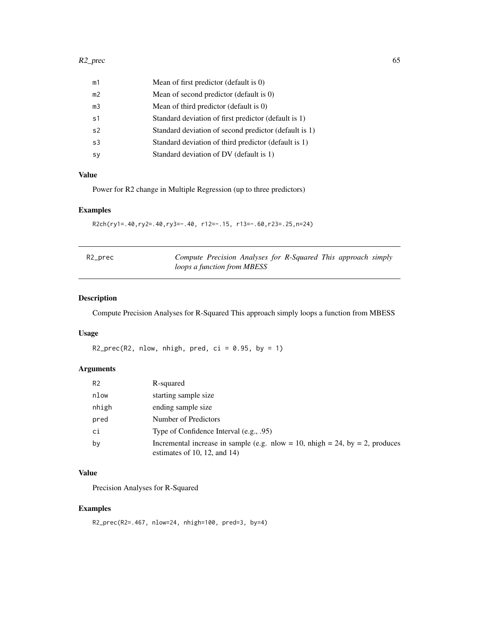| m1             | Mean of first predictor (default is 0)                |
|----------------|-------------------------------------------------------|
| m2             | Mean of second predictor (default is 0)               |
| m <sub>3</sub> | Mean of third predictor (default is 0)                |
| s <sub>1</sub> | Standard deviation of first predictor (default is 1)  |
| s <sub>2</sub> | Standard deviation of second predictor (default is 1) |
| s <sub>3</sub> | Standard deviation of third predictor (default is 1)  |
| sy             | Standard deviation of DV (default is 1)               |
|                |                                                       |

## Value

Power for R2 change in Multiple Regression (up to three predictors)

## Examples

R2ch(ry1=.40,ry2=.40,ry3=-.40, r12=-.15, r13=-.60,r23=.25,n=24)

| R2_prec | Compute Precision Analyses for R-Squared This approach simply |  |  |  |
|---------|---------------------------------------------------------------|--|--|--|
|         | loops a function from MBESS                                   |  |  |  |

# Description

Compute Precision Analyses for R-Squared This approach simply loops a function from MBESS

## Usage

R2\_prec(R2, nlow, nhigh, pred, ci =  $0.95$ , by = 1)

## Arguments

| R <sub>2</sub> | R-squared                                                                                                    |
|----------------|--------------------------------------------------------------------------------------------------------------|
| nlow           | starting sample size                                                                                         |
| nhigh          | ending sample size                                                                                           |
| pred           | Number of Predictors                                                                                         |
| ci             | Type of Confidence Interval (e.g., .95)                                                                      |
| by             | Incremental increase in sample (e.g. nlow = 10, nhigh = 24, by = 2, produces<br>estimates of 10, 12, and 14) |

## Value

Precision Analyses for R-Squared

## Examples

R2\_prec(R2=.467, nlow=24, nhigh=100, pred=3, by=4)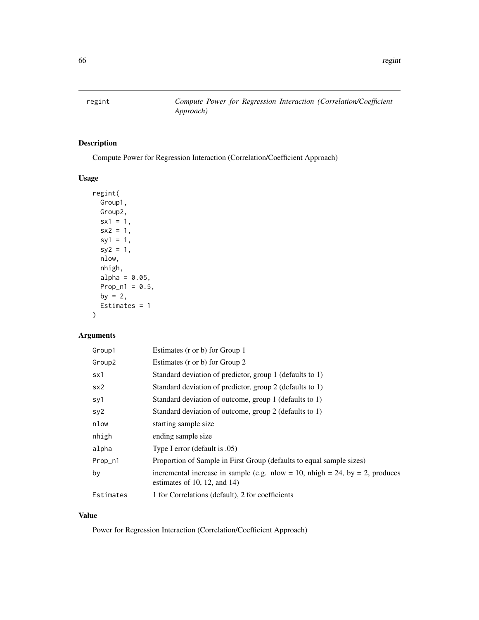regint *Compute Power for Regression Interaction (Correlation/Coefficient Approach)*

# Description

Compute Power for Regression Interaction (Correlation/Coefficient Approach)

## Usage

```
regint(
 Group1,
 Group2,
 sx1 = 1,sx2 = 1,sy1 = 1,sy2 = 1,
 nlow,
 nhigh,
 alpha = 0.05,
 Prop\_n1 = 0.5,
 by = 2,
 Estimates = 1
```
# Arguments

)

| Group1             | Estimates (r or b) for Group 1                                                                               |
|--------------------|--------------------------------------------------------------------------------------------------------------|
| Group <sub>2</sub> | Estimates (r or b) for Group 2                                                                               |
| sx1                | Standard deviation of predictor, group 1 (defaults to 1)                                                     |
| sx2                | Standard deviation of predictor, group 2 (defaults to 1)                                                     |
| sy1                | Standard deviation of outcome, group 1 (defaults to 1)                                                       |
| sy2                | Standard deviation of outcome, group 2 (defaults to 1)                                                       |
| nlow               | starting sample size                                                                                         |
| nhigh              | ending sample size                                                                                           |
| alpha              | Type I error (default is .05)                                                                                |
| Prop_n1            | Proportion of Sample in First Group (defaults to equal sample sizes)                                         |
| by                 | incremental increase in sample (e.g. nlow = 10, nhigh = 24, by = 2, produces<br>estimates of 10, 12, and 14) |
| Estimates          | 1 for Correlations (default), 2 for coefficients                                                             |

## Value

Power for Regression Interaction (Correlation/Coefficient Approach)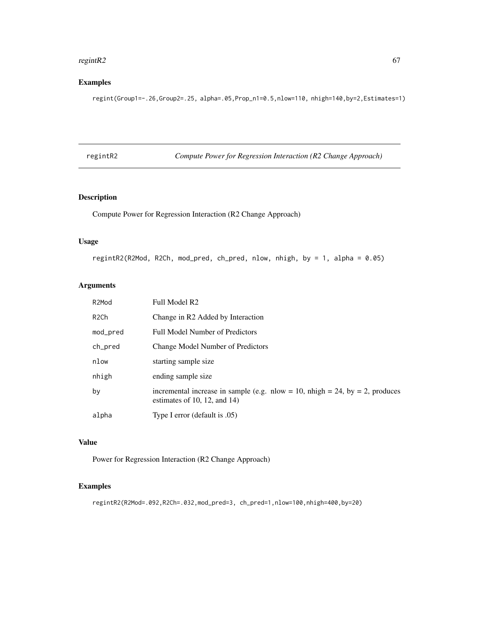#### regintR2 67

# Examples

regint(Group1=-.26,Group2=.25, alpha=.05,Prop\_n1=0.5,nlow=110, nhigh=140,by=2,Estimates=1)

regintR2 *Compute Power for Regression Interaction (R2 Change Approach)*

## Description

Compute Power for Regression Interaction (R2 Change Approach)

## Usage

regintR2(R2Mod, R2Ch, mod\_pred, ch\_pred, nlow, nhigh, by = 1, alpha = 0.05)

## Arguments

| R2Mod             | Full Model R2                                                                                                |
|-------------------|--------------------------------------------------------------------------------------------------------------|
| R <sub>2</sub> Ch | Change in R2 Added by Interaction                                                                            |
| mod_pred          | <b>Full Model Number of Predictors</b>                                                                       |
| ch_pred           | <b>Change Model Number of Predictors</b>                                                                     |
| nlow              | starting sample size                                                                                         |
| nhigh             | ending sample size                                                                                           |
| by                | incremental increase in sample (e.g. nlow = 10, nhigh = 24, by = 2, produces<br>estimates of 10, 12, and 14) |
| alpha             | Type I error (default is .05)                                                                                |

## Value

Power for Regression Interaction (R2 Change Approach)

# Examples

regintR2(R2Mod=.092,R2Ch=.032,mod\_pred=3, ch\_pred=1,nlow=100,nhigh=400,by=20)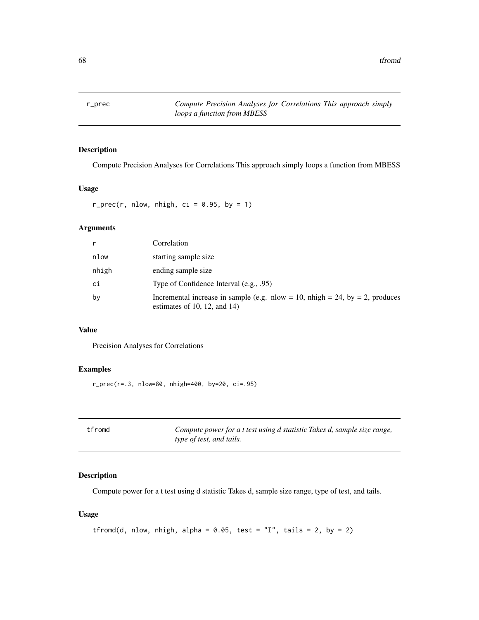## Description

Compute Precision Analyses for Correlations This approach simply loops a function from MBESS

## Usage

 $r\_prec(r, nlow, nhigh, ci = 0.95, by = 1)$ 

# Arguments

| r     | Correlation                                                                                                  |
|-------|--------------------------------------------------------------------------------------------------------------|
| nlow  | starting sample size                                                                                         |
| nhigh | ending sample size                                                                                           |
| сi    | Type of Confidence Interval $(e.g., .95)$                                                                    |
| bν    | Incremental increase in sample (e.g. nlow = 10, nhigh = 24, by = 2, produces<br>estimates of 10, 12, and 14) |

## Value

Precision Analyses for Correlations

## Examples

r\_prec(r=.3, nlow=80, nhigh=400, by=20, ci=.95)

| tfromd | Compute power for a t test using d statistic Takes d, sample size range, |
|--------|--------------------------------------------------------------------------|
|        | type of test, and tails.                                                 |

## Description

Compute power for a t test using d statistic Takes d, sample size range, type of test, and tails.

#### Usage

```
tfromd(d, nlow, nhigh, alpha = 0.05, test = "I", tails = 2, by = 2)
```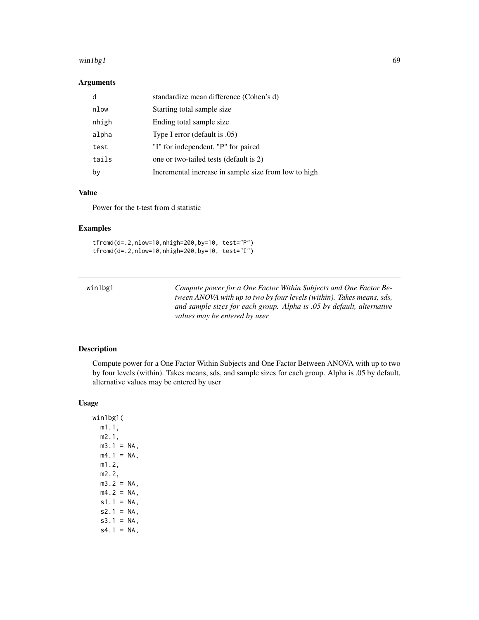#### $win1bg1$  69

## Arguments

|       | standardize mean difference (Cohen's d)              |
|-------|------------------------------------------------------|
| nlow  | Starting total sample size                           |
| nhigh | Ending total sample size                             |
| alpha | Type I error (default is .05)                        |
| test  | "I" for independent, "P" for paired                  |
| tails | one or two-tailed tests (default is 2)               |
| by    | Incremental increase in sample size from low to high |

## Value

Power for the t-test from d statistic

# Examples

tfromd(d=.2,nlow=10,nhigh=200,by=10, test="P") tfromd(d=.2,nlow=10,nhigh=200,by=10, test="I")

| win1bg1 | Compute power for a One Factor Within Subjects and One Factor Be-     |
|---------|-----------------------------------------------------------------------|
|         | tween ANOVA with up to two by four levels (within). Takes means, sds, |
|         | and sample sizes for each group. Alpha is .05 by default, alternative |
|         | values may be entered by user                                         |

# Description

Compute power for a One Factor Within Subjects and One Factor Between ANOVA with up to two by four levels (within). Takes means, sds, and sample sizes for each group. Alpha is .05 by default, alternative values may be entered by user

## Usage

win1bg1( m1.1, m2.1,  $m3.1 = NA$ ,  $m4.1$  = NA, m1.2, m2.2,  $m3.2 = NA$ ,  $m4.2 = NA$ ,  $s1.1 = NA$ ,  $s2.1 = NA$ ,  $s3.1 = NA,$  $s4.1 = NA$ ,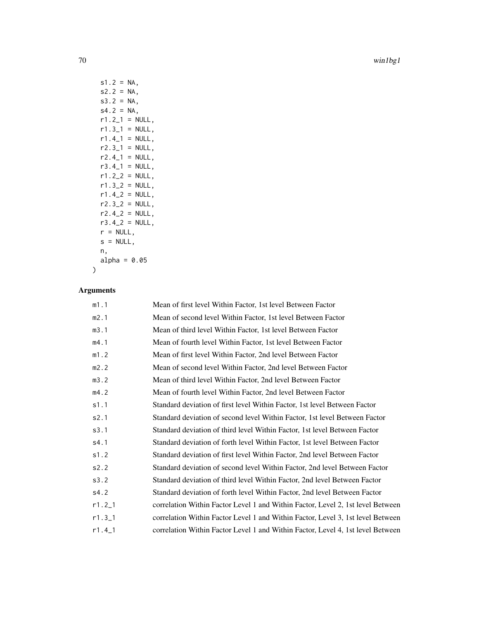70 win1bg1

 $s1.2 = NA$ ,  $s2.2 = NA$ ,  $s3.2 = NA$ ,  $s4.2 = NA$ ,  $r1.2\_1 = NULL,$  $r1.3_1 = NULL,$  $r1.4$ <sup>-1</sup> = NULL,  $r2.3\_1$  = NULL,  $r2.4$ <sup>1 = NULL</sup>,  $r3.4$ <sup>-1</sup> = NULL,  $r1.2_2 = NULL,$  $r1.32 = NULL,$  $r1.4_2 = NULL,$  $r2.32 = NULL,$  $r2.4-2 = NULL,$  $r3.4-2 = NULL,$  $r = NULL,$  $s = NULL,$ n, alpha =  $0.05$ 

# Arguments

)

| m1.1     | Mean of first level Within Factor, 1st level Between Factor                     |
|----------|---------------------------------------------------------------------------------|
| m2.1     | Mean of second level Within Factor, 1st level Between Factor                    |
| m3.1     | Mean of third level Within Factor, 1st level Between Factor                     |
| m4.1     | Mean of fourth level Within Factor, 1st level Between Factor                    |
| m1.2     | Mean of first level Within Factor, 2nd level Between Factor                     |
| m2.2     | Mean of second level Within Factor, 2nd level Between Factor                    |
| m3.2     | Mean of third level Within Factor, 2nd level Between Factor                     |
| m4.2     | Mean of fourth level Within Factor, 2nd level Between Factor                    |
| s1.1     | Standard deviation of first level Within Factor, 1st level Between Factor       |
| s2.1     | Standard deviation of second level Within Factor, 1st level Between Factor      |
| s3.1     | Standard deviation of third level Within Factor, 1st level Between Factor       |
| s4.1     | Standard deviation of forth level Within Factor, 1st level Between Factor       |
| s1.2     | Standard deviation of first level Within Factor, 2nd level Between Factor       |
| s2.2     | Standard deviation of second level Within Factor, 2nd level Between Factor      |
| s3.2     | Standard deviation of third level Within Factor, 2nd level Between Factor       |
| s4.2     | Standard deviation of forth level Within Factor, 2nd level Between Factor       |
| $r1.2_1$ | correlation Within Factor Level 1 and Within Factor, Level 2, 1st level Between |
| $r1.3-1$ | correlation Within Factor Level 1 and Within Factor, Level 3, 1st level Between |
| $r1.4_1$ | correlation Within Factor Level 1 and Within Factor, Level 4, 1st level Between |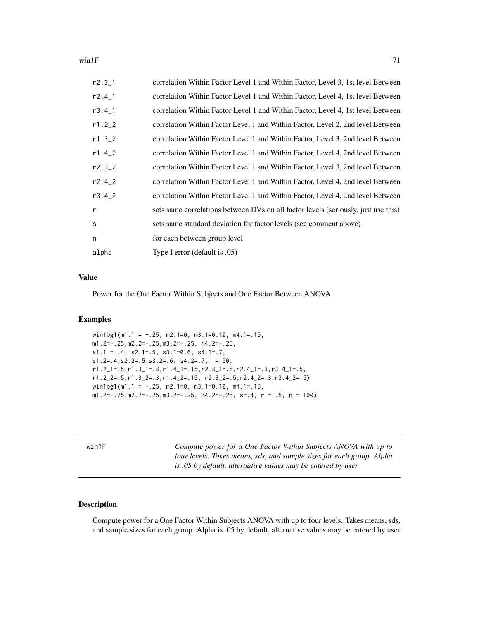#### win1F  $\hspace{1.6cm}$  71

| $r2.3-1$     | correlation Within Factor Level 1 and Within Factor, Level 3, 1st level Between    |
|--------------|------------------------------------------------------------------------------------|
| $r2.4-1$     | correlation Within Factor Level 1 and Within Factor, Level 4, 1st level Between    |
| $r3.4-1$     | correlation Within Factor Level 1 and Within Factor, Level 4, 1st level Between    |
| r1.22        | correlation Within Factor Level 1 and Within Factor, Level 2, 2nd level Between    |
| $r1.3-2$     | correlation Within Factor Level 1 and Within Factor, Level 3, 2nd level Between    |
| $r1.4 - 2$   | correlation Within Factor Level 1 and Within Factor, Level 4, 2nd level Between    |
| $r2.3-2$     | correlation Within Factor Level 1 and Within Factor, Level 3, 2nd level Between    |
| $r2.4 - 2$   | correlation Within Factor Level 1 and Within Factor, Level 4, 2nd level Between    |
| $r3.4 - 2$   | correlation Within Factor Level 1 and Within Factor, Level 4, 2nd level Between    |
| $\mathsf{r}$ | sets same correlations between DVs on all factor levels (seriously, just use this) |
| S            | sets same standard deviation for factor levels (see comment above)                 |
| n            | for each between group level                                                       |
| alpha        | Type I error (default is .05)                                                      |

## Value

Power for the One Factor Within Subjects and One Factor Between ANOVA

## Examples

```
win1bg1(m1.1 = -.25, m2.1=0, m3.1=0.10, m4.1=.15,
m1.2=-.25,m2.2=-.25,m3.2=-.25, m4.2=-.25,
s1.1 = .4, s2.1 = .5, s3.1 = 0.6, s4.1 = .7,s1.2=.4,s2.2=.5,s3.2=.6, s4.2=.7,n = 50,
r1.2_1=.5,r1.3_1=.3,r1.4_1=.15,r2.3_1=.5,r2.4_1=.3,r3.4_1=.5,
r1.2_2=.5,r1.3_2=.3,r1.4_2=.15, r2.3_2=.5,r2.4_2=.3,r3.4_2=.5)
win1bg1(m1.1 = -.25, m2.1=0, m3.1=0.10, m4.1=.15,
m1.2=-.25,m2.2=-.25,m3.2=-.25, m4.2=-.25, s=.4, r = .5, n = 100)
```
win1F *Compute power for a One Factor Within Subjects ANOVA with up to four levels. Takes means, sds, and sample sizes for each group. Alpha is .05 by default, alternative values may be entered by user*

## Description

Compute power for a One Factor Within Subjects ANOVA with up to four levels. Takes means, sds, and sample sizes for each group. Alpha is .05 by default, alternative values may be entered by user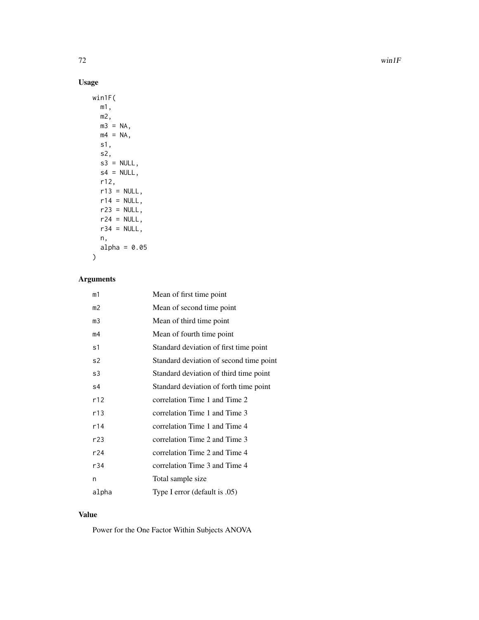# Usage

| win1F(        |
|---------------|
| m1,           |
| m2,           |
| $m3 = NA$ ,   |
| $mA = NA$ ,   |
| s1,           |
| s2,           |
| $s3 = NULL$   |
| $s4 = NULL,$  |
| r12,          |
| $r13 = NULL,$ |
| $r14 = NULL,$ |
| $r23 = NULL$  |
| $r24 = NULL,$ |
| $r34 = NULL,$ |
| n,            |
| alpha = 0.05  |
|               |

# Arguments

| m1    | Mean of first time point                |
|-------|-----------------------------------------|
| m2    | Mean of second time point               |
| m3    | Mean of third time point                |
| m4    | Mean of fourth time point               |
| s1    | Standard deviation of first time point  |
| s2    | Standard deviation of second time point |
| s3    | Standard deviation of third time point  |
| s4    | Standard deviation of forth time point  |
| r12   | correlation Time 1 and Time 2           |
| r13   | correlation Time 1 and Time 3           |
| r14   | correlation Time 1 and Time 4           |
| r23   | correlation Time 2 and Time 3           |
| r24   | correlation Time 2 and Time 4           |
| r34   | correlation Time 3 and Time 4           |
| n     | Total sample size                       |
| alpha | Type I error (default is .05)           |

# Value

Power for the One Factor Within Subjects ANOVA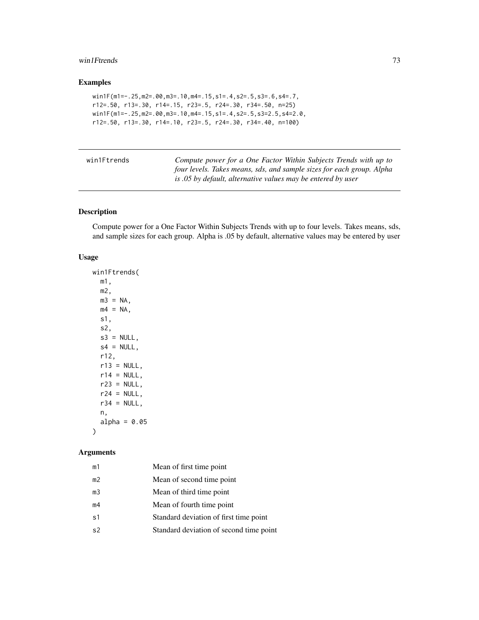#### <span id="page-72-0"></span>win1Ftrends 73

# Examples

```
win1F(m1=-.25,m2=.00,m3=.10,m4=.15,s1=.4,s2=.5,s3=.6,s4=.7,
r12=.50, r13=.30, r14=.15, r23=.5, r24=.30, r34=.50, n=25)
win1F(m1=-.25,m2=.00,m3=.10,m4=.15,s1=.4,s2=.5,s3=2.5,s4=2.0,
r12=.50, r13=.30, r14=.10, r23=.5, r24=.30, r34=.40, n=100)
```

| win1Ftrends | Compute power for a One Factor Within Subjects Trends with up to      |
|-------------|-----------------------------------------------------------------------|
|             | four levels. Takes means, sds, and sample sizes for each group. Alpha |
|             | is .05 by default, alternative values may be entered by user          |

# Description

Compute power for a One Factor Within Subjects Trends with up to four levels. Takes means, sds, and sample sizes for each group. Alpha is .05 by default, alternative values may be entered by user

#### Usage

```
win1Ftrends(
 m1,
 m2,
 m3 = NA,
 m4 = NA,
 s1,
 s2,
 s3 = NULL,s4 = NULL,r12,
 r13 = NULL,r14 = NULL,r23 = NULL,r24 = NULL,r34 = NULL,n,
 alpha = 0.05)
```
# Arguments

| m1             | Mean of first time point                |
|----------------|-----------------------------------------|
| m <sub>2</sub> | Mean of second time point               |
| m <sub>3</sub> | Mean of third time point                |
| m4             | Mean of fourth time point               |
| s <sub>1</sub> | Standard deviation of first time point  |
| s <sub>2</sub> | Standard deviation of second time point |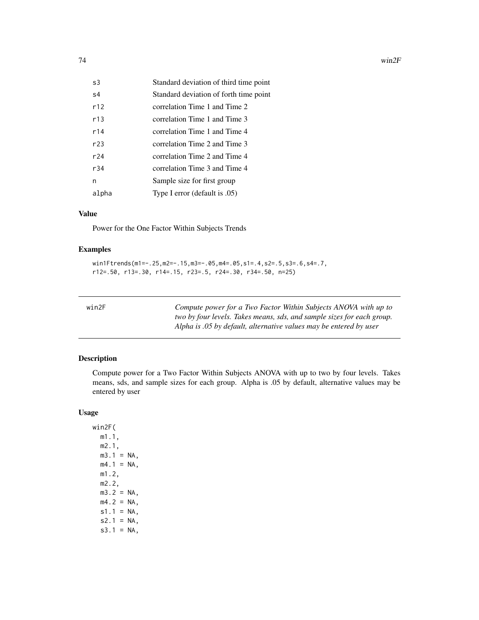<span id="page-73-0"></span>

| s3    | Standard deviation of third time point |
|-------|----------------------------------------|
| s4    | Standard deviation of forth time point |
| r12   | correlation Time 1 and Time 2          |
| r13   | correlation Time 1 and Time 3          |
| r14   | correlation Time 1 and Time 4          |
| r23   | correlation Time 2 and Time 3          |
| r24   | correlation Time 2 and Time 4          |
| r34   | correlation Time 3 and Time 4          |
| n     | Sample size for first group            |
| alpha | Type I error (default is .05)          |

#### Value

Power for the One Factor Within Subjects Trends

# Examples

```
win1Ftrends(m1=-.25,m2=-.15,m3=-.05,m4=.05,s1=.4,s2=.5,s3=.6,s4=.7,
r12=.50, r13=.30, r14=.15, r23=.5, r24=.30, r34=.50, n=25)
```

| ×<br>٠ |  |  |
|--------|--|--|

Compute power for a Two Factor Within Subjects ANOVA with up to *two by four levels. Takes means, sds, and sample sizes for each group. Alpha is .05 by default, alternative values may be entered by user*

#### Description

Compute power for a Two Factor Within Subjects ANOVA with up to two by four levels. Takes means, sds, and sample sizes for each group. Alpha is .05 by default, alternative values may be entered by user

#### Usage

win2F( m1.1, m2.1,  $m3.1 = NA$ ,  $mA.1 = NA,$ m1.2, m2.2,  $m3.2 = NA$ ,  $mA.2 = NA,$  $s1.1 = NA$ ,  $s2.1 = NA$ ,  $s3.1 = NA$ ,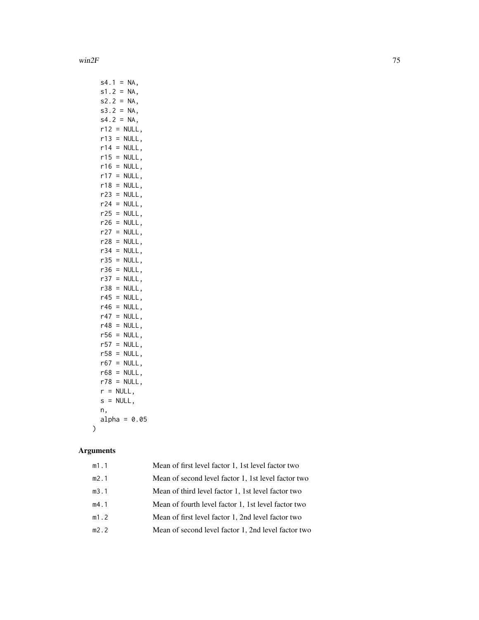win  $2F$  75

|    | s4.1 |          |     | $=$      | NA,   |  |                |  |
|----|------|----------|-----|----------|-------|--|----------------|--|
|    | s1.2 |          |     | $\equiv$ | NA,   |  |                |  |
|    | s2.2 |          |     | $\equiv$ | NA,   |  |                |  |
|    | s3.2 |          |     | $\equiv$ | NA,   |  |                |  |
|    | s4.2 |          |     | $=$      | NA,   |  |                |  |
|    | r12  |          | $=$ |          | NULL, |  |                |  |
|    | r13  |          | $=$ |          | NULL, |  |                |  |
|    | r14  |          | $=$ |          | NULL, |  |                |  |
|    | r15  |          | $=$ |          | NULL, |  |                |  |
|    | r16  |          | $=$ |          | NULL, |  |                |  |
|    | r17  |          | $=$ |          | NULL, |  |                |  |
|    | r18  |          | $=$ |          | NULL, |  |                |  |
|    | r23  |          | $=$ |          | NULL, |  |                |  |
|    | r24  |          | $=$ |          | NULL, |  |                |  |
|    | r25  |          | $=$ |          | NULL, |  |                |  |
|    | r26  |          | $=$ |          | NULL, |  |                |  |
|    | r27  |          | $=$ |          | NULL, |  |                |  |
|    | r28  |          | Ξ   |          | NULL, |  |                |  |
|    | r34  |          | Ξ   |          | NULL, |  |                |  |
|    | r35  |          | $=$ |          | NULL, |  |                |  |
|    | r36  |          | $=$ |          | NULL, |  |                |  |
|    | r37  |          | $=$ |          | NULL, |  |                |  |
|    | r38  |          | $=$ |          | NULL, |  |                |  |
|    | r45  |          | $=$ |          | NULL, |  |                |  |
|    | r46  |          | $=$ |          | NULL, |  |                |  |
|    | r47  |          | $=$ |          | NULL, |  |                |  |
|    | r48  |          | $=$ |          | NULL, |  |                |  |
|    | r56  |          | $=$ |          | NULL, |  |                |  |
|    | r57  |          | $=$ |          | NULL, |  |                |  |
|    | r58  |          | $=$ |          | NULL, |  |                |  |
|    | r67  |          | $=$ |          | NULL, |  |                |  |
|    | r68  |          | $=$ |          | NULL, |  |                |  |
|    | r78  |          | $=$ |          | NULL, |  |                |  |
| r  |      | $\equiv$ |     | NULL,    |       |  |                |  |
| s  |      | $\equiv$ |     | NULL,    |       |  |                |  |
| n, |      |          |     |          |       |  |                |  |
|    |      |          |     |          |       |  | $alpha = 0.05$ |  |
|    |      |          |     |          |       |  |                |  |

# Arguments

 $\lambda$ 

| m1.1 | Mean of first level factor 1, 1st level factor two  |
|------|-----------------------------------------------------|
| m2.1 | Mean of second level factor 1, 1st level factor two |
| m3.1 | Mean of third level factor 1, 1st level factor two  |
| m4.1 | Mean of fourth level factor 1, 1st level factor two |
| m1.2 | Mean of first level factor 1, 2nd level factor two  |
| m2.2 | Mean of second level factor 1, 2nd level factor two |
|      |                                                     |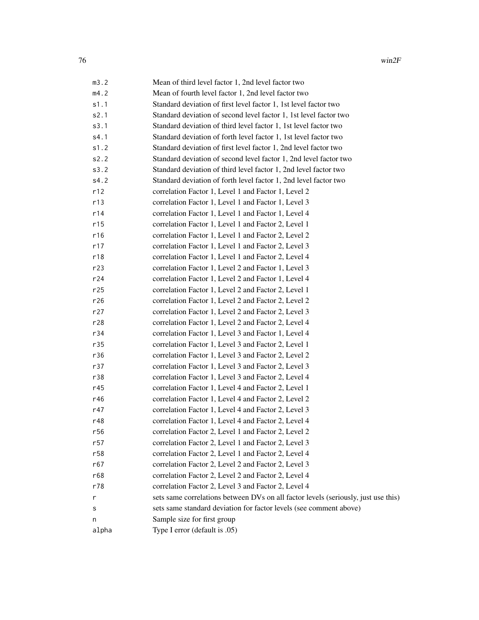| m3.2  | Mean of third level factor 1, 2nd level factor two                                 |
|-------|------------------------------------------------------------------------------------|
| m4.2  | Mean of fourth level factor 1, 2nd level factor two                                |
| s1.1  | Standard deviation of first level factor 1, 1st level factor two                   |
| s2.1  | Standard deviation of second level factor 1, 1st level factor two                  |
| s3.1  | Standard deviation of third level factor 1, 1st level factor two                   |
| s4.1  | Standard deviation of forth level factor 1, 1st level factor two                   |
| s1.2  | Standard deviation of first level factor 1, 2nd level factor two                   |
| s2.2  | Standard deviation of second level factor 1, 2nd level factor two                  |
| s3.2  | Standard deviation of third level factor 1, 2nd level factor two                   |
| s4.2  | Standard deviation of forth level factor 1, 2nd level factor two                   |
| r12   | correlation Factor 1, Level 1 and Factor 1, Level 2                                |
| r13   | correlation Factor 1, Level 1 and Factor 1, Level 3                                |
| r14   | correlation Factor 1, Level 1 and Factor 1, Level 4                                |
| r15   | correlation Factor 1, Level 1 and Factor 2, Level 1                                |
| r16   | correlation Factor 1, Level 1 and Factor 2, Level 2                                |
| r17   | correlation Factor 1, Level 1 and Factor 2, Level 3                                |
| r18   | correlation Factor 1, Level 1 and Factor 2, Level 4                                |
| r23   | correlation Factor 1, Level 2 and Factor 1, Level 3                                |
| r24   | correlation Factor 1, Level 2 and Factor 1, Level 4                                |
| r25   | correlation Factor 1, Level 2 and Factor 2, Level 1                                |
| r26   | correlation Factor 1, Level 2 and Factor 2, Level 2                                |
| r27   | correlation Factor 1, Level 2 and Factor 2, Level 3                                |
| r28   | correlation Factor 1, Level 2 and Factor 2, Level 4                                |
| r34   | correlation Factor 1, Level 3 and Factor 1, Level 4                                |
| r35   | correlation Factor 1, Level 3 and Factor 2, Level 1                                |
| r36   | correlation Factor 1, Level 3 and Factor 2, Level 2                                |
| r37   | correlation Factor 1, Level 3 and Factor 2, Level 3                                |
| r38   | correlation Factor 1, Level 3 and Factor 2, Level 4                                |
| r45   | correlation Factor 1, Level 4 and Factor 2, Level 1                                |
| r46   | correlation Factor 1, Level 4 and Factor 2, Level 2                                |
| r47   | correlation Factor 1, Level 4 and Factor 2, Level 3                                |
| r48   | correlation Factor 1, Level 4 and Factor 2, Level 4                                |
| r56   | correlation Factor 2, Level 1 and Factor 2, Level 2                                |
| r57   | correlation Factor 2, Level 1 and Factor 2, Level 3                                |
| r58   | correlation Factor 2, Level 1 and Factor 2, Level 4                                |
| r67   | correlation Factor 2, Level 2 and Factor 2, Level 3                                |
| r68   | correlation Factor 2, Level 2 and Factor 2, Level 4                                |
| r78   | correlation Factor 2, Level 3 and Factor 2, Level 4                                |
| r     | sets same correlations between DVs on all factor levels (seriously, just use this) |
| s     | sets same standard deviation for factor levels (see comment above)                 |
| n     | Sample size for first group                                                        |
| alpha | Type I error (default is .05)                                                      |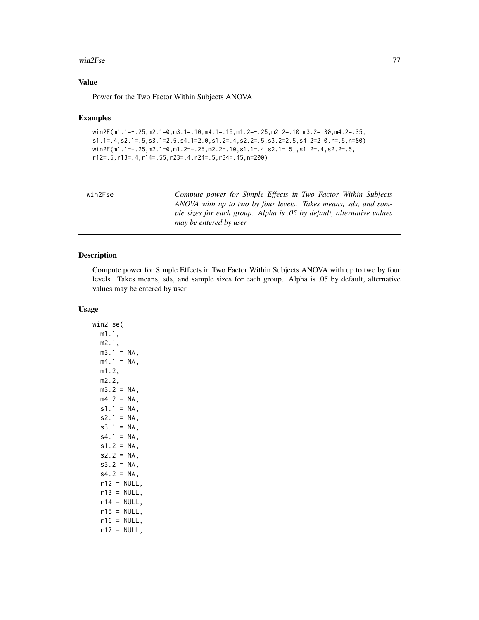#### <span id="page-76-0"></span>win2Fse 77

#### Value

Power for the Two Factor Within Subjects ANOVA

#### Examples

```
win2F(m1.1=-.25,m2.1=0,m3.1=.10,m4.1=.15,m1.2=-.25,m2.2=.10,m3.2=.30,m4.2=.35,
s1.1=.4,s2.1=.5,s3.1=2.5,s4.1=2.0,s1.2=.4,s2.2=.5,s3.2=2.5,s4.2=2.0,r=.5,n=80)
win2F(m1.1=-.25,m2.1=0,m1.2=-.25,m2.2=.10,s1.1=.4,s2.1=.5,,s1.2=.4,s2.2=.5,
r12=.5,r13=.4,r14=.55,r23=.4,r24=.5,r34=.45,n=200)
```

| win2Fse | Compute power for Simple Effects in Two Factor Within Subjects        |
|---------|-----------------------------------------------------------------------|
|         | ANOVA with up to two by four levels. Takes means, sds, and sam-       |
|         | ple sizes for each group. Alpha is .05 by default, alternative values |
|         | may be entered by user                                                |
|         |                                                                       |

#### Description

Compute power for Simple Effects in Two Factor Within Subjects ANOVA with up to two by four levels. Takes means, sds, and sample sizes for each group. Alpha is .05 by default, alternative values may be entered by user

#### Usage

win2Fse( m1.1, m2.1,  $m3.1 = NA$ ,  $mA.1 = NA,$ m1.2, m2.2,  $m3.2 = NA$ ,  $mA.2 = NA,$  $s1.1 = NA$ ,  $s2.1 = NA$ ,  $s3.1 = NA$ ,  $s4.1 = NA$ ,  $s1.2 = NA$ ,  $s2.2 = NA$ ,  $s3.2 = NA$ ,  $s4.2 = NA$ ,  $r12 = NULL$ ,  $r13 = NULL,$  $r14 = NULL$ ,  $r15 = NULL,$  $r16 = NULL,$  $r17 = NULL,$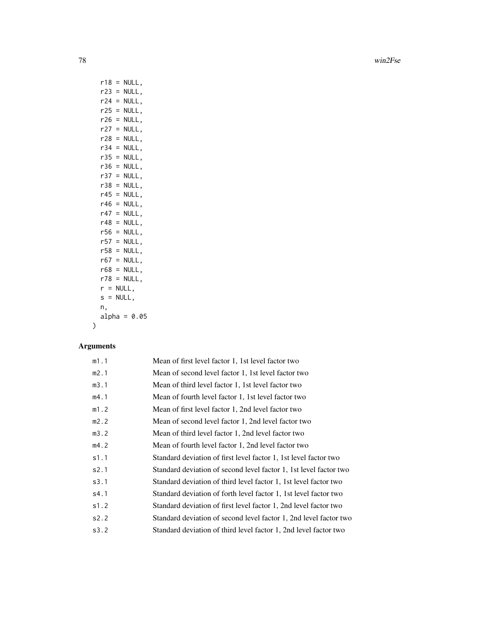78 win2Fse

| r18         | $=$      | NULL,          |
|-------------|----------|----------------|
| r23         | $=$      | NULL,          |
| r24         | $=$      | NULL,          |
| r25         | $=$      | NULL,          |
| r26         | $=$      | NULL,          |
| r27         | $=$      | NULL,          |
| r28         | $=$      | NULL,          |
| r34         | $=$      | NULL,          |
| r35         | $=$      | NULL,          |
| r36         | $=$      | NULL,          |
| r37         | $=$      | NULL,          |
| r38         | $=$      | NULL,          |
| r45 l       | $=$      | NULL,          |
| r46         | $=$      | NULL,          |
| r47         | $=$      | NULL,          |
| r48         | $=$      | NULL,          |
| r56         | $=$      | NULL,          |
| r57         | $\equiv$ | NULL,          |
| r58         | $\equiv$ | NULL,          |
| r67         | $=$      | NULL,          |
| r68         | $=$      | NULL,          |
| r78         | $=$      | NULL,          |
| $r =$       |          | NULL,          |
| $s = NULL,$ |          |                |
| n,          |          |                |
|             |          | $alpha = 0.05$ |
|             |          |                |

# Arguments

 $\lambda$ 

| Mean of first level factor 1, 1st level factor two                |
|-------------------------------------------------------------------|
| Mean of second level factor 1, 1st level factor two               |
| Mean of third level factor 1, 1st level factor two                |
| Mean of fourth level factor 1, 1st level factor two               |
| Mean of first level factor 1, 2nd level factor two                |
| Mean of second level factor 1, 2nd level factor two               |
| Mean of third level factor 1, 2nd level factor two                |
| Mean of fourth level factor 1, 2nd level factor two               |
| Standard deviation of first level factor 1, 1st level factor two  |
| Standard deviation of second level factor 1, 1st level factor two |
| Standard deviation of third level factor 1, 1st level factor two  |
| Standard deviation of forth level factor 1, 1st level factor two  |
| Standard deviation of first level factor 1, 2nd level factor two  |
| Standard deviation of second level factor 1, 2nd level factor two |
| Standard deviation of third level factor 1, 2nd level factor two  |
|                                                                   |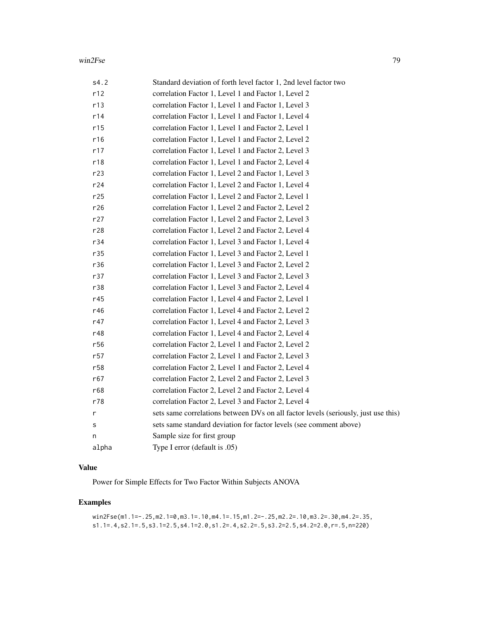| s4.2  | Standard deviation of forth level factor 1, 2nd level factor two                   |
|-------|------------------------------------------------------------------------------------|
| r12   | correlation Factor 1, Level 1 and Factor 1, Level 2                                |
| r13   | correlation Factor 1, Level 1 and Factor 1, Level 3                                |
| r14   | correlation Factor 1, Level 1 and Factor 1, Level 4                                |
| r15   | correlation Factor 1, Level 1 and Factor 2, Level 1                                |
| r16   | correlation Factor 1, Level 1 and Factor 2, Level 2                                |
| r17   | correlation Factor 1, Level 1 and Factor 2, Level 3                                |
| r18   | correlation Factor 1, Level 1 and Factor 2, Level 4                                |
| r23   | correlation Factor 1, Level 2 and Factor 1, Level 3                                |
| r24   | correlation Factor 1, Level 2 and Factor 1, Level 4                                |
| r25   | correlation Factor 1, Level 2 and Factor 2, Level 1                                |
| r26   | correlation Factor 1, Level 2 and Factor 2, Level 2                                |
| r27   | correlation Factor 1, Level 2 and Factor 2, Level 3                                |
| r28   | correlation Factor 1, Level 2 and Factor 2, Level 4                                |
| r34   | correlation Factor 1, Level 3 and Factor 1, Level 4                                |
| r35   | correlation Factor 1, Level 3 and Factor 2, Level 1                                |
| r36   | correlation Factor 1, Level 3 and Factor 2, Level 2                                |
| r37   | correlation Factor 1, Level 3 and Factor 2, Level 3                                |
| r38   | correlation Factor 1, Level 3 and Factor 2, Level 4                                |
| r45   | correlation Factor 1, Level 4 and Factor 2, Level 1                                |
| r46   | correlation Factor 1, Level 4 and Factor 2, Level 2                                |
| r47   | correlation Factor 1, Level 4 and Factor 2, Level 3                                |
| r48   | correlation Factor 1, Level 4 and Factor 2, Level 4                                |
| r56   | correlation Factor 2, Level 1 and Factor 2, Level 2                                |
| r57   | correlation Factor 2, Level 1 and Factor 2, Level 3                                |
| r58   | correlation Factor 2, Level 1 and Factor 2, Level 4                                |
| r67   | correlation Factor 2, Level 2 and Factor 2, Level 3                                |
| r68   | correlation Factor 2, Level 2 and Factor 2, Level 4                                |
| r78   | correlation Factor 2, Level 3 and Factor 2, Level 4                                |
| r     | sets same correlations between DVs on all factor levels (seriously, just use this) |
| s     | sets same standard deviation for factor levels (see comment above)                 |
| n     | Sample size for first group                                                        |
| alpha | Type I error (default is .05)                                                      |

# Value

Power for Simple Effects for Two Factor Within Subjects ANOVA

# Examples

```
win2Fse(m1.1=-.25,m2.1=0,m3.1=.10,m4.1=.15,m1.2=-.25,m2.2=.10,m3.2=.30,m4.2=.35,
s1.1=.4,s2.1=.5,s3.1=2.5,s4.1=2.0,s1.2=.4,s2.2=.5,s3.2=2.5,s4.2=2.0,r=.5,n=220)
```